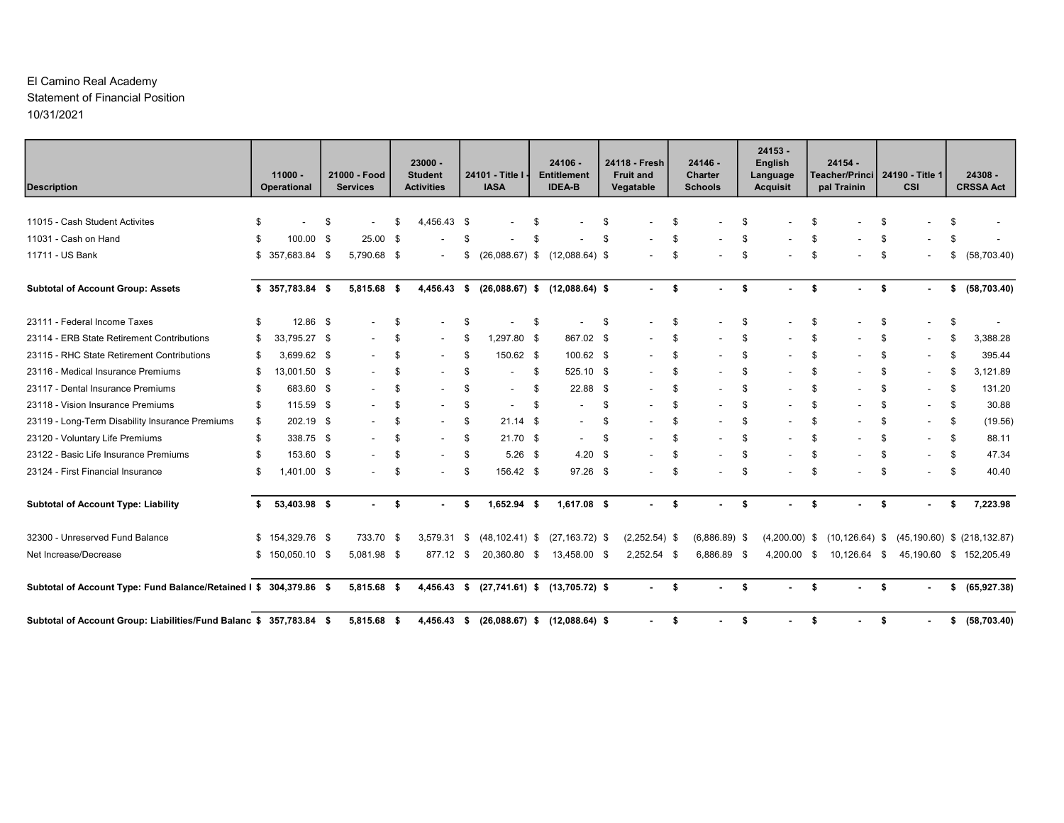#### El Camino Real Academy Statement of Financial Position 10/31/2021

| <b>Description</b>                                                  |     | $11000 -$<br>Operational |     | 21000 - Food<br><b>Services</b> |     | $23000 -$<br><b>Student</b><br><b>Activities</b> |      | 24101 - Title I<br><b>IASA</b> |     | 24106 -<br><b>Entitlement</b><br><b>IDEA-B</b> |     | 24118 - Fresh<br><b>Fruit and</b><br>Vegatable | $24146 -$<br>Charter<br><b>Schools</b> |      | $24153 -$<br><b>English</b><br>Language<br><b>Acquisit</b> | $24154 -$<br>Teacher/Princi   24190 - Title 1<br>pal Trainin |      | <b>CSI</b>               | 24308 -<br><b>CRSSA Act</b>       |
|---------------------------------------------------------------------|-----|--------------------------|-----|---------------------------------|-----|--------------------------------------------------|------|--------------------------------|-----|------------------------------------------------|-----|------------------------------------------------|----------------------------------------|------|------------------------------------------------------------|--------------------------------------------------------------|------|--------------------------|-----------------------------------|
|                                                                     |     |                          |     |                                 |     |                                                  |      |                                |     |                                                |     |                                                |                                        |      |                                                            |                                                              |      |                          |                                   |
| 11015 - Cash Student Activites                                      |     |                          | -\$ |                                 | Яб. | 4,456.43 \$                                      |      |                                | \$. |                                                | \$  |                                                | \$                                     | £    |                                                            | \$                                                           | \$   |                          |                                   |
| 11031 - Cash on Hand                                                | \$  | 100.00 \$                |     | $25.00$ \$                      |     |                                                  |      |                                |     |                                                | £.  |                                                | \$                                     |      |                                                            | \$                                                           | \$   |                          |                                   |
| 11711 - US Bank                                                     | \$  | 357,683.84 \$            |     | 5,790.68 \$                     |     |                                                  | S.   | $(26,088.67)$ \$               |     | $(12,088.64)$ \$                               |     |                                                | \$                                     | \$   |                                                            | \$                                                           | \$   |                          | \$<br>(58, 703.40)                |
| <b>Subtotal of Account Group: Assets</b>                            |     | $$357,783.84$ \$         |     | 5,815.68 \$                     |     | $4,456.43$ \$                                    |      |                                |     | $(26,088.67)$ \$ $(12,088.64)$ \$              |     | $\blacksquare$                                 | \$<br>٠                                | - \$ | $\blacksquare$                                             | \$<br>$\sim$                                                 | - \$ | $\sim$                   | \$ (58,703.40)                    |
| 23111 - Federal Income Taxes                                        | \$. | 12.86 \$                 |     |                                 | S.  |                                                  | -S   |                                | \$  |                                                | \$  | $\overline{\phantom{a}}$                       | \$                                     | \$   |                                                            | \$                                                           | \$   |                          | \$                                |
| 23114 - ERB State Retirement Contributions                          | -S  | 33,795.27 \$             |     |                                 | \$  |                                                  | \$   | 1,297.80 \$                    |     | 867.02 \$                                      |     | $\overline{\phantom{a}}$                       | \$                                     | \$   |                                                            | \$                                                           | \$   | $\overline{\phantom{a}}$ | \$<br>3,388.28                    |
| 23115 - RHC State Retirement Contributions                          |     | 3,699.62 \$              |     |                                 | \$  |                                                  | \$   | 150.62 \$                      |     | 100.62 \$                                      |     |                                                | \$                                     | \$   |                                                            | \$                                                           | \$   | $\overline{\phantom{a}}$ | \$<br>395.44                      |
| 23116 - Medical Insurance Premiums                                  | \$  | 13,001.50 \$             |     |                                 | \$  |                                                  | \$   |                                | \$  | 525.10 \$                                      |     | $\overline{\phantom{a}}$                       | \$                                     | \$   |                                                            | \$                                                           | \$   | $\overline{\phantom{a}}$ | \$<br>3,121.89                    |
| 23117 - Dental Insurance Premiums                                   | -S  | 683.60 \$                |     | $\overline{\phantom{a}}$        | \$  |                                                  | S.   |                                | \$  | 22.88 \$                                       |     |                                                | \$                                     | \$   |                                                            | \$                                                           | \$   | $\overline{a}$           | \$<br>131.20                      |
| 23118 - Vision Insurance Premiums                                   | \$. | 115.59 \$                |     | $\overline{\phantom{a}}$        | \$  |                                                  | S.   | $\overline{\phantom{a}}$       | \$  | $\overline{\phantom{a}}$                       | -\$ | $\blacksquare$                                 | \$<br>$\overline{\phantom{a}}$         | \$   |                                                            | \$<br>$\overline{\phantom{a}}$                               | \$   | $\overline{\phantom{a}}$ | \$<br>30.88                       |
| 23119 - Long-Term Disability Insurance Premiums                     | \$. | 202.19 \$                |     |                                 | \$  |                                                  | \$   | $21.14$ \$                     |     | $\overline{\phantom{a}}$                       | \$  |                                                | \$                                     | £    |                                                            | \$                                                           | \$   | $\overline{\phantom{a}}$ | \$<br>(19.56)                     |
| 23120 - Voluntary Life Premiums                                     | \$  | 338.75 \$                |     | $\overline{\phantom{a}}$        | \$  | $\overline{\phantom{a}}$                         | S.   | $21.70$ \$                     |     | $\overline{\phantom{a}}$                       | \$  |                                                | \$                                     | \$   |                                                            | \$                                                           | \$   | $\overline{\phantom{a}}$ | \$<br>88.11                       |
| 23122 - Basic Life Insurance Premiums                               |     | 153.60 \$                |     |                                 | \$  |                                                  | - \$ | $5.26$ \$                      |     | $4.20\ 5$                                      |     |                                                | \$                                     | \$   |                                                            | \$                                                           | \$   |                          | \$<br>47.34                       |
| 23124 - First Financial Insurance                                   | \$  | 1,401.00 \$              |     |                                 | S.  |                                                  | -\$  | 156.42 \$                      |     | 97.26 \$                                       |     |                                                | \$                                     | \$   |                                                            | \$                                                           | \$   | $\overline{\phantom{a}}$ | \$<br>40.40                       |
| <b>Subtotal of Account Type: Liability</b>                          | s.  | 53,403.98 \$             |     | $\sim$                          | -\$ |                                                  | s.   | $1,652.94$ \$                  |     | $1,617.08$ \$                                  |     | $\sim$                                         | \$                                     | -\$  |                                                            | \$                                                           | - \$ |                          | \$<br>7,223.98                    |
| 32300 - Unreserved Fund Balance                                     |     | $$154,329.76$ \$         |     | 733.70 \$                       |     | 3,579.31                                         | \$   | $(48, 102.41)$ \$              |     | $(27, 163.72)$ \$                              |     | $(2,252.54)$ \$                                | $(6,886.89)$ \$                        |      | $(4,200.00)$ \$                                            | $(10, 126.64)$ \$                                            |      |                          | $(45, 190.60)$ \$ $(218, 132.87)$ |
| Net Increase/Decrease                                               |     | $$150,050.10$ \$         |     | 5,081.98 \$                     |     | 877.12                                           | - \$ | 20,360.80                      | \$  | 13,458.00 \$                                   |     | $2,252.54$ \$                                  | 6,886.89 \$                            |      | 4,200.00                                                   | \$<br>10,126.64                                              | - \$ | 45,190.60                | \$152,205.49                      |
| Subtotal of Account Type: Fund Balance/Retained I \$ 304,379.86 \$  |     |                          |     | 5,815.68 \$                     |     | $4,456.43$ \$                                    |      |                                |     | $(27, 741.61)$ \$ $(13, 705.72)$ \$            |     | ÷                                              | \$                                     | - \$ |                                                            | \$                                                           | \$   |                          | \$ (65,927.38)                    |
| Subtotal of Account Group: Liabilities/Fund Balanc \$ 357,783.84 \$ |     |                          |     | 5,815.68 \$                     |     | 4,456.43 \$                                      |      |                                |     | $(26,088.67)$ \$ $(12,088.64)$ \$              |     | ٠                                              | \$                                     | \$   |                                                            | \$                                                           | \$   | ٠                        | \$ (58,703.40)                    |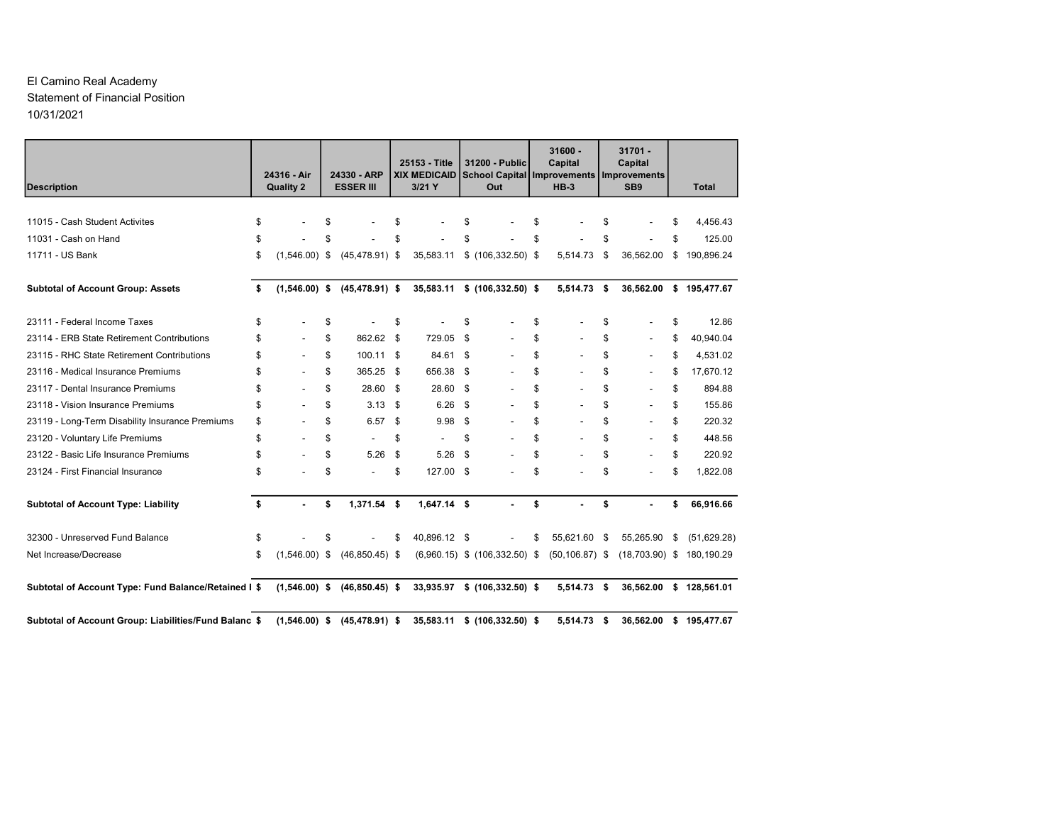#### El Camino Real Academy Statement of Financial Position 10/31/2021

| <b>Description</b>                                                                | 24316 - Air<br><b>Quality 2</b> | 24330 - ARP<br><b>ESSER III</b> |          | 25153 - Title<br><b>XIX MEDICAID</b><br>3/21 Y |          | 31200 - Public<br><b>School Capital Improvements</b><br>Out | 31600 -<br>Capital<br>$HB-3$ | $31701 -$<br>Capital<br>Improvements<br>SB <sub>9</sub> |    | <b>Total</b> |
|-----------------------------------------------------------------------------------|---------------------------------|---------------------------------|----------|------------------------------------------------|----------|-------------------------------------------------------------|------------------------------|---------------------------------------------------------|----|--------------|
|                                                                                   |                                 |                                 |          |                                                |          |                                                             |                              |                                                         |    |              |
| 11015 - Cash Student Activites                                                    | \$                              | \$                              | \$       |                                                | \$       |                                                             | \$                           | \$                                                      | £. | 4,456.43     |
| 11031 - Cash on Hand                                                              | \$                              | \$                              | \$       |                                                | \$       |                                                             | \$                           | \$                                                      | \$ | 125.00       |
| 11711 - US Bank                                                                   | \$<br>$(1,546.00)$ \$           | $(45, 478.91)$ \$               |          | 35,583.11                                      |          | $$(106, 332.50)$ \$                                         | 5,514.73                     | \$<br>36,562.00                                         | \$ | 190,896.24   |
| <b>Subtotal of Account Group: Assets</b>                                          | \$<br>$(1,546.00)$ \$           | $(45, 478.91)$ \$               |          |                                                |          | 35,583.11 \$ (106,332.50) \$                                | 5,514.73 \$                  | 36,562.00                                               |    | \$195,477.67 |
| 23111 - Federal Income Taxes                                                      | \$                              | \$                              | \$       |                                                | \$       |                                                             | \$                           | \$                                                      | \$ | 12.86        |
| 23114 - ERB State Retirement Contributions                                        | \$<br>٠                         | \$<br>862.62 \$                 |          | 729.05                                         | <b>S</b> |                                                             | \$                           | \$<br>$\overline{\phantom{a}}$                          | \$ | 40.940.04    |
| 23115 - RHC State Retirement Contributions                                        | \$<br>$\overline{a}$            | \$<br>100.11 \$                 |          | 84.61 \$                                       |          |                                                             | \$                           | \$<br>$\overline{\phantom{a}}$                          | \$ | 4,531.02     |
| 23116 - Medical Insurance Premiums                                                | \$<br>$\overline{a}$            | \$<br>365.25                    | <b>S</b> | 656.38                                         | - \$     |                                                             | \$                           | \$<br>$\overline{\phantom{a}}$                          | \$ | 17,670.12    |
| 23117 - Dental Insurance Premiums                                                 | \$<br>$\overline{a}$            | \$<br>28.60 \$                  |          | 28.60 \$                                       |          | $\overline{\phantom{a}}$                                    | \$                           | \$<br>$\overline{\phantom{a}}$                          | \$ | 894.88       |
| 23118 - Vision Insurance Premiums                                                 | \$<br>$\overline{\phantom{a}}$  | \$<br>3.13                      | \$       | 6.26                                           | - \$     | $\overline{\phantom{a}}$                                    | \$                           | \$<br>$\overline{\phantom{a}}$                          | \$ | 155.86       |
| 23119 - Long-Term Disability Insurance Premiums                                   | \$<br>$\overline{\phantom{a}}$  | \$<br>6.57                      | \$       | 9.98                                           | <b>S</b> |                                                             | \$                           | \$<br>$\overline{\phantom{a}}$                          | \$ | 220.32       |
| 23120 - Voluntary Life Premiums                                                   | \$<br>$\overline{\phantom{a}}$  | \$                              | \$       |                                                | \$       |                                                             | \$                           | \$                                                      | \$ | 448.56       |
| 23122 - Basic Life Insurance Premiums                                             | \$<br>$\overline{a}$            | \$<br>5.26                      | \$       | 5.26                                           | - \$     |                                                             | \$                           | \$                                                      | \$ | 220.92       |
| 23124 - First Financial Insurance                                                 | \$                              | \$                              | \$       | 127.00 \$                                      |          |                                                             | \$                           | \$                                                      | \$ | 1.822.08     |
| <b>Subtotal of Account Type: Liability</b>                                        | \$<br>$\blacksquare$            | \$<br>1,371.54 \$               |          | $1,647.14$ \$                                  |          |                                                             | \$                           | \$                                                      | \$ | 66,916.66    |
| 32300 - Unreserved Fund Balance                                                   | \$                              | \$                              | \$       | 40,896.12 \$                                   |          |                                                             | \$<br>55,621.60              | \$<br>55,265.90                                         | \$ | (51,629.28)  |
| Net Increase/Decrease                                                             | \$<br>$(1,546.00)$ \$           | $(46,850.45)$ \$                |          |                                                |          | $(6,960.15)$ \$ $(106,332.50)$ \$                           | $(50, 106.87)$ \$            | $(18,703.90)$ \$                                        |    | 180.190.29   |
| Subtotal of Account Type: Fund Balance/Retained I \$ (1,546.00) \$ (46,850.45) \$ |                                 |                                 |          |                                                |          | 33,935.97 \$ (106,332.50) \$                                | 5,514.73 \$                  | 36,562.00                                               |    | \$128,561.01 |
| Subtotal of Account Group: Liabilities/Fund Balanc \$                             | $(1,546.00)$ \$                 | $(45, 478.91)$ \$               |          | 35,583.11                                      |          | $$(106, 332.50)$ \$                                         | 5.514.73                     | \$<br>36,562.00                                         |    | \$195,477.67 |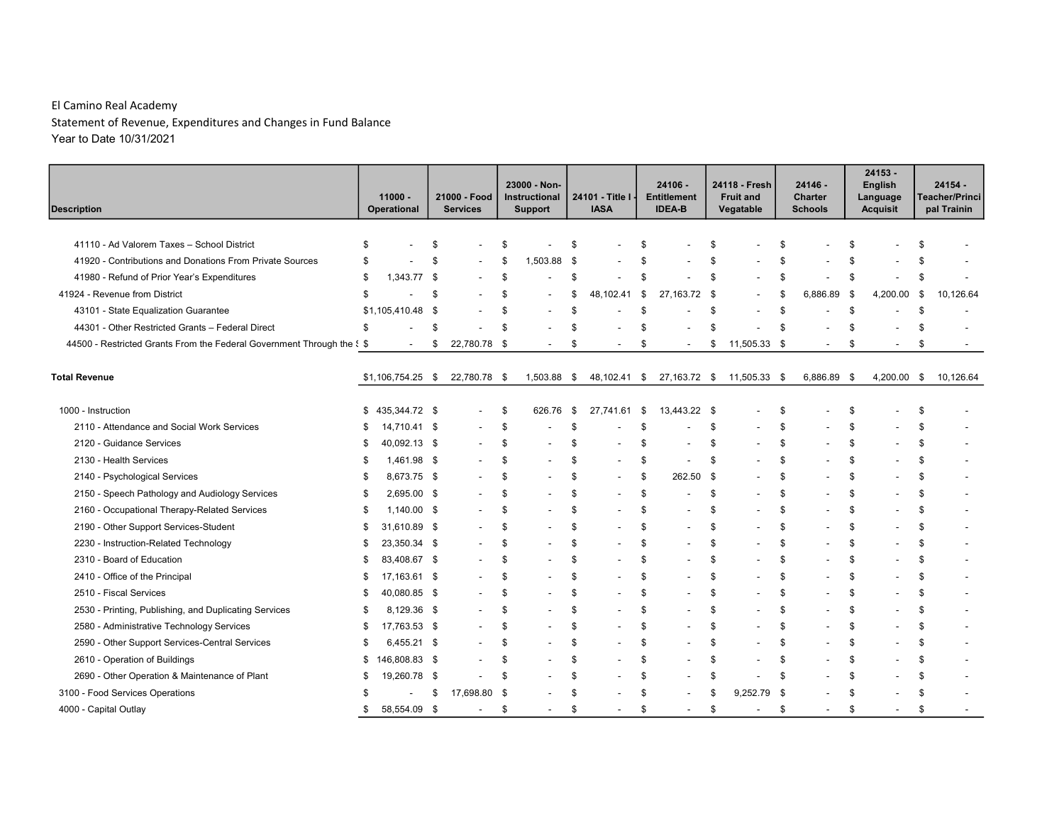| <b>Description</b>                                                     |    | $11000 -$<br>Operational | 21000 - Food<br><b>Services</b> |      | 23000 - Non-<br>Instructional<br><b>Support</b> |      | 24101 - Title I<br><b>IASA</b> | 24106 -<br><b>Entitlement</b><br><b>IDEA-B</b> |      | 24118 - Fresh<br><b>Fruit and</b><br>Vegatable |      | 24146 -<br><b>Charter</b><br><b>Schools</b> | 24153 -<br>English<br>Language<br><b>Acquisit</b> |      | $24154 -$<br><b>Teacher/Princi</b><br>pal Trainin |
|------------------------------------------------------------------------|----|--------------------------|---------------------------------|------|-------------------------------------------------|------|--------------------------------|------------------------------------------------|------|------------------------------------------------|------|---------------------------------------------|---------------------------------------------------|------|---------------------------------------------------|
|                                                                        |    |                          |                                 |      |                                                 |      |                                |                                                |      |                                                |      |                                             |                                                   |      |                                                   |
| 41110 - Ad Valorem Taxes - School District                             | \$ |                          | \$                              |      |                                                 | \$   |                                | \$                                             | \$   |                                                | \$   |                                             | \$                                                | \$   |                                                   |
| 41920 - Contributions and Donations From Private Sources               | \$ |                          | \$                              | -S   | 1,503.88 \$                                     |      |                                | \$                                             | \$   |                                                | \$   |                                             | \$                                                | \$   |                                                   |
| 41980 - Refund of Prior Year's Expenditures                            | \$ | 1,343.77 \$              |                                 |      |                                                 | \$   |                                | \$                                             | \$   |                                                | \$   |                                             | \$                                                | \$   |                                                   |
| 41924 - Revenue from District                                          | \$ |                          | \$                              |      |                                                 | \$   | 48,102.41                      | \$<br>27,163.72                                | - \$ |                                                | \$   | 6,886.89                                    | \$<br>4,200.00                                    | - \$ | 10,126.64                                         |
| 43101 - State Equalization Guarantee                                   |    | \$1,105,410.48 \$        |                                 |      |                                                 | \$   |                                | \$                                             | \$   |                                                | \$   |                                             | \$                                                | \$   |                                                   |
| 44301 - Other Restricted Grants - Federal Direct                       | \$ |                          | \$                              | \$   |                                                 | \$   |                                | \$                                             | \$   |                                                | \$   |                                             | \$                                                | \$   |                                                   |
| 44500 - Restricted Grants From the Federal Government Through the § \$ |    |                          | \$<br>22,780.78 \$              |      | $\overline{\phantom{a}}$                        | \$   |                                | \$<br>$\overline{\phantom{a}}$                 | \$   | 11,505.33                                      | - \$ | $\overline{a}$                              | \$                                                | \$   |                                                   |
| <b>Total Revenue</b>                                                   |    | $$1,106,754.25$ \$       | 22,780.78 \$                    |      | 1,503.88                                        | \$   | 48,102.41                      | \$<br>27,163.72 \$                             |      | 11,505.33                                      | - \$ | 6,886.89 \$                                 | 4,200.00                                          | \$   | 10.126.64                                         |
| 1000 - Instruction                                                     | \$ | 435,344.72 \$            | $\overline{\phantom{a}}$        | \$   | 626.76                                          | \$   | 27,741.61                      | \$<br>13,443.22 \$                             |      |                                                | \$   |                                             | \$                                                | \$   |                                                   |
| 2110 - Attendance and Social Work Services                             |    | 14,710.41 \$             |                                 | \$   |                                                 | - \$ |                                | \$                                             | \$   |                                                | \$   |                                             | \$                                                | \$   |                                                   |
| 2120 - Guidance Services                                               | \$ | 40,092.13 \$             |                                 |      |                                                 | \$   |                                | \$                                             | \$   |                                                | \$   |                                             | \$                                                | \$   |                                                   |
| 2130 - Health Services                                                 | \$ | 1,461.98 \$              |                                 | -S   |                                                 | -\$  | $\overline{\phantom{a}}$       | \$                                             | \$   |                                                | \$   |                                             | \$                                                | \$   |                                                   |
| 2140 - Psychological Services                                          | \$ | 8,673.75 \$              |                                 | \$   |                                                 | \$   | $\overline{\phantom{a}}$       | \$<br>262.50                                   | - \$ |                                                | \$   |                                             | \$                                                | \$   |                                                   |
| 2150 - Speech Pathology and Audiology Services                         | \$ | 2,695.00 \$              |                                 | \$   |                                                 | \$   | $\overline{\phantom{a}}$       | \$                                             | \$   |                                                | \$   |                                             | \$                                                | \$   |                                                   |
| 2160 - Occupational Therapy-Related Services                           | \$ | 1,140.00 \$              |                                 | \$.  |                                                 | \$   |                                | \$                                             | \$   |                                                | \$   |                                             | \$                                                | \$   |                                                   |
| 2190 - Other Support Services-Student                                  | \$ | 31,610.89 \$             |                                 | \$.  | $\overline{\phantom{0}}$                        | \$   | $\overline{\phantom{a}}$       | \$<br>$\overline{\phantom{a}}$                 | \$   |                                                | \$   |                                             | \$                                                | \$   |                                                   |
| 2230 - Instruction-Related Technology                                  | S  | 23,350.34 \$             |                                 | \$   |                                                 | \$   |                                | \$                                             | \$   |                                                | \$   |                                             | \$                                                | \$   |                                                   |
| 2310 - Board of Education                                              | S  | 83,408.67 \$             |                                 | \$.  |                                                 | \$   | $\overline{a}$                 | \$<br>$\overline{\phantom{a}}$                 | \$   |                                                | \$   |                                             | \$                                                | \$   |                                                   |
| 2410 - Office of the Principal                                         | \$ | 17,163.61 \$             |                                 | \$.  |                                                 | -S   |                                | \$                                             | \$   |                                                | \$   |                                             | \$                                                | \$   |                                                   |
| 2510 - Fiscal Services                                                 | \$ | 40,080.85 \$             |                                 | \$.  |                                                 | - \$ | $\overline{\phantom{a}}$       | \$<br>$\blacksquare$                           | \$   |                                                | \$   |                                             | \$                                                | \$   |                                                   |
| 2530 - Printing, Publishing, and Duplicating Services                  | S  | 8,129.36 \$              |                                 | -S   |                                                 | \$   | $\overline{a}$                 | \$                                             | \$   |                                                | \$   |                                             | \$                                                | \$   |                                                   |
| 2580 - Administrative Technology Services                              | S  | 17,763.53 \$             |                                 | \$   |                                                 | \$   | $\overline{a}$                 | \$                                             | \$   |                                                | \$   |                                             | \$                                                | \$   |                                                   |
| 2590 - Other Support Services-Central Services                         | S  | 6,455.21 \$              |                                 | -S   |                                                 | \$   |                                | \$                                             | \$   |                                                | \$   |                                             | \$                                                | \$   |                                                   |
| 2610 - Operation of Buildings                                          | \$ | 146,808.83 \$            |                                 | S.   |                                                 | \$   | $\overline{\phantom{a}}$       | \$<br>$\overline{\phantom{a}}$                 | \$   |                                                | \$   |                                             | \$                                                | \$   |                                                   |
| 2690 - Other Operation & Maintenance of Plant                          | S  | 19,260.78 \$             |                                 | \$   | $\overline{\phantom{0}}$                        | \$   | $\overline{a}$                 | \$                                             | \$   |                                                | \$   |                                             | \$                                                | \$   |                                                   |
| 3100 - Food Services Operations                                        | S  |                          | \$<br>17,698.80                 | - \$ |                                                 | \$   |                                | \$                                             | \$   | 9,252.79                                       | - \$ |                                             | \$                                                | \$   |                                                   |
| 4000 - Capital Outlay                                                  | \$ | 58,554.09 \$             | $\overline{\phantom{a}}$        | \$   | $\overline{\phantom{a}}$                        | \$   | $\overline{\phantom{a}}$       | \$<br>$\overline{\phantom{a}}$                 | \$   | $\overline{\phantom{a}}$                       | \$   | $\overline{\phantom{a}}$                    | \$<br>$\overline{\phantom{a}}$                    | \$   | $\overline{\phantom{a}}$                          |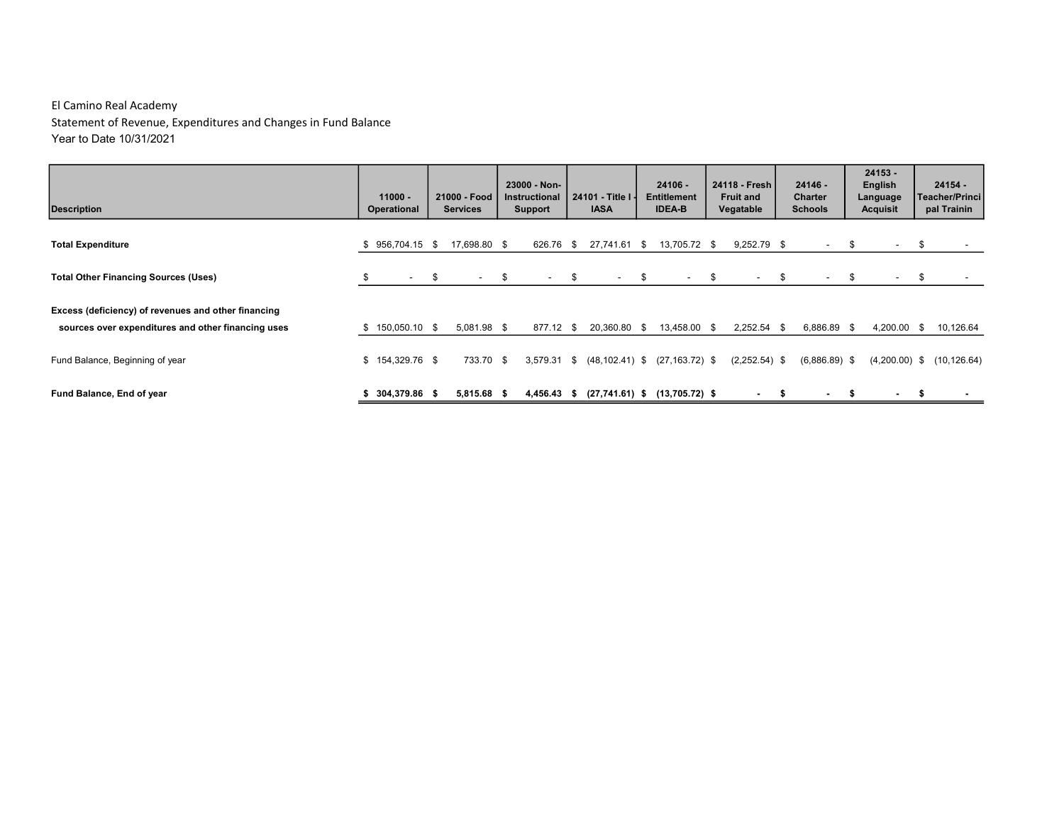| <b>Description</b>                                                                                        |    | $11000 -$<br><b>Operational</b> | 21000 - Food<br><b>Services</b> |      | 23000 - Non-<br>Instructional<br><b>Support</b> |            | 24101 - Title I -<br><b>IASA</b>  |      | $24106 -$<br><b>Entitlement</b><br><b>IDEA-B</b> | 24118 - Fresh I<br><b>Fruit and</b><br>Vegatable |    | $24146 -$<br><b>Charter</b><br><b>Schools</b> |      | $24153 -$<br>English<br>Language<br><b>Acquisit</b> | $24154 -$<br><b>Teacher/Princi</b><br>pal Trainin |
|-----------------------------------------------------------------------------------------------------------|----|---------------------------------|---------------------------------|------|-------------------------------------------------|------------|-----------------------------------|------|--------------------------------------------------|--------------------------------------------------|----|-----------------------------------------------|------|-----------------------------------------------------|---------------------------------------------------|
| <b>Total Expenditure</b>                                                                                  |    | $$956,704.15$ \$                | 17,698.80 \$                    |      | 626.76 \$                                       |            | 27,741.61                         | - \$ | 13,705.72 \$                                     | $9,252.79$ \$                                    |    | $\sim$                                        | - \$ | $\overline{\phantom{a}}$                            | \$                                                |
| <b>Total Other Financing Sources (Uses)</b>                                                               | S. | $-$ \$                          | $\sim$                          | - \$ | $\sim$                                          | $^{\circ}$ | $\sim$                            | - \$ | $\sim$                                           | \$<br>$\sim$                                     | \$ | $\sim$                                        | - \$ | $\overline{\phantom{a}}$                            | \$                                                |
| Excess (deficiency) of revenues and other financing<br>sources over expenditures and other financing uses |    | $$150,050.10$ \$                | 5,081.98 \$                     |      | 877.12 \$                                       |            | 20,360.80 \$                      |      | 13.458.00 \$                                     | $2,252.54$ \$                                    |    | 6,886.89 \$                                   |      | 4,200.00 \$                                         | 10,126.64                                         |
| Fund Balance, Beginning of year                                                                           |    | $$154,329.76$ \$                | 733.70 \$                       |      | 3,579.31 \$                                     |            | $(48, 102.41)$ \$                 |      | $(27, 163.72)$ \$                                | $(2,252.54)$ \$                                  |    | $(6,886.89)$ \$                               |      | $(4,200.00)$ \$                                     | (10, 126.64)                                      |
| Fund Balance, End of year                                                                                 |    | 304,379.86 \$                   | 5,815.68 \$                     |      | 4,456.43 \$                                     |            | $(27,741.61)$ \$ $(13,705.72)$ \$ |      |                                                  | $\overline{\phantom{a}}$                         | Ŝ. | ۰.                                            |      | $\overline{\phantom{a}}$                            |                                                   |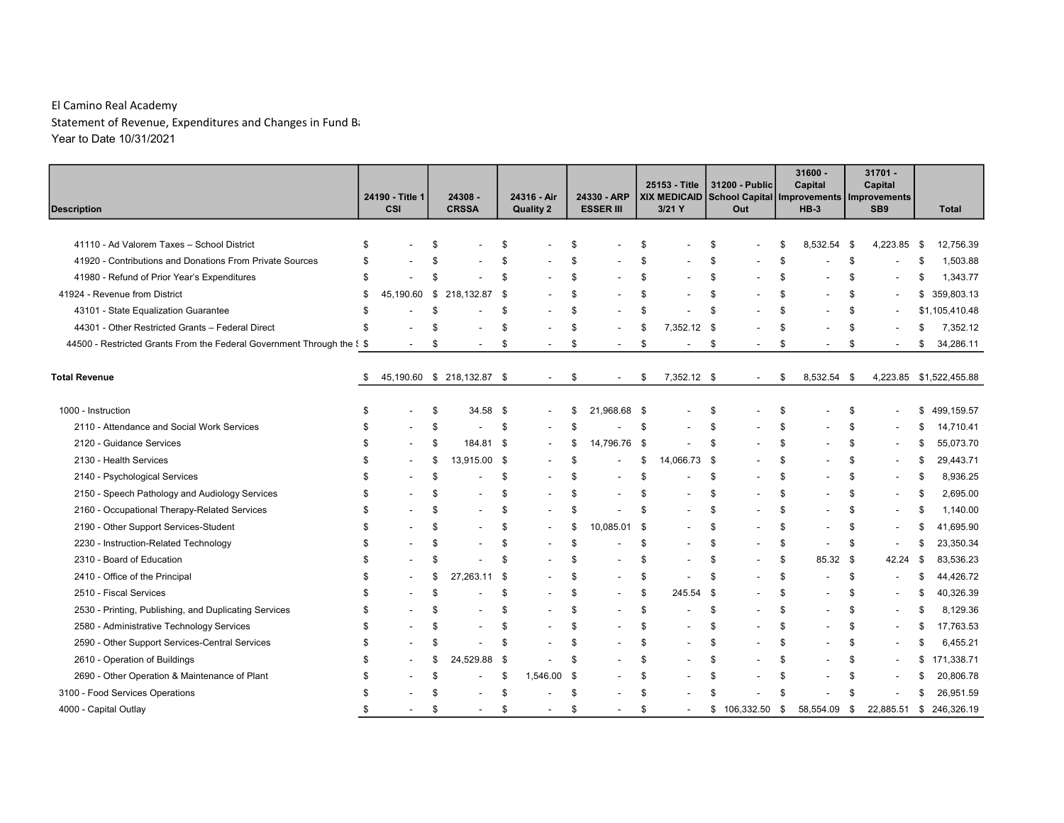| <b>Description</b>                                                     | 24190 - Title 1<br>CSI         |      | 24308 -<br><b>CRSSA</b>    |      | 24316 - Air<br><b>Quality 2</b> |      | 24330 - ARP<br><b>ESSER III</b> |      | 25153 - Title<br>XIX MEDICAID<br>$3/21$ Y |      | 31200 - Public<br>Out    |      | $31600 -$<br>Capital<br>School Capital   Improvements   Improvements<br>$HB-3$ |                    | $31701 -$<br>Capital<br>SB <sub>9</sub> | <b>Total</b>     |
|------------------------------------------------------------------------|--------------------------------|------|----------------------------|------|---------------------------------|------|---------------------------------|------|-------------------------------------------|------|--------------------------|------|--------------------------------------------------------------------------------|--------------------|-----------------------------------------|------------------|
|                                                                        |                                |      |                            |      |                                 |      |                                 |      |                                           |      |                          |      |                                                                                |                    |                                         |                  |
| 41110 - Ad Valorem Taxes - School District                             | \$                             | \$   |                            | \$   |                                 | \$   |                                 | \$   |                                           | \$   |                          | \$   | 8,532.54                                                                       | -\$                | 4,223.85                                | \$<br>12,756.39  |
| 41920 - Contributions and Donations From Private Sources               | \$                             | \$   |                            |      |                                 | \$   |                                 | \$   |                                           | \$   |                          | \$   |                                                                                | \$                 |                                         | \$<br>1,503.88   |
| 41980 - Refund of Prior Year's Expenditures                            | \$                             | \$   |                            |      |                                 | \$   |                                 | \$   |                                           | \$   |                          | \$   |                                                                                | \$                 |                                         | \$<br>1,343.77   |
| 41924 - Revenue from District                                          | \$<br>45,190.60                | - \$ | 218,132.87                 | \$   |                                 | \$   |                                 | \$   |                                           | \$   |                          | \$   |                                                                                | \$                 |                                         | \$359,803.13     |
| 43101 - State Equalization Guarantee                                   | \$                             | \$   |                            | \$   |                                 | \$   |                                 | \$   |                                           | \$   |                          | \$   |                                                                                | \$                 |                                         | \$1,105,410.48   |
| 44301 - Other Restricted Grants - Federal Direct                       | \$                             | \$   |                            |      |                                 | \$   | $\overline{\phantom{a}}$        | \$   | 7,352.12                                  | - \$ |                          | \$   |                                                                                | $\mathbf{\hat{s}}$ |                                         | \$<br>7,352.12   |
| 44500 - Restricted Grants From the Federal Government Through the § \$ |                                | \$   |                            | \$   |                                 | \$   | $\overline{a}$                  | \$   |                                           | \$   | $\overline{a}$           | \$   |                                                                                | \$                 |                                         | \$<br>34,286.11  |
|                                                                        |                                |      |                            |      |                                 |      |                                 |      |                                           |      |                          |      |                                                                                |                    |                                         |                  |
| <b>Total Revenue</b>                                                   | \$                             |      | 45,190.60 \$ 218,132.87 \$ |      |                                 | \$   |                                 | \$   | 7,352.12 \$                               |      | $\overline{\phantom{a}}$ | \$   | 8,532.54                                                                       | \$                 | 4,223.85                                | \$1,522,455.88   |
|                                                                        |                                |      |                            |      |                                 |      |                                 |      |                                           |      |                          |      |                                                                                |                    |                                         |                  |
| 1000 - Instruction                                                     | \$                             | \$   | 34.58                      | -\$  |                                 | \$   | 21,968.68                       | - \$ |                                           | \$   |                          | \$   |                                                                                | \$                 |                                         | \$<br>499,159.57 |
| 2110 - Attendance and Social Work Services                             | \$                             | \$   |                            | -S   |                                 | \$   |                                 | \$   |                                           | \$   |                          | \$   |                                                                                | \$                 |                                         | \$<br>14,710.41  |
| 2120 - Guidance Services                                               | \$                             | \$   | 184.81                     | -\$  |                                 | \$   | 14,796.76                       | \$   |                                           | \$   |                          | \$   |                                                                                | \$                 |                                         | \$<br>55,073.70  |
| 2130 - Health Services                                                 | \$                             | \$   | 13,915.00 \$               |      |                                 | \$   |                                 | \$   | 14,066.73                                 | - \$ |                          | \$   |                                                                                | \$                 |                                         | \$<br>29,443.71  |
| 2140 - Psychological Services                                          | \$                             | \$   |                            | - \$ |                                 | \$   |                                 | \$   |                                           | \$   |                          | \$   |                                                                                | \$                 |                                         | \$<br>8,936.25   |
| 2150 - Speech Pathology and Audiology Services                         | \$                             | \$   |                            | \$   |                                 | \$   |                                 | \$   |                                           | \$   |                          | \$   |                                                                                | \$                 | $\overline{\phantom{a}}$                | \$<br>2,695.00   |
| 2160 - Occupational Therapy-Related Services                           | \$                             | \$   |                            | \$   |                                 | \$   |                                 | \$   |                                           | \$   |                          | \$   | $\blacksquare$                                                                 | \$                 | $\overline{\phantom{a}}$                | \$<br>1,140.00   |
| 2190 - Other Support Services-Student                                  | \$                             | \$   |                            | S    |                                 | \$   | 10,085.01                       | - \$ |                                           | \$   |                          | \$   | $\overline{\phantom{a}}$                                                       | \$                 |                                         | \$<br>41,695.90  |
| 2230 - Instruction-Related Technology                                  | \$                             | \$   |                            | \$   |                                 | \$   |                                 | \$   |                                           | \$   |                          | \$   | $\overline{\phantom{a}}$                                                       | \$                 | $\overline{\phantom{a}}$                | \$<br>23,350.34  |
| 2310 - Board of Education                                              | \$                             | \$   |                            | \$   |                                 | \$   |                                 | \$   |                                           | \$   |                          | \$   | 85.32                                                                          | - \$               | 42.24                                   | \$<br>83,536.23  |
| 2410 - Office of the Principal                                         | \$                             | \$   | 27.263.11                  | -\$  |                                 | \$   |                                 | \$   |                                           | \$   |                          | \$   | $\overline{a}$                                                                 | \$                 |                                         | \$<br>44,426.72  |
| 2510 - Fiscal Services                                                 | \$                             | \$   |                            | \$   |                                 | \$   | $\overline{\phantom{a}}$        | \$   | 245.54                                    | \$   |                          | \$   |                                                                                | \$                 |                                         | \$<br>40,326.39  |
| 2530 - Printing, Publishing, and Duplicating Services                  | \$                             | \$   |                            | \$   |                                 | \$   | $\overline{\phantom{a}}$        | \$   |                                           | \$   |                          | \$   |                                                                                | \$                 | $\overline{\phantom{a}}$                | \$<br>8,129.36   |
| 2580 - Administrative Technology Services                              | \$                             | \$   |                            | \$   |                                 | \$   |                                 | \$   |                                           | \$   |                          | \$   |                                                                                | \$                 |                                         | \$<br>17,763.53  |
| 2590 - Other Support Services-Central Services                         | \$                             | \$   |                            |      |                                 | \$   |                                 | \$   |                                           | \$   |                          | \$   |                                                                                | \$                 | $\overline{\phantom{a}}$                | \$<br>6,455.21   |
| 2610 - Operation of Buildings                                          | \$                             | £.   | 24,529.88                  | -\$  |                                 | \$   |                                 | \$   |                                           | \$   |                          | \$   |                                                                                | \$                 | $\overline{a}$                          | \$<br>171,338.71 |
| 2690 - Other Operation & Maintenance of Plant                          | \$                             | \$   |                            | - \$ | 1,546.00                        | - \$ |                                 | \$   |                                           | \$   |                          | \$   |                                                                                | \$                 |                                         | \$<br>20,806.78  |
| 3100 - Food Services Operations                                        | \$                             | \$   |                            |      |                                 | \$   |                                 | \$   |                                           | \$   |                          | \$   |                                                                                | \$                 |                                         | \$<br>26,951.59  |
| 4000 - Capital Outlay                                                  | \$<br>$\overline{\phantom{a}}$ | \$   | $\overline{\phantom{a}}$   | - \$ | $\overline{\phantom{a}}$        | \$   | $\overline{\phantom{a}}$        | \$   |                                           | \$   | 106,332.50               | - \$ | 58,554.09                                                                      | - \$               | 22,885.51                               | \$246,326.19     |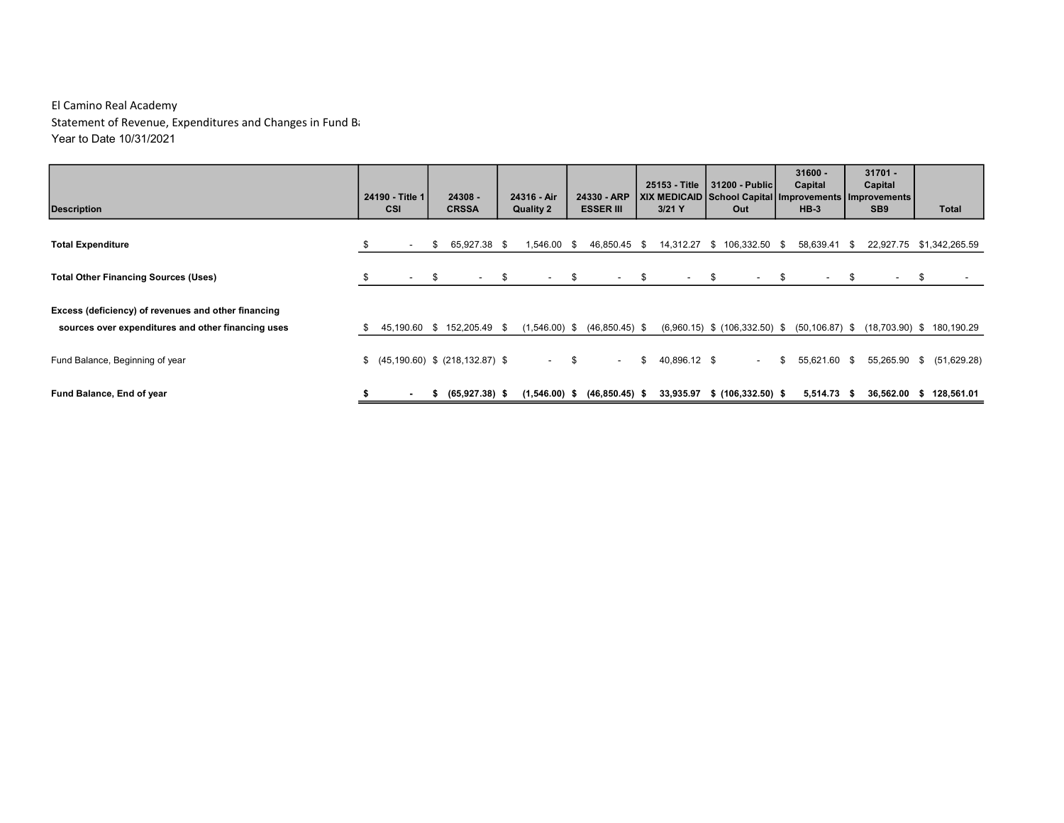| <b>Description</b>                                                                                        |    | 24190 - Title 1<br><b>CSI</b> |      | 24308 -<br><b>CRSSA</b>              |      | 24316 - Air<br><b>Quality 2</b> | 24330 - ARP<br><b>ESSER III</b> |      | 25153 - Title<br>  XIX MEDICAID   School Capital   Improvements   Improvements  <br>$3/21$ Y |      | 31200 - Public<br>Out             |      | $31600 -$<br>Capital<br>$HB-3$ |      | $31701 -$<br>Capital<br>SB <sub>9</sub> |      | Total                                           |
|-----------------------------------------------------------------------------------------------------------|----|-------------------------------|------|--------------------------------------|------|---------------------------------|---------------------------------|------|----------------------------------------------------------------------------------------------|------|-----------------------------------|------|--------------------------------|------|-----------------------------------------|------|-------------------------------------------------|
| <b>Total Expenditure</b>                                                                                  |    | $\overline{\phantom{a}}$      | S.   | 65,927.38 \$                         |      | 1,546.00 \$                     | 46,850.45                       | - \$ | 14,312.27                                                                                    | - \$ | 106,332.50 \$                     |      | 58,639.41 \$                   |      | 22,927.75                               |      | \$1,342,265.59                                  |
| <b>Total Other Financing Sources (Uses)</b>                                                               |    | $\sim$                        | - \$ | $\sim$ 100 $\mu$                     | - \$ | $\sim$                          | \$<br>$\sim$                    | - \$ | $\sim$                                                                                       | - \$ | $\sim$                            | - \$ | $\sim$                         | - \$ | $\sim$                                  | - \$ |                                                 |
| Excess (deficiency) of revenues and other financing<br>sources over expenditures and other financing uses | S  |                               |      | 45,190.60 \$ 152,205.49 \$           |      | $(1,546.00)$ \$                 | $(46,850.45)$ \$                |      |                                                                                              |      | $(6,960.15)$ \$ $(106,332.50)$ \$ |      |                                |      |                                         |      | $(50, 106.87)$ \$ $(18, 703.90)$ \$ 180, 190.29 |
| Fund Balance, Beginning of year                                                                           | \$ |                               |      | $(45, 190.60)$ \$ $(218, 132.87)$ \$ |      | <b>Service</b>                  | \$<br>$\sim$                    | \$   | 40,896.12 \$                                                                                 |      | $\overline{\phantom{a}}$          | \$   | 55,621.60 \$                   |      | 55,265.90 \$                            |      | (51,629.28)                                     |
| Fund Balance, End of year                                                                                 |    |                               |      | $(65,927.38)$ \$                     |      | $(1,546.00)$ \$                 | $(46, 850.45)$ \$               |      | 33,935.97                                                                                    |      | $$(106, 332.50)$ \$               |      | 5,514.73 \$                    |      | 36,562.00 \$                            |      | 128,561.01                                      |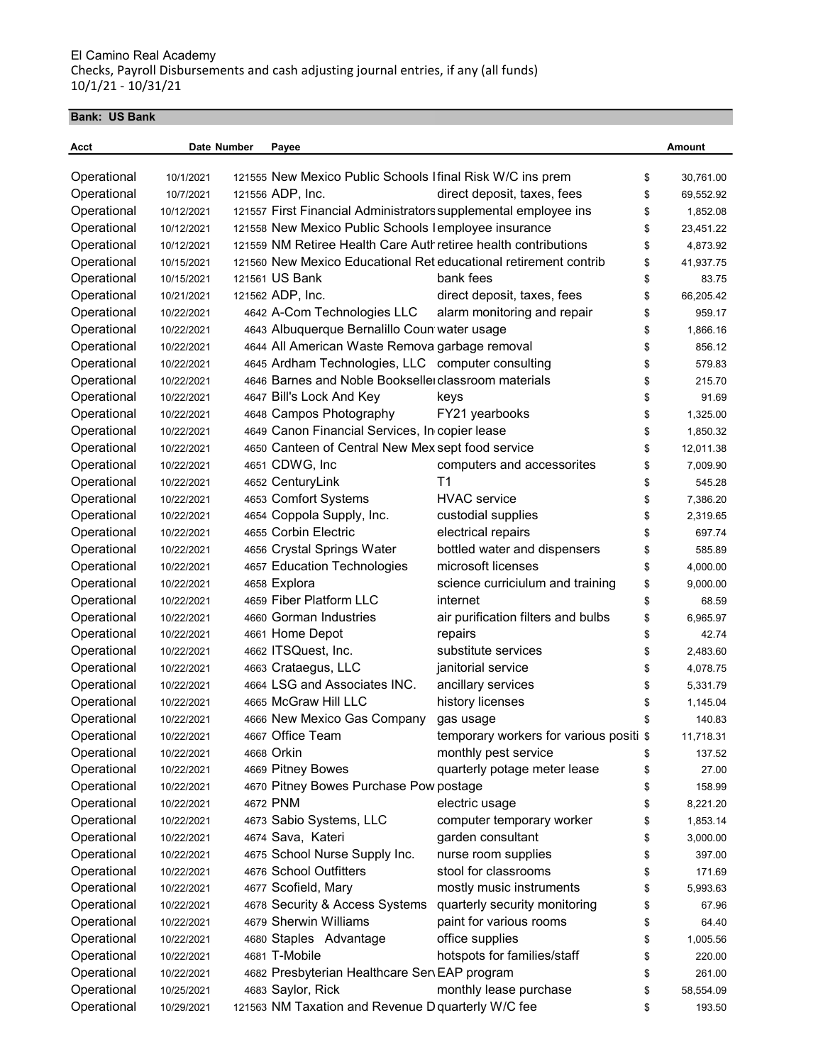#### Bank: US Bank

| Acct                       | Date Number | Payee                                                           |                                                                               |          | Amount    |
|----------------------------|-------------|-----------------------------------------------------------------|-------------------------------------------------------------------------------|----------|-----------|
|                            | 10/1/2021   | 121555 New Mexico Public Schools I final Risk W/C ins prem      |                                                                               |          | 30,761.00 |
| Operational<br>Operational | 10/7/2021   | 121556 ADP, Inc.                                                | direct deposit, taxes, fees                                                   | \$<br>\$ |           |
| Operational                | 10/12/2021  | 121557 First Financial Administrators supplemental employee ins |                                                                               | \$       | 69,552.92 |
|                            |             | 121558 New Mexico Public Schools lemployee insurance            |                                                                               |          | 1,852.08  |
| Operational                | 10/12/2021  | 121559 NM Retiree Health Care Auth retiree health contributions |                                                                               | \$       | 23,451.22 |
| Operational                | 10/12/2021  |                                                                 |                                                                               | \$       | 4,873.92  |
| Operational                | 10/15/2021  | 121561 US Bank                                                  | 121560 New Mexico Educational Ret educational retirement contrib<br>bank fees | \$       | 41,937.75 |
| Operational                | 10/15/2021  |                                                                 |                                                                               | \$       | 83.75     |
| Operational                | 10/21/2021  | 121562 ADP, Inc.                                                | direct deposit, taxes, fees                                                   | \$       | 66,205.42 |
| Operational                | 10/22/2021  | 4642 A-Com Technologies LLC                                     | alarm monitoring and repair                                                   | \$       | 959.17    |
| Operational                | 10/22/2021  | 4643 Albuquerque Bernalillo Coun water usage                    |                                                                               | \$       | 1,866.16  |
| Operational                | 10/22/2021  | 4644 All American Waste Remova garbage removal                  |                                                                               | \$       | 856.12    |
| Operational                | 10/22/2021  | 4645 Ardham Technologies, LLC computer consulting               |                                                                               | \$       | 579.83    |
| Operational                | 10/22/2021  | 4646 Barnes and Noble Bookselle classroom materials             |                                                                               | \$       | 215.70    |
| Operational                | 10/22/2021  | 4647 Bill's Lock And Key                                        | keys                                                                          | \$       | 91.69     |
| Operational                | 10/22/2021  | 4648 Campos Photography                                         | FY21 yearbooks                                                                | \$       | 1,325.00  |
| Operational                | 10/22/2021  | 4649 Canon Financial Services, In copier lease                  |                                                                               | \$       | 1,850.32  |
| Operational                | 10/22/2021  | 4650 Canteen of Central New Mex sept food service               |                                                                               | \$       | 12,011.38 |
| Operational                | 10/22/2021  | 4651 CDWG, Inc                                                  | computers and accessorites                                                    | \$       | 7,009.90  |
| Operational                | 10/22/2021  | 4652 CenturyLink                                                | T1                                                                            | \$       | 545.28    |
| Operational                | 10/22/2021  | 4653 Comfort Systems                                            | <b>HVAC</b> service                                                           | \$       | 7,386.20  |
| Operational                | 10/22/2021  | 4654 Coppola Supply, Inc.                                       | custodial supplies                                                            | \$       | 2,319.65  |
| Operational                | 10/22/2021  | 4655 Corbin Electric                                            | electrical repairs                                                            | \$       | 697.74    |
| Operational                | 10/22/2021  | 4656 Crystal Springs Water                                      | bottled water and dispensers                                                  | \$       | 585.89    |
| Operational                | 10/22/2021  | 4657 Education Technologies                                     | microsoft licenses                                                            | \$       | 4,000.00  |
| Operational                | 10/22/2021  | 4658 Explora                                                    | science curriciulum and training                                              | \$       | 9,000.00  |
| Operational                | 10/22/2021  | 4659 Fiber Platform LLC                                         | internet                                                                      | \$       | 68.59     |
| Operational                | 10/22/2021  | 4660 Gorman Industries                                          | air purification filters and bulbs                                            | \$       | 6,965.97  |
| Operational                | 10/22/2021  | 4661 Home Depot                                                 | repairs                                                                       | \$       | 42.74     |
| Operational                | 10/22/2021  | 4662 ITSQuest, Inc.                                             | substitute services                                                           | \$       | 2,483.60  |
| Operational                | 10/22/2021  | 4663 Crataegus, LLC                                             | janitorial service                                                            | \$       | 4,078.75  |
| Operational                | 10/22/2021  | 4664 LSG and Associates INC.                                    | ancillary services                                                            | \$       | 5,331.79  |
| Operational                | 10/22/2021  | 4665 McGraw Hill LLC                                            | history licenses                                                              | \$       | 1,145.04  |
| Operational                | 10/22/2021  | 4666 New Mexico Gas Company                                     | gas usage                                                                     | \$       | 140.83    |
| Operational                | 10/22/2021  | 4667 Office Team                                                | temporary workers for various positi \$                                       |          | 11,718.31 |
| Operational                | 10/22/2021  | 4668 Orkin                                                      | monthly pest service                                                          | \$       | 137.52    |
| Operational                | 10/22/2021  | 4669 Pitney Bowes                                               | quarterly potage meter lease                                                  | \$       | 27.00     |
| Operational                | 10/22/2021  | 4670 Pitney Bowes Purchase Pow postage                          |                                                                               | \$       | 158.99    |
| Operational                | 10/22/2021  | 4672 PNM                                                        | electric usage                                                                | \$       | 8,221.20  |
| Operational                | 10/22/2021  | 4673 Sabio Systems, LLC                                         | computer temporary worker                                                     | \$       | 1,853.14  |
| Operational                | 10/22/2021  | 4674 Sava, Kateri                                               | garden consultant                                                             | \$       | 3,000.00  |
| Operational                | 10/22/2021  | 4675 School Nurse Supply Inc.                                   | nurse room supplies                                                           | \$       | 397.00    |
| Operational                | 10/22/2021  | 4676 School Outfitters                                          | stool for classrooms                                                          | \$       | 171.69    |
| Operational                | 10/22/2021  | 4677 Scofield, Mary                                             | mostly music instruments                                                      | \$       | 5,993.63  |
| Operational                | 10/22/2021  | 4678 Security & Access Systems                                  | quarterly security monitoring                                                 | \$       | 67.96     |
| Operational                | 10/22/2021  | 4679 Sherwin Williams                                           | paint for various rooms                                                       | \$       | 64.40     |
| Operational                | 10/22/2021  | 4680 Staples Advantage                                          | office supplies                                                               | \$       | 1,005.56  |
| Operational                | 10/22/2021  | 4681 T-Mobile                                                   | hotspots for families/staff                                                   | \$       | 220.00    |
| Operational                | 10/22/2021  | 4682 Presbyterian Healthcare Sen EAP program                    |                                                                               | \$       | 261.00    |
| Operational                | 10/25/2021  | 4683 Saylor, Rick                                               | monthly lease purchase                                                        | \$       | 58,554.09 |
| Operational                | 10/29/2021  | 121563 NM Taxation and Revenue D quarterly W/C fee              |                                                                               | \$       | 193.50    |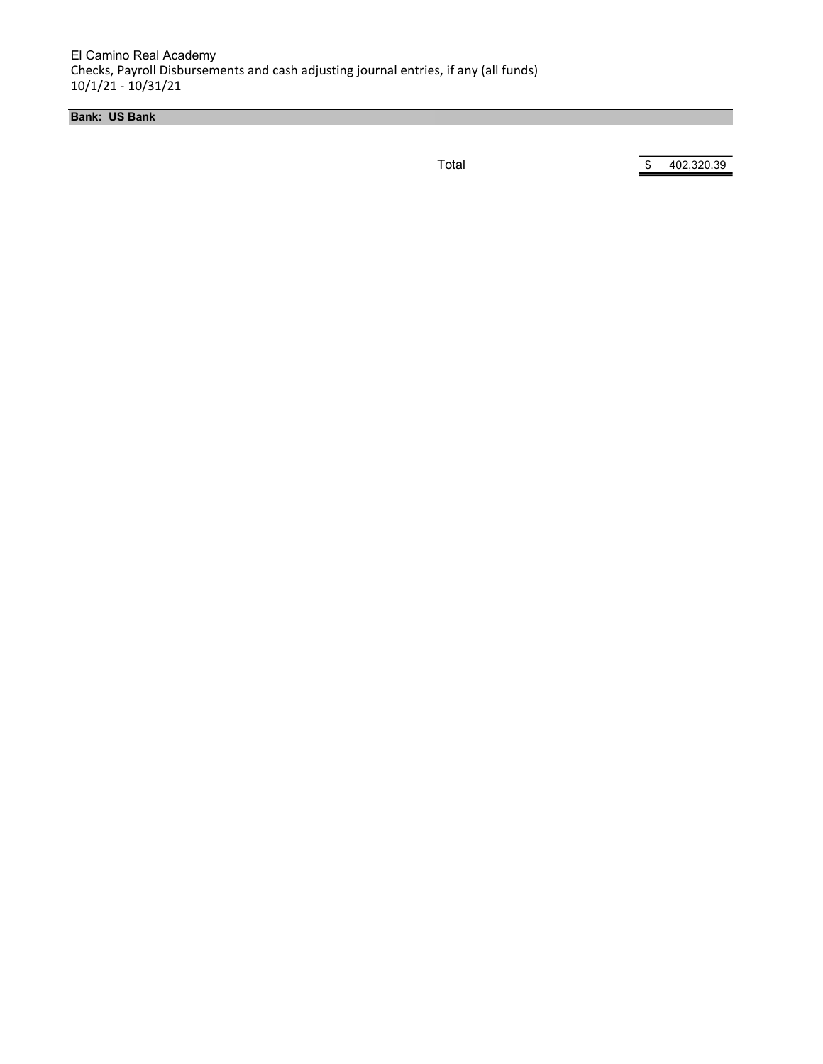El Camino Real Academy Checks, Payroll Disbursements and cash adjusting journal entries, if any (all funds) 10/1/21 - 10/31/21

Bank: US Bank

Total \$ 402,320.39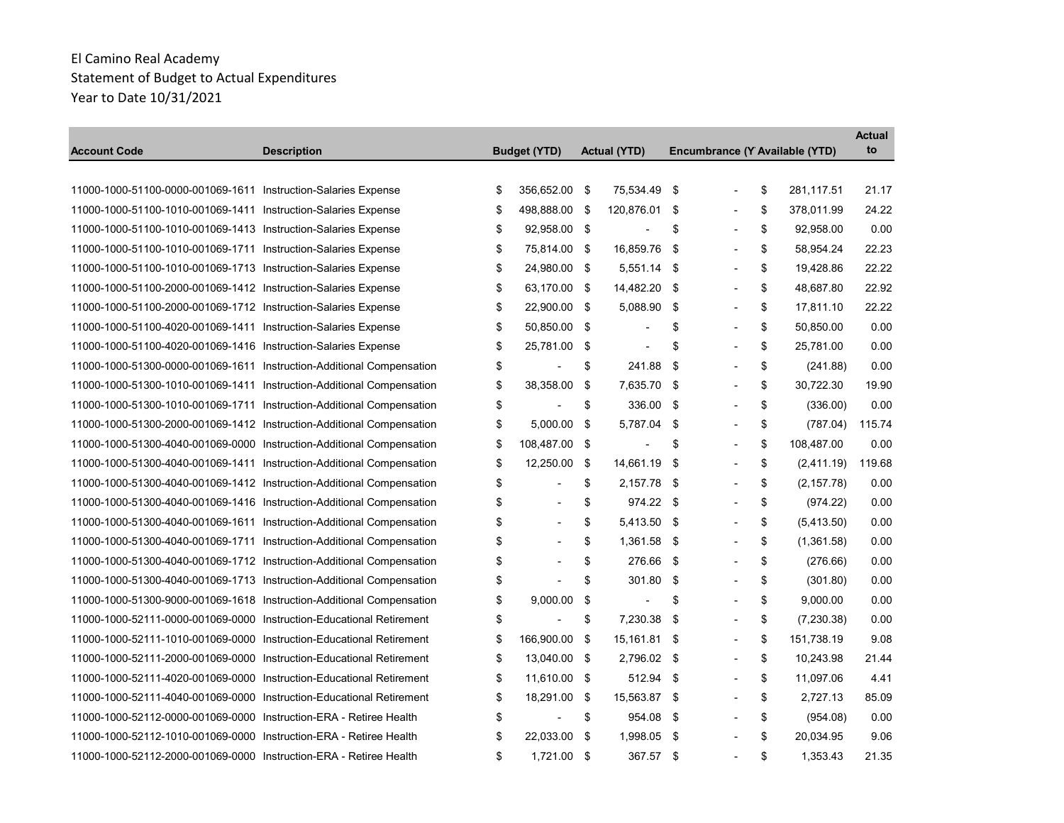the control of the control of the con-

|                                                                       |                    |                     |     |                     |      |                                |                   | <b>Actual</b><br>to |
|-----------------------------------------------------------------------|--------------------|---------------------|-----|---------------------|------|--------------------------------|-------------------|---------------------|
| <b>Account Code</b>                                                   | <b>Description</b> | <b>Budget (YTD)</b> |     | <b>Actual (YTD)</b> |      | Encumbrance (Y Available (YTD) |                   |                     |
| 11000-1000-51100-0000-001069-1611 Instruction-Salaries Expense        |                    | \$<br>356,652.00    | -\$ | 75,534.49           | \$   |                                | \$<br>281,117.51  | 21.17               |
| 11000-1000-51100-1010-001069-1411 Instruction-Salaries Expense        |                    | \$<br>498,888.00 \$ |     | 120,876.01 \$       |      |                                | \$<br>378,011.99  | 24.22               |
| 11000-1000-51100-1010-001069-1413 Instruction-Salaries Expense        |                    | \$<br>92,958.00 \$  |     |                     | \$   |                                | \$<br>92,958.00   | 0.00                |
| 11000-1000-51100-1010-001069-1711 Instruction-Salaries Expense        |                    | \$<br>75,814.00 \$  |     | 16,859.76           | \$   |                                | \$<br>58,954.24   | 22.23               |
| 11000-1000-51100-1010-001069-1713 Instruction-Salaries Expense        |                    | \$<br>24,980.00 \$  |     | 5,551.14            | -\$  |                                | \$<br>19,428.86   | 22.22               |
| 11000-1000-51100-2000-001069-1412 Instruction-Salaries Expense        |                    | \$<br>63,170.00 \$  |     | 14,482.20           | - \$ |                                | \$<br>48,687.80   | 22.92               |
| 11000-1000-51100-2000-001069-1712 Instruction-Salaries Expense        |                    | \$<br>22,900.00 \$  |     | 5,088.90            | -\$  | $\overline{\phantom{a}}$       | \$<br>17,811.10   | 22.22               |
| 11000-1000-51100-4020-001069-1411 Instruction-Salaries Expense        |                    | \$<br>50,850.00     | -\$ |                     | \$   |                                | \$<br>50,850.00   | 0.00                |
| 11000-1000-51100-4020-001069-1416 Instruction-Salaries Expense        |                    | \$<br>25,781.00 \$  |     | $\blacksquare$      | \$   | $\blacksquare$                 | \$<br>25,781.00   | 0.00                |
| 11000-1000-51300-0000-001069-1611 Instruction-Additional Compensation |                    | \$                  | \$  | 241.88              | \$   | ٠                              | \$<br>(241.88)    | 0.00                |
| 11000-1000-51300-1010-001069-1411 Instruction-Additional Compensation |                    | \$<br>38,358.00     | \$  | 7,635.70            | \$   |                                | \$<br>30,722.30   | 19.90               |
| 11000-1000-51300-1010-001069-1711 Instruction-Additional Compensation |                    | \$                  | \$  | 336.00              | -\$  | $\overline{\phantom{a}}$       | \$<br>(336.00)    | 0.00                |
| 11000-1000-51300-2000-001069-1412 Instruction-Additional Compensation |                    | \$<br>5.000.00      | \$  | 5.787.04            | -\$  |                                | \$<br>(787.04)    | 115.74              |
| 11000-1000-51300-4040-001069-0000 Instruction-Additional Compensation |                    | \$<br>108,487.00 \$ |     |                     | \$   |                                | \$<br>108,487.00  | 0.00                |
| 11000-1000-51300-4040-001069-1411 Instruction-Additional Compensation |                    | \$<br>12,250.00     | \$  | 14,661.19           | -\$  | $\blacksquare$                 | \$<br>(2,411.19)  | 119.68              |
| 11000-1000-51300-4040-001069-1412 Instruction-Additional Compensation |                    | \$                  | \$  | 2,157.78            | -\$  |                                | \$<br>(2, 157.78) | 0.00                |
| 11000-1000-51300-4040-001069-1416 Instruction-Additional Compensation |                    | \$                  | \$  | 974.22 \$           |      |                                | \$<br>(974.22)    | 0.00                |
| 11000-1000-51300-4040-001069-1611 Instruction-Additional Compensation |                    | \$                  | \$  | 5,413.50 \$         |      | $\blacksquare$                 | \$<br>(5,413.50)  | 0.00                |
| 11000-1000-51300-4040-001069-1711 Instruction-Additional Compensation |                    | \$                  | \$  | 1,361.58            | \$   |                                | \$<br>(1,361.58)  | 0.00                |
| 11000-1000-51300-4040-001069-1712 Instruction-Additional Compensation |                    | \$                  | \$  | 276.66              | -\$  | $\overline{\phantom{0}}$       | \$<br>(276.66)    | 0.00                |
| 11000-1000-51300-4040-001069-1713 Instruction-Additional Compensation |                    | \$                  | \$  | 301.80              | \$   |                                | \$<br>(301.80)    | 0.00                |
| 11000-1000-51300-9000-001069-1618 Instruction-Additional Compensation |                    | \$<br>9,000.00      | \$  |                     | \$   |                                | \$<br>9,000.00    | 0.00                |
| 11000-1000-52111-0000-001069-0000 Instruction-Educational Retirement  |                    | \$                  | \$  | 7,230.38            | -\$  | $\overline{\phantom{a}}$       | \$<br>(7, 230.38) | 0.00                |
| 11000-1000-52111-1010-001069-0000 Instruction-Educational Retirement  |                    | \$<br>166,900.00    | \$  | 15,161.81 \$        |      |                                | \$<br>151,738.19  | 9.08                |
| 11000-1000-52111-2000-001069-0000 Instruction-Educational Retirement  |                    | \$<br>13,040.00 \$  |     | 2,796.02 \$         |      | $\blacksquare$                 | \$<br>10,243.98   | 21.44               |
| 11000-1000-52111-4020-001069-0000 Instruction-Educational Retirement  |                    | \$<br>11,610.00 \$  |     | 512.94              | -\$  | $\overline{\phantom{a}}$       | \$<br>11,097.06   | 4.41                |
| 11000-1000-52111-4040-001069-0000 Instruction-Educational Retirement  |                    | \$<br>18,291.00     | \$  | 15,563.87 \$        |      |                                | \$<br>2,727.13    | 85.09               |
| 11000-1000-52112-0000-001069-0000 Instruction-ERA - Retiree Health    |                    | \$                  | \$  | 954.08              | -\$  | $\overline{\phantom{a}}$       | \$<br>(954.08)    | 0.00                |
| 11000-1000-52112-1010-001069-0000 Instruction-ERA - Retiree Health    |                    | \$<br>22,033.00 \$  |     | 1,998.05 \$         |      |                                | \$<br>20,034.95   | 9.06                |
| 11000-1000-52112-2000-001069-0000 Instruction-ERA - Retiree Health    |                    | \$<br>1,721.00 \$   |     | 367.57              | -\$  |                                | \$<br>1.353.43    | 21.35               |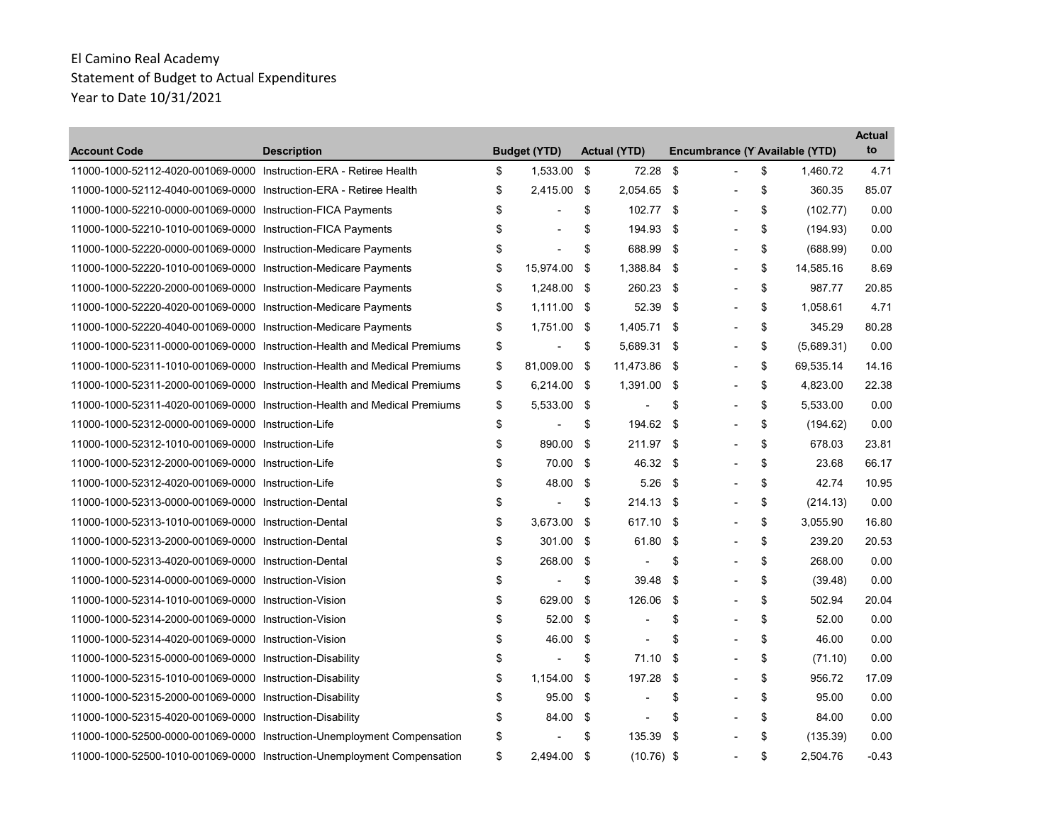| <b>Account Code</b>                                                | <b>Description</b>                                                        | <b>Budget (YTD)</b> |     | <b>Actual (YTD)</b> |     | Encumbrance (Y Available (YTD) |                  | <b>Actual</b><br>to |
|--------------------------------------------------------------------|---------------------------------------------------------------------------|---------------------|-----|---------------------|-----|--------------------------------|------------------|---------------------|
| 11000-1000-52112-4020-001069-0000 Instruction-ERA - Retiree Health |                                                                           | \$<br>1,533.00      | -\$ | 72.28               | \$  | $\overline{a}$                 | \$<br>1,460.72   | 4.71                |
| 11000-1000-52112-4040-001069-0000 Instruction-ERA - Retiree Health |                                                                           | \$<br>2,415.00      | -\$ | 2,054.65            | -\$ | $\overline{a}$                 | \$<br>360.35     | 85.07               |
| 11000-1000-52210-0000-001069-0000 Instruction-FICA Payments        |                                                                           | \$                  | \$  | 102.77 \$           |     |                                | \$<br>(102.77)   | 0.00                |
| 11000-1000-52210-1010-001069-0000 Instruction-FICA Payments        |                                                                           | \$                  | \$  | 194.93              | \$  | $\overline{\phantom{a}}$       | \$<br>(194.93)   | 0.00                |
| 11000-1000-52220-0000-001069-0000 Instruction-Medicare Payments    |                                                                           | \$                  | \$  | 688.99              | -\$ |                                | \$<br>(688.99)   | 0.00                |
| 11000-1000-52220-1010-001069-0000 Instruction-Medicare Payments    |                                                                           | \$<br>15,974.00     | \$  | 1,388.84            | -\$ |                                | \$<br>14,585.16  | 8.69                |
| 11000-1000-52220-2000-001069-0000 Instruction-Medicare Payments    |                                                                           | \$<br>1,248.00 \$   |     | 260.23 \$           |     | $\overline{a}$                 | \$<br>987.77     | 20.85               |
| 11000-1000-52220-4020-001069-0000 Instruction-Medicare Payments    |                                                                           | \$<br>$1.111.00$ \$ |     | 52.39               | -\$ |                                | \$<br>1.058.61   | 4.71                |
| 11000-1000-52220-4040-001069-0000 Instruction-Medicare Payments    |                                                                           | \$<br>1.751.00      | -\$ | 1.405.71            | -\$ |                                | \$<br>345.29     | 80.28               |
|                                                                    | 11000-1000-52311-0000-001069-0000 Instruction-Health and Medical Premiums | \$                  | \$  | 5.689.31 \$         |     | $\overline{a}$                 | \$<br>(5,689.31) | 0.00                |
|                                                                    | 11000-1000-52311-1010-001069-0000 Instruction-Health and Medical Premiums | \$<br>81.009.00     | -\$ | 11,473.86           | -\$ |                                | \$<br>69,535.14  | 14.16               |
|                                                                    | 11000-1000-52311-2000-001069-0000 Instruction-Health and Medical Premiums | \$<br>6,214.00 \$   |     | 1,391.00            | -\$ | $\overline{a}$                 | \$<br>4,823.00   | 22.38               |
|                                                                    | 11000-1000-52311-4020-001069-0000 Instruction-Health and Medical Premiums | \$<br>5,533.00 \$   |     |                     | \$  |                                | \$<br>5,533.00   | 0.00                |
| 11000-1000-52312-0000-001069-0000 Instruction-Life                 |                                                                           | \$                  | \$  | 194.62              | \$  |                                | \$<br>(194.62)   | 0.00                |
| 11000-1000-52312-1010-001069-0000 Instruction-Life                 |                                                                           | \$<br>890.00        | \$  | 211.97              | -\$ |                                | \$<br>678.03     | 23.81               |
| 11000-1000-52312-2000-001069-0000 Instruction-Life                 |                                                                           | \$<br>70.00         | \$  | 46.32 \$            |     |                                | \$<br>23.68      | 66.17               |
| 11000-1000-52312-4020-001069-0000 Instruction-Life                 |                                                                           | \$<br>48.00         | -\$ | 5.26                | \$  | $\overline{a}$                 | \$<br>42.74      | 10.95               |
| 11000-1000-52313-0000-001069-0000 Instruction-Dental               |                                                                           | \$                  | \$  | 214.13              | -\$ |                                | \$<br>(214.13)   | 0.00                |
| 11000-1000-52313-1010-001069-0000 Instruction-Dental               |                                                                           | \$<br>3,673.00      | \$  | 617.10              | -\$ |                                | \$<br>3,055.90   | 16.80               |
| 11000-1000-52313-2000-001069-0000 Instruction-Dental               |                                                                           | \$<br>301.00 \$     |     | 61.80               | \$  | $\overline{a}$                 | \$<br>239.20     | 20.53               |
| 11000-1000-52313-4020-001069-0000 Instruction-Dental               |                                                                           | \$<br>268.00        | -\$ | $\blacksquare$      | \$  | $\overline{a}$                 | \$<br>268.00     | 0.00                |
| 11000-1000-52314-0000-001069-0000 Instruction-Vision               |                                                                           | \$                  | \$  | 39.48               | \$  | $\overline{a}$                 | \$<br>(39.48)    | 0.00                |
| 11000-1000-52314-1010-001069-0000 Instruction-Vision               |                                                                           | \$<br>629.00        | \$  | 126.06              | \$  |                                | \$<br>502.94     | 20.04               |
| 11000-1000-52314-2000-001069-0000 Instruction-Vision               |                                                                           | \$<br>52.00         | \$  | $\blacksquare$      | \$  | $\overline{\phantom{a}}$       | \$<br>52.00      | 0.00                |
| 11000-1000-52314-4020-001069-0000 Instruction-Vision               |                                                                           | \$<br>46.00         | \$  |                     | \$  |                                | \$<br>46.00      | 0.00                |
| 11000-1000-52315-0000-001069-0000 Instruction-Disability           |                                                                           | \$                  | \$  | 71.10               | \$  |                                | \$<br>(71.10)    | 0.00                |
| 11000-1000-52315-1010-001069-0000 Instruction-Disability           |                                                                           | \$<br>1,154.00      | \$  | 197.28              | \$  | $\overline{\phantom{0}}$       | \$<br>956.72     | 17.09               |
| 11000-1000-52315-2000-001069-0000 Instruction-Disability           |                                                                           | \$<br>95.00         | \$  | $\blacksquare$      | \$  |                                | \$<br>95.00      | 0.00                |
| 11000-1000-52315-4020-001069-0000 Instruction-Disability           |                                                                           | \$<br>84.00         | -\$ |                     | \$  |                                | \$<br>84.00      | 0.00                |
|                                                                    | 11000-1000-52500-0000-001069-0000 Instruction-Unemployment Compensation   | \$                  | \$  | 135.39              | \$  |                                | \$<br>(135.39)   | 0.00                |
|                                                                    | 11000-1000-52500-1010-001069-0000 Instruction-Unemployment Compensation   | \$<br>2,494.00 \$   |     | $(10.76)$ \$        |     | Ĭ.                             | \$<br>2,504.76   | $-0.43$             |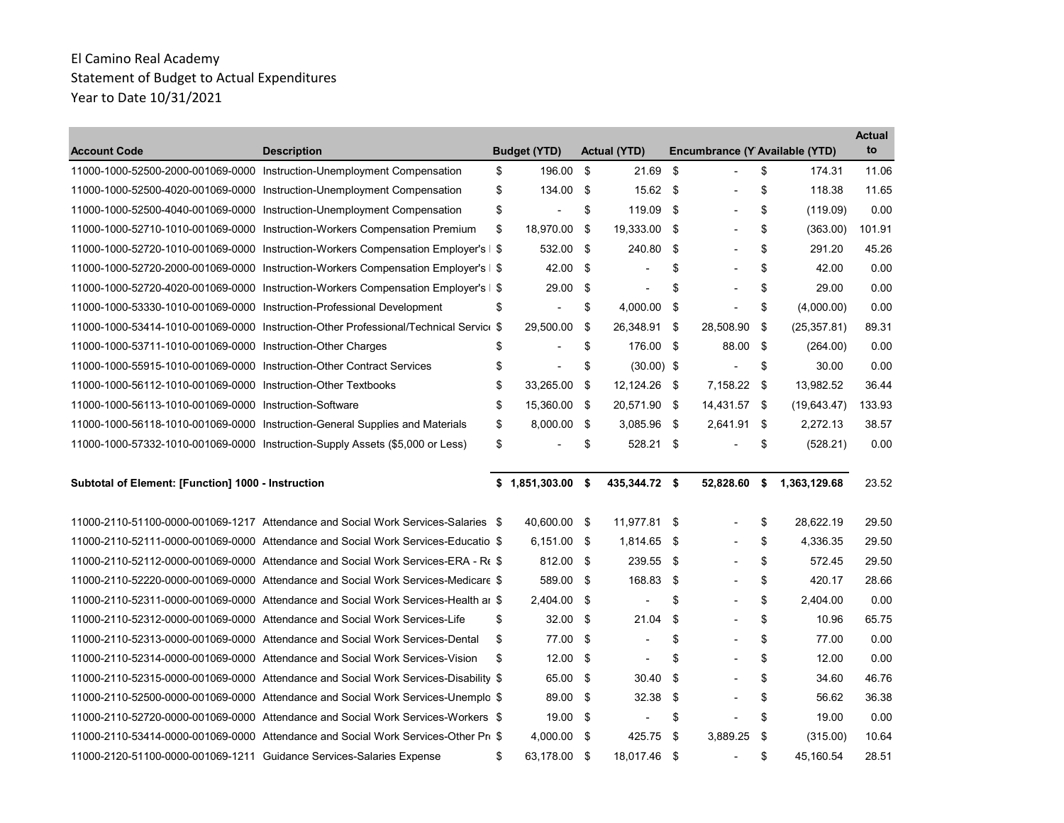| <b>Account Code</b>                                                    | <b>Description</b>                                                                    | <b>Budget (YTD)</b>  |     | <b>Actual (YTD)</b> |      | Encumbrance (Y Available (YTD) |                    | <b>Actual</b><br>to |
|------------------------------------------------------------------------|---------------------------------------------------------------------------------------|----------------------|-----|---------------------|------|--------------------------------|--------------------|---------------------|
|                                                                        | 11000-1000-52500-2000-001069-0000 Instruction-Unemployment Compensation               | \$<br>196.00         | \$  | 21.69               | \$   | $\overline{a}$                 | \$<br>174.31       | 11.06               |
|                                                                        | 11000-1000-52500-4020-001069-0000 Instruction-Unemployment Compensation               | \$<br>134.00         | \$  | 15.62 \$            |      | $\blacksquare$                 | \$<br>118.38       | 11.65               |
|                                                                        | 11000-1000-52500-4040-001069-0000 Instruction-Unemployment Compensation               | \$                   | \$  | 119.09 \$           |      | $\overline{\phantom{a}}$       | \$<br>(119.09)     | 0.00                |
|                                                                        | 11000-1000-52710-1010-001069-0000 Instruction-Workers Compensation Premium            | \$<br>18,970.00      | \$  | 19,333.00           | -\$  |                                | \$<br>(363.00)     | 101.91              |
|                                                                        | 11000-1000-52720-1010-001069-0000 Instruction-Workers Compensation Employer's   \$    | 532.00               | -\$ | 240.80              | -\$  |                                | \$<br>291.20       | 45.26               |
|                                                                        | 11000-1000-52720-2000-001069-0000 Instruction-Workers Compensation Employer's   \$    | 42.00                | \$  |                     | \$   |                                | \$<br>42.00        | 0.00                |
|                                                                        | 11000-1000-52720-4020-001069-0000 Instruction-Workers Compensation Employer's   \$    | 29.00                | \$  | $\overline{a}$      | \$   |                                | \$<br>29.00        | 0.00                |
| 11000-1000-53330-1010-001069-0000 Instruction-Professional Development |                                                                                       | \$<br>$\overline{a}$ | \$  | 4,000.00            | \$   | $\overline{a}$                 | \$<br>(4,000.00)   | 0.00                |
|                                                                        | 11000-1000-53414-1010-001069-0000 Instruction-Other Professional/Technical Service \$ | 29,500.00            | \$  | 26,348.91 \$        |      | 28,508.90                      | \$<br>(25, 357.81) | 89.31               |
| 11000-1000-53711-1010-001069-0000 Instruction-Other Charges            |                                                                                       | \$                   | \$  | 176.00 \$           |      | 88.00                          | \$<br>(264.00)     | 0.00                |
| 11000-1000-55915-1010-001069-0000 Instruction-Other Contract Services  |                                                                                       | \$                   | \$  | $(30.00)$ \$        |      | $\overline{a}$                 | \$<br>30.00        | 0.00                |
| 11000-1000-56112-1010-001069-0000 Instruction-Other Textbooks          |                                                                                       | \$<br>33,265.00      | \$  | 12,124.26 \$        |      | 7,158.22 \$                    | 13,982.52          | 36.44               |
| 11000-1000-56113-1010-001069-0000 Instruction-Software                 |                                                                                       | \$<br>15,360.00      | -\$ | 20,571.90 \$        |      | 14,431.57 \$                   | (19, 643.47)       | 133.93              |
|                                                                        | 11000-1000-56118-1010-001069-0000 Instruction-General Supplies and Materials          | \$<br>8,000.00 \$    |     | 3,085.96 \$         |      | 2,641.91 \$                    | 2,272.13           | 38.57               |
|                                                                        | 11000-1000-57332-1010-001069-0000 Instruction-Supply Assets (\$5,000 or Less)         | \$                   | \$  | 528.21 \$           |      |                                | \$<br>(528.21)     | 0.00                |
|                                                                        |                                                                                       |                      |     |                     |      |                                |                    |                     |
| Subtotal of Element: [Function] 1000 - Instruction                     |                                                                                       | $$1,851,303.00$ \$   |     | 435,344.72 \$       |      | 52,828.60                      | \$<br>1,363,129.68 | 23.52               |
|                                                                        |                                                                                       |                      |     |                     |      |                                |                    |                     |
|                                                                        | 11000-2110-51100-0000-001069-1217 Attendance and Social Work Services-Salaries \$     | 40,600.00            | -\$ | 11,977.81 \$        |      |                                | \$<br>28,622.19    | 29.50               |
|                                                                        | 11000-2110-52111-0000-001069-0000 Attendance and Social Work Services-Educatio \$     | 6,151.00 \$          |     | 1,814.65 \$         |      |                                | \$<br>4,336.35     | 29.50               |
|                                                                        | 11000-2110-52112-0000-001069-0000 Attendance and Social Work Services-ERA - R(\$)     | 812.00 \$            |     | 239.55 \$           |      |                                | \$<br>572.45       | 29.50               |
|                                                                        | 11000-2110-52220-0000-001069-0000 Attendance and Social Work Services-Medicare \$     | 589.00               | -\$ | 168.83              | \$   |                                | \$<br>420.17       | 28.66               |
|                                                                        | 11000-2110-52311-0000-001069-0000 Attendance and Social Work Services-Health ar \$    | 2,404.00 \$          |     |                     | \$   | $\blacksquare$                 | \$<br>2,404.00     | 0.00                |
|                                                                        | 11000-2110-52312-0000-001069-0000 Attendance and Social Work Services-Life            | \$<br>32.00          | -\$ | 21.04               | \$   |                                | \$<br>10.96        | 65.75               |
|                                                                        | 11000-2110-52313-0000-001069-0000 Attendance and Social Work Services-Dental          | \$<br>77.00          | -\$ | $\blacksquare$      | \$   | $\overline{a}$                 | \$<br>77.00        | 0.00                |
|                                                                        | 11000-2110-52314-0000-001069-0000 Attendance and Social Work Services-Vision          | \$<br>12.00          | -\$ | $\blacksquare$      | \$   |                                | \$<br>12.00        | 0.00                |
|                                                                        | 11000-2110-52315-0000-001069-0000 Attendance and Social Work Services-Disability \$   | 65.00                | -\$ | 30.40               | \$   |                                | \$<br>34.60        | 46.76               |
|                                                                        | 11000-2110-52500-0000-001069-0000 Attendance and Social Work Services-Unemplo \$      | 89.00                | -\$ | 32.38               | \$   |                                | \$<br>56.62        | 36.38               |
|                                                                        | 11000-2110-52720-0000-001069-0000 Attendance and Social Work Services-Workers \$      | 19.00                | \$  |                     | \$   |                                | \$<br>19.00        | 0.00                |
|                                                                        | 11000-2110-53414-0000-001069-0000 Attendance and Social Work Services-Other Pro \$    | 4,000.00 \$          |     | 425.75              | - \$ | 3,889.25                       | \$<br>(315.00)     | 10.64               |
| 11000-2120-51100-0000-001069-1211 Guidance Services-Salaries Expense   |                                                                                       | \$<br>63,178.00 \$   |     | 18,017.46           | - \$ | ÷,                             | \$<br>45,160.54    | 28.51               |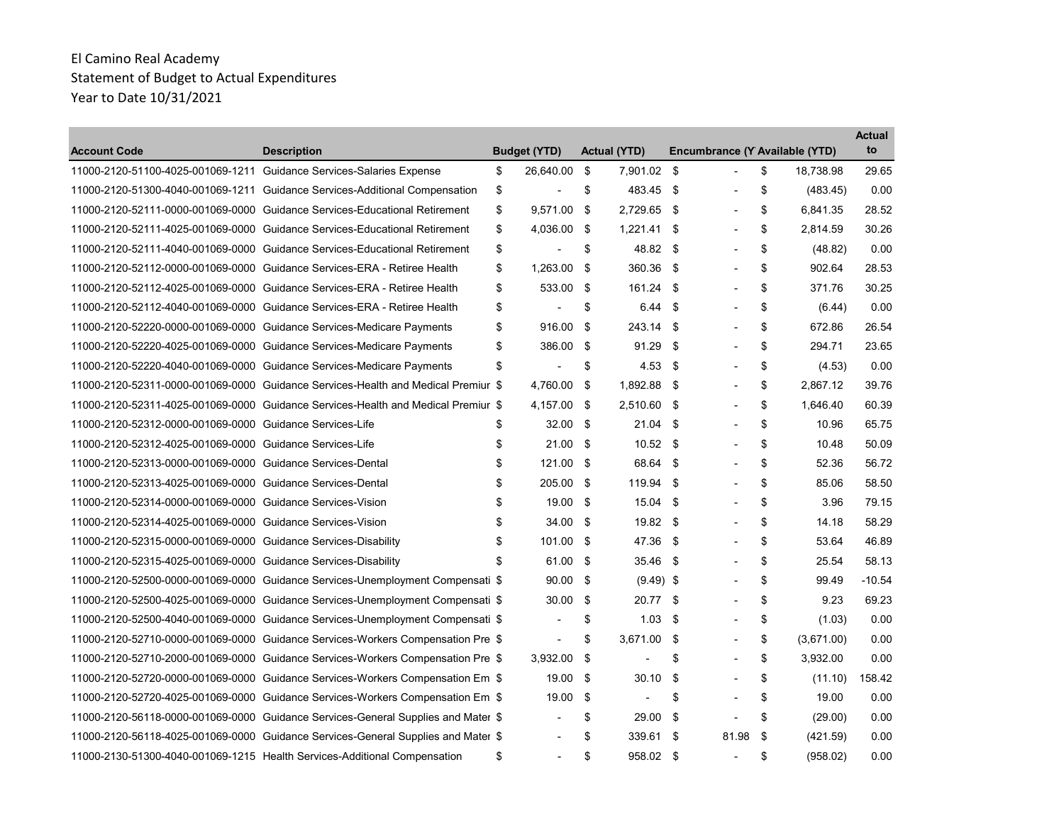| <b>Account Code</b>                                                  | <b>Description</b>                                                                | <b>Budget (YTD)</b> |     | <b>Actual (YTD)</b> |     | Encumbrance (Y Available (YTD) |                  | Actual<br>to |
|----------------------------------------------------------------------|-----------------------------------------------------------------------------------|---------------------|-----|---------------------|-----|--------------------------------|------------------|--------------|
| 11000-2120-51100-4025-001069-1211 Guidance Services-Salaries Expense |                                                                                   | \$<br>26,640.00     | \$  | 7,901.02 \$         |     | $\overline{a}$                 | \$<br>18,738.98  | 29.65        |
|                                                                      | 11000-2120-51300-4040-001069-1211 Guidance Services-Additional Compensation       | \$                  | \$  | 483.45              | -\$ | $\blacksquare$                 | \$<br>(483.45)   | 0.00         |
|                                                                      | 11000-2120-52111-0000-001069-0000 Guidance Services-Educational Retirement        | \$<br>9,571.00      | -\$ | 2,729.65 \$         |     |                                | \$<br>6,841.35   | 28.52        |
|                                                                      | 11000-2120-52111-4025-001069-0000 Guidance Services-Educational Retirement        | \$<br>4.036.00      | -\$ | 1,221.41            | -\$ |                                | \$<br>2.814.59   | 30.26        |
|                                                                      | 11000-2120-52111-4040-001069-0000 Guidance Services-Educational Retirement        | \$                  | \$  | 48.82 \$            |     | $\overline{a}$                 | \$<br>(48.82)    | 0.00         |
|                                                                      | 11000-2120-52112-0000-001069-0000 Guidance Services-ERA - Retiree Health          | \$<br>1,263.00      | \$  | 360.36              | \$  |                                | \$<br>902.64     | 28.53        |
|                                                                      | 11000-2120-52112-4025-001069-0000 Guidance Services-ERA - Retiree Health          | \$<br>533.00 \$     |     | 161.24 \$           |     | $\overline{\phantom{a}}$       | \$<br>371.76     | 30.25        |
|                                                                      | 11000-2120-52112-4040-001069-0000 Guidance Services-ERA - Retiree Health          | \$                  | \$  | 6.44                | -\$ |                                | \$<br>(6.44)     | 0.00         |
|                                                                      | 11000-2120-52220-0000-001069-0000 Guidance Services-Medicare Payments             | \$<br>916.00        | \$  | 243.14              | \$  |                                | \$<br>672.86     | 26.54        |
|                                                                      | 11000-2120-52220-4025-001069-0000 Guidance Services-Medicare Payments             | \$<br>386.00        | -\$ | 91.29               | \$  | $\blacksquare$                 | \$<br>294.71     | 23.65        |
|                                                                      | 11000-2120-52220-4040-001069-0000 Guidance Services-Medicare Payments             | \$                  | \$  | 4.53                | -\$ |                                | \$<br>(4.53)     | 0.00         |
|                                                                      | 11000-2120-52311-0000-001069-0000 Guidance Services-Health and Medical Premiur \$ | 4,760.00            | \$  | 1,892.88            | -\$ |                                | \$<br>2.867.12   | 39.76        |
|                                                                      | 11000-2120-52311-4025-001069-0000 Guidance Services-Health and Medical Premiur \$ | 4,157.00 \$         |     | 2.510.60            | -\$ | $\overline{\phantom{a}}$       | \$<br>1.646.40   | 60.39        |
| 11000-2120-52312-0000-001069-0000 Guidance Services-Life             |                                                                                   | \$<br>32.00         | -\$ | 21.04               | -\$ |                                | \$<br>10.96      | 65.75        |
| 11000-2120-52312-4025-001069-0000 Guidance Services-Life             |                                                                                   | \$<br>21.00         | \$  | $10.52$ \$          |     | $\blacksquare$                 | \$<br>10.48      | 50.09        |
| 11000-2120-52313-0000-001069-0000 Guidance Services-Dental           |                                                                                   | \$<br>121.00        | -\$ | 68.64               | -\$ | $\blacksquare$                 | \$<br>52.36      | 56.72        |
| 11000-2120-52313-4025-001069-0000 Guidance Services-Dental           |                                                                                   | \$<br>205.00        | -\$ | 119.94              | -\$ | $\overline{\phantom{a}}$       | \$<br>85.06      | 58.50        |
| 11000-2120-52314-0000-001069-0000 Guidance Services-Vision           |                                                                                   | \$<br>19.00         | -\$ | 15.04               | -\$ |                                | \$<br>3.96       | 79.15        |
| 11000-2120-52314-4025-001069-0000 Guidance Services-Vision           |                                                                                   | \$<br>34.00         | \$  | 19.82               | -\$ |                                | \$<br>14.18      | 58.29        |
| 11000-2120-52315-0000-001069-0000 Guidance Services-Disability       |                                                                                   | \$<br>101.00 \$     |     | 47.36               | -\$ | $\blacksquare$                 | \$<br>53.64      | 46.89        |
| 11000-2120-52315-4025-001069-0000 Guidance Services-Disability       |                                                                                   | \$<br>61.00         | -\$ | 35.46               | \$  | $\overline{\phantom{a}}$       | \$<br>25.54      | 58.13        |
|                                                                      | 11000-2120-52500-0000-001069-0000 Guidance Services-Unemployment Compensati \$    | 90.00               | -\$ | $(9.49)$ \$         |     |                                | \$<br>99.49      | $-10.54$     |
|                                                                      | 11000-2120-52500-4025-001069-0000 Guidance Services-Unemployment Compensati \$    | 30.00               | -\$ | 20.77 \$            |     | $\blacksquare$                 | \$<br>9.23       | 69.23        |
|                                                                      | 11000-2120-52500-4040-001069-0000 Guidance Services-Unemployment Compensati \$    |                     | \$  | 1.03                | -\$ |                                | \$<br>(1.03)     | 0.00         |
|                                                                      | 11000-2120-52710-0000-001069-0000 Guidance Services-Workers Compensation Pre \$   | $\blacksquare$      | \$  | 3,671.00            | -\$ | $\blacksquare$                 | \$<br>(3,671.00) | 0.00         |
|                                                                      | 11000-2120-52710-2000-001069-0000 Guidance Services-Workers Compensation Pre \$   | 3,932.00            | \$  |                     | \$  | $\overline{a}$                 | \$<br>3,932.00   | 0.00         |
|                                                                      | 11000-2120-52720-0000-001069-0000 Guidance Services-Workers Compensation Em \$    | 19.00               | -\$ | 30.10               | \$  |                                | \$<br>(11.10)    | 158.42       |
|                                                                      | 11000-2120-52720-4025-001069-0000 Guidance Services-Workers Compensation Em \$    | 19.00               | -\$ |                     | \$  | $\blacksquare$                 | \$<br>19.00      | 0.00         |
|                                                                      | 11000-2120-56118-0000-001069-0000 Guidance Services-General Supplies and Mater \$ |                     | \$  | 29.00               | \$  |                                | \$<br>(29.00)    | 0.00         |
|                                                                      | 11000-2120-56118-4025-001069-0000 Guidance Services-General Supplies and Mater \$ |                     | \$  | 339.61              | -\$ | 81.98                          | \$<br>(421.59)   | 0.00         |
|                                                                      | 11000-2130-51300-4040-001069-1215 Health Services-Additional Compensation         | \$                  | \$  | 958.02 \$           |     | $\overline{\phantom{a}}$       | \$<br>(958.02)   | 0.00         |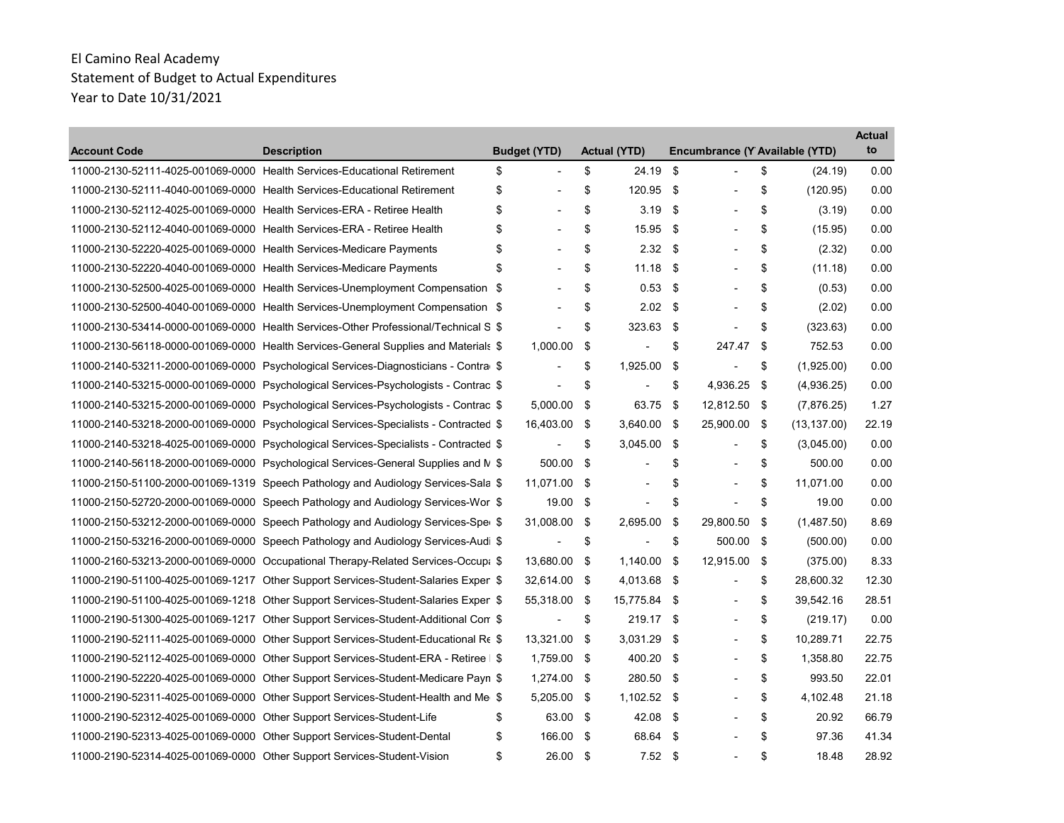| <b>Account Code</b>                                                    | <b>Description</b>                                                                   | <b>Budget (YTD)</b>            |     | <b>Actual (YTD)</b>      |     | Encumbrance (Y Available (YTD) |     |              | Actual<br>to |
|------------------------------------------------------------------------|--------------------------------------------------------------------------------------|--------------------------------|-----|--------------------------|-----|--------------------------------|-----|--------------|--------------|
|                                                                        | 11000-2130-52111-4025-001069-0000 Health Services-Educational Retirement             | \$<br>$\overline{\phantom{a}}$ | \$  | 24.19                    | \$  | $\blacksquare$                 | \$  | (24.19)      | 0.00         |
|                                                                        | 11000-2130-52111-4040-001069-0000 Health Services-Educational Retirement             | \$<br>$\overline{a}$           | \$  | 120.95                   | -\$ | $\overline{\phantom{a}}$       | \$  | (120.95)     | 0.00         |
| 11000-2130-52112-4025-001069-0000 Health Services-ERA - Retiree Health |                                                                                      | \$                             | \$  | 3.19                     | \$  |                                | \$  | (3.19)       | 0.00         |
| 11000-2130-52112-4040-001069-0000 Health Services-ERA - Retiree Health |                                                                                      | \$                             | \$  | 15.95                    | -\$ | $\blacksquare$                 | \$  | (15.95)      | 0.00         |
| 11000-2130-52220-4025-001069-0000 Health Services-Medicare Payments    |                                                                                      | \$                             | \$  | 2.32                     | -\$ | $\blacksquare$                 | \$  | (2.32)       | 0.00         |
| 11000-2130-52220-4040-001069-0000 Health Services-Medicare Payments    |                                                                                      | \$                             | \$  | 11.18                    | -\$ |                                | \$  | (11.18)      | 0.00         |
|                                                                        | 11000-2130-52500-4025-001069-0000 Health Services-Unemployment Compensation \$       | $\overline{\phantom{a}}$       | \$  | 0.53                     | \$  | $\overline{\phantom{a}}$       | \$  | (0.53)       | 0.00         |
|                                                                        | 11000-2130-52500-4040-001069-0000 Health Services-Unemployment Compensation \$       |                                | \$  | $2.02$ \$                |     |                                | \$  | (2.02)       | 0.00         |
|                                                                        | 11000-2130-53414-0000-001069-0000 Health Services-Other Professional/Technical S \$  |                                | \$  | 323.63                   | -\$ |                                | \$  | (323.63)     | 0.00         |
|                                                                        | 11000-2130-56118-0000-001069-0000 Health Services-General Supplies and Materials \$  | 1,000.00                       | \$  |                          | \$  | 247.47                         | -\$ | 752.53       | 0.00         |
|                                                                        | 11000-2140-53211-2000-001069-0000 Psychological Services-Diagnosticians - Contra \$  | $\blacksquare$                 | \$  | 1,925.00                 | \$  | $\overline{a}$                 | \$  | (1,925.00)   | 0.00         |
|                                                                        | 11000-2140-53215-0000-001069-0000 Psychological Services-Psychologists - Contrac \$  | $\blacksquare$                 | \$  | $\overline{\phantom{a}}$ | \$  | 4,936.25                       | -\$ | (4,936.25)   | 0.00         |
|                                                                        | 11000-2140-53215-2000-001069-0000 Psychological Services-Psychologists - Contrac \$  | 5,000.00                       | \$  | 63.75                    | \$  | 12,812.50 \$                   |     | (7,876.25)   | 1.27         |
|                                                                        | 11000-2140-53218-2000-001069-0000 Psychological Services-Specialists - Contracted \$ | 16,403.00 \$                   |     | $3,640.00$ \$            |     | 25,900.00                      | -\$ | (13, 137.00) | 22.19        |
|                                                                        | 11000-2140-53218-4025-001069-0000 Psychological Services-Specialists - Contracted \$ | $\blacksquare$                 | \$  | 3,045.00                 | \$  | $\blacksquare$                 | \$  | (3,045.00)   | 0.00         |
|                                                                        | 11000-2140-56118-2000-001069-0000 Psychological Services-General Supplies and N \$   | 500.00                         | -\$ |                          | \$  | $\overline{a}$                 | \$  | 500.00       | 0.00         |
|                                                                        | 11000-2150-51100-2000-001069-1319 Speech Pathology and Audiology Services-Sala \$    | 11,071.00 \$                   |     | $\blacksquare$           | \$  | $\overline{\phantom{a}}$       | \$  | 11,071.00    | 0.00         |
|                                                                        | 11000-2150-52720-2000-001069-0000 Speech Pathology and Audiology Services-Wor \$     | 19.00                          | -\$ | $\blacksquare$           | \$  | $\blacksquare$                 | \$  | 19.00        | 0.00         |
|                                                                        | 11000-2150-53212-2000-001069-0000 Speech Pathology and Audiology Services-Spe \$     | 31,008.00                      | -\$ | 2,695.00                 | \$  | 29,800.50                      | \$  | (1,487.50)   | 8.69         |
|                                                                        | 11000-2150-53216-2000-001069-0000 Speech Pathology and Audiology Services-Audi \$    | $\overline{\phantom{a}}$       | \$  | $\blacksquare$           | \$  | 500.00                         | -\$ | (500.00)     | 0.00         |
|                                                                        | 11000-2160-53213-2000-001069-0000 Occupational Therapy-Related Services-Occupa \$    | 13.680.00                      | \$  | 1,140.00                 | \$  | 12,915.00                      | \$  | (375.00)     | 8.33         |
|                                                                        | 11000-2190-51100-4025-001069-1217 Other Support Services-Student-Salaries Expen \$   | 32,614.00 \$                   |     | 4,013.68 \$              |     | $\blacksquare$                 | \$  | 28,600.32    | 12.30        |
|                                                                        | 11000-2190-51100-4025-001069-1218 Other Support Services-Student-Salaries Expen \$   | 55,318.00 \$                   |     | 15,775.84 \$             |     | $\blacksquare$                 | \$  | 39,542.16    | 28.51        |
|                                                                        | 11000-2190-51300-4025-001069-1217 Other Support Services-Student-Additional Corr \$  |                                | \$  | 219.17 \$                |     | $\blacksquare$                 | \$  | (219.17)     | 0.00         |
|                                                                        | 11000-2190-52111-4025-001069-0000 Other Support Services-Student-Educational Re \$   | 13,321.00 \$                   |     | 3,031.29 \$              |     | $\blacksquare$                 | \$  | 10,289.71    | 22.75        |
|                                                                        | 11000-2190-52112-4025-001069-0000 Other Support Services-Student-ERA - Retiree   \$  | 1,759.00 \$                    |     | 400.20                   | -\$ | $\overline{a}$                 | \$  | 1,358.80     | 22.75        |
|                                                                        | 11000-2190-52220-4025-001069-0000 Other Support Services-Student-Medicare Payn \$    | 1,274.00 \$                    |     | 280.50                   | -\$ | $\blacksquare$                 | \$  | 993.50       | 22.01        |
|                                                                        | 11000-2190-52311-4025-001069-0000 Other Support Services-Student-Health and Me \$    | 5,205.00                       | -\$ | 1,102.52 \$              |     |                                | \$  | 4,102.48     | 21.18        |
| 11000-2190-52312-4025-001069-0000 Other Support Services-Student-Life  |                                                                                      | \$<br>63.00                    | -\$ | 42.08                    | -\$ |                                | \$  | 20.92        | 66.79        |
|                                                                        | 11000-2190-52313-4025-001069-0000 Other Support Services-Student-Dental              | \$<br>166.00 \$                |     | 68.64                    | -\$ | L,                             | \$  | 97.36        | 41.34        |
|                                                                        | 11000-2190-52314-4025-001069-0000 Other Support Services-Student-Vision              | \$<br>26.00 \$                 |     | $7.52$ \$                |     | $\blacksquare$                 | \$  | 18.48        | 28.92        |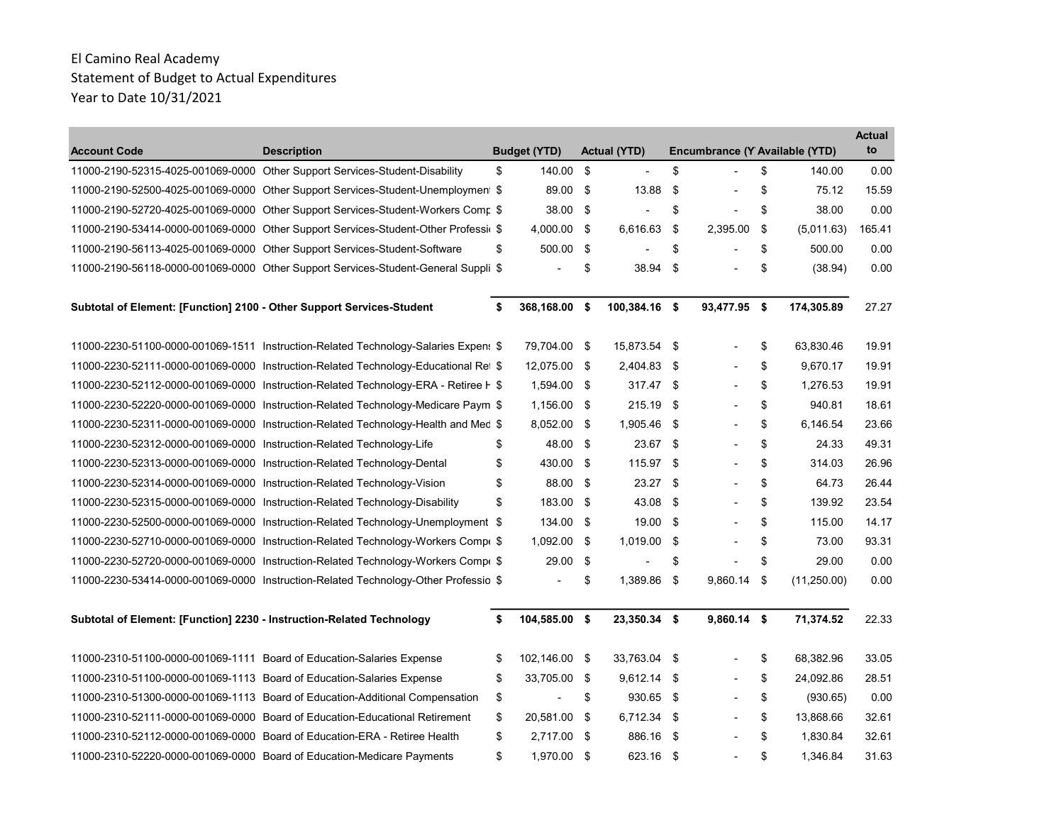| <b>Account Code</b>                                                     | <b>Description</b>                                                                  | <b>Budget (YTD)</b> |     | <b>Actual (YTD)</b> |      | Encumbrance (Y Available (YTD) |      |             | <b>Actual</b><br>to |
|-------------------------------------------------------------------------|-------------------------------------------------------------------------------------|---------------------|-----|---------------------|------|--------------------------------|------|-------------|---------------------|
|                                                                         | 11000-2190-52315-4025-001069-0000 Other Support Services-Student-Disability         | \$<br>140.00        | -\$ | $\blacksquare$      | \$   | $\overline{a}$                 | \$   | 140.00      | 0.00                |
|                                                                         | 11000-2190-52500-4025-001069-0000 Other Support Services-Student-Unemployment \$    | 89.00               | -\$ | 13.88               | \$   |                                | \$   | 75.12       | 15.59               |
|                                                                         | 11000-2190-52720-4025-001069-0000 Other Support Services-Student-Workers Comr \$    | 38.00               | -\$ |                     | \$   | Ĭ.                             | \$   | 38.00       | 0.00                |
|                                                                         | 11000-2190-53414-0000-001069-0000 Other Support Services-Student-Other Professi(\$  | 4,000.00            | -\$ | 6,616.63            | \$   | 2,395.00                       | \$   | (5,011.63)  | 165.41              |
|                                                                         | 11000-2190-56113-4025-001069-0000 Other Support Services-Student-Software           | \$<br>500.00        | \$  |                     | \$   |                                | \$   | 500.00      | 0.00                |
|                                                                         | 11000-2190-56118-0000-001069-0000 Other Support Services-Student-General Suppli \$  |                     | \$  | 38.94               | \$   | ٠                              | \$   | (38.94)     | 0.00                |
| Subtotal of Element: [Function] 2100 - Other Support Services-Student   |                                                                                     | \$<br>368,168.00 \$ |     | 100,384.16 \$       |      | 93,477.95 \$                   |      | 174,305.89  | 27.27               |
|                                                                         | 11000-2230-51100-0000-001069-1511 Instruction-Related Technology-Salaries Expens \$ | 79,704.00 \$        |     | 15,873.54 \$        |      |                                | \$   | 63,830.46   | 19.91               |
|                                                                         | 11000-2230-52111-0000-001069-0000 Instruction-Related Technology-Educational Ret \$ | 12,075.00 \$        |     | 2,404.83 \$         |      |                                | \$   | 9,670.17    | 19.91               |
|                                                                         | 11000-2230-52112-0000-001069-0000 Instruction-Related Technology-ERA - Retiree F \$ | 1,594.00 \$         |     | 317.47 \$           |      |                                | \$   | 1,276.53    | 19.91               |
|                                                                         | 11000-2230-52220-0000-001069-0000 Instruction-Related Technology-Medicare Paym \$   | 1,156.00 \$         |     | 215.19              | -\$  |                                | \$   | 940.81      | 18.61               |
|                                                                         | 11000-2230-52311-0000-001069-0000 Instruction-Related Technology-Health and Med \$  | 8,052.00            | -\$ | 1,905.46            | - \$ |                                | \$   | 6,146.54    | 23.66               |
| 11000-2230-52312-0000-001069-0000 Instruction-Related Technology-Life   |                                                                                     | \$<br>48.00         | -\$ | 23.67               | -\$  |                                | \$   | 24.33       | 49.31               |
|                                                                         | 11000-2230-52313-0000-001069-0000 Instruction-Related Technology-Dental             | \$<br>430.00 \$     |     | 115.97 \$           |      |                                | \$   | 314.03      | 26.96               |
| 11000-2230-52314-0000-001069-0000 Instruction-Related Technology-Vision |                                                                                     | \$<br>88.00 \$      |     | 23.27               | -\$  |                                | \$   | 64.73       | 26.44               |
|                                                                         | 11000-2230-52315-0000-001069-0000 Instruction-Related Technology-Disability         | \$<br>183.00 \$     |     | 43.08               | \$   | $\overline{a}$                 | \$   | 139.92      | 23.54               |
|                                                                         | 11000-2230-52500-0000-001069-0000 Instruction-Related Technology-Unemployment \$    | 134.00 \$           |     | 19.00               | \$   |                                | \$   | 115.00      | 14.17               |
|                                                                         | 11000-2230-52710-0000-001069-0000 Instruction-Related Technology-Workers Comp(\$)   | 1,092.00 \$         |     | 1,019.00            | -\$  | $\overline{a}$                 | \$   | 73.00       | 93.31               |
|                                                                         | 11000-2230-52720-0000-001069-0000 Instruction-Related Technology-Workers Comp(\$)   | 29.00               | \$  |                     | \$   |                                | \$   | 29.00       | 0.00                |
|                                                                         | 11000-2230-53414-0000-001069-0000 Instruction-Related Technology-Other Professio \$ |                     | \$  | 1,389.86            | - \$ | 9,860.14                       | - \$ | (11,250.00) | 0.00                |
| Subtotal of Element: [Function] 2230 - Instruction-Related Technology   |                                                                                     | \$<br>104,585.00 \$ |     | 23,350.34 \$        |      | $9,860.14$ \$                  |      | 71,374.52   | 22.33               |
| 11000-2310-51100-0000-001069-1111 Board of Education-Salaries Expense   |                                                                                     | \$<br>102,146.00 \$ |     | 33,763.04 \$        |      |                                | \$   | 68,382.96   | 33.05               |
| 11000-2310-51100-0000-001069-1113  Board of Education-Salaries Expense  |                                                                                     | \$<br>33.705.00 \$  |     | $9,612.14$ \$       |      | $\blacksquare$                 | \$   | 24,092.86   | 28.51               |
|                                                                         | 11000-2310-51300-0000-001069-1113 Board of Education-Additional Compensation        | \$                  | \$  | 930.65 \$           |      |                                | \$   | (930.65)    | 0.00                |
|                                                                         | 11000-2310-52111-0000-001069-0000 Board of Education-Educational Retirement         | \$<br>20,581.00 \$  |     | 6,712.34 \$         |      |                                | \$   | 13,868.66   | 32.61               |
|                                                                         | 11000-2310-52112-0000-001069-0000 Board of Education-ERA - Retiree Health           | \$<br>2,717.00 \$   |     | 886.16              | -\$  |                                | \$   | 1,830.84    | 32.61               |
|                                                                         | 11000-2310-52220-0000-001069-0000 Board of Education-Medicare Payments              | \$<br>1,970.00 \$   |     | 623.16              | - \$ |                                | \$   | 1,346.84    | 31.63               |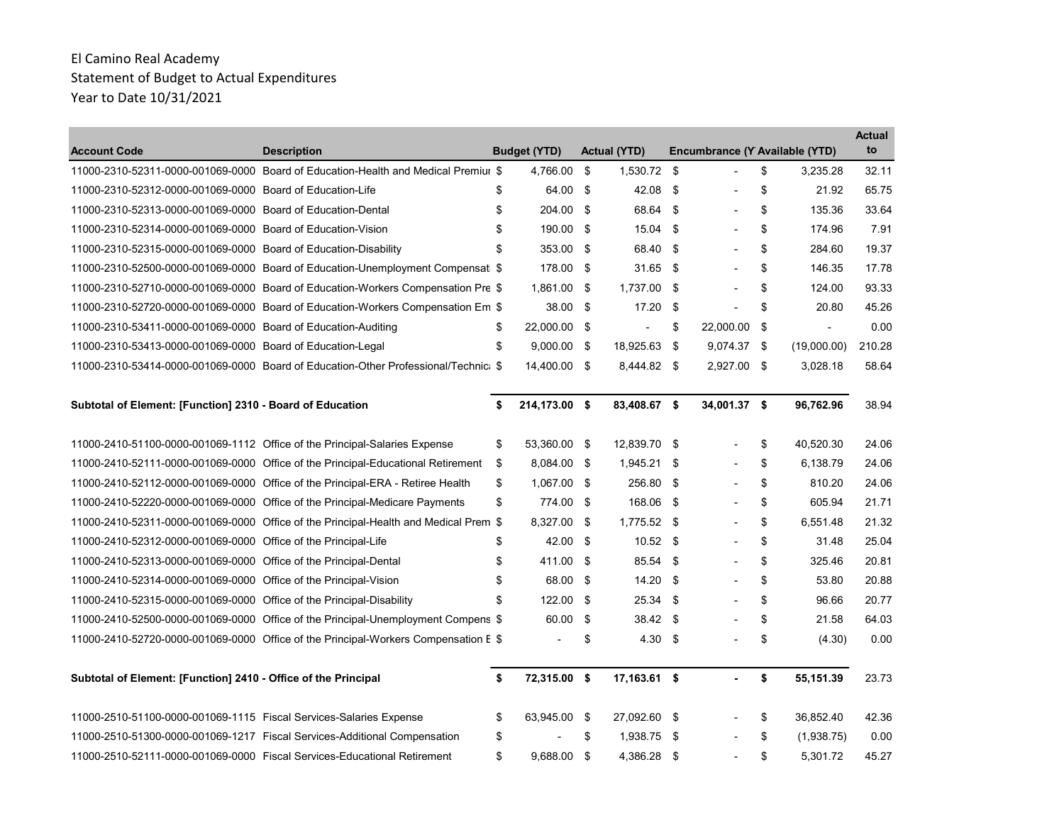| <b>Account Code</b>                                                  | <b>Description</b>                                                                   | <b>Budget (YTD)</b> | <b>Actual (YTD)</b> |      | Encumbrance (Y Available (YTD) |                      | <b>Actual</b><br>to |
|----------------------------------------------------------------------|--------------------------------------------------------------------------------------|---------------------|---------------------|------|--------------------------------|----------------------|---------------------|
|                                                                      | 11000-2310-52311-0000-001069-0000 Board of Education-Health and Medical Premiur \$   | 4,766.00            | \$<br>1,530.72 \$   |      | $\overline{a}$                 | \$<br>3,235.28       | 32.11               |
| 11000-2310-52312-0000-001069-0000 Board of Education-Life            |                                                                                      | \$<br>64.00         | \$<br>42.08         | -\$  | $\overline{\phantom{0}}$       | \$<br>21.92          | 65.75               |
| 11000-2310-52313-0000-001069-0000 Board of Education-Dental          |                                                                                      | \$<br>204.00 \$     | 68.64 \$            |      |                                | \$<br>135.36         | 33.64               |
| 11000-2310-52314-0000-001069-0000 Board of Education-Vision          |                                                                                      | \$<br>190.00 \$     | 15.04               | -\$  |                                | \$<br>174.96         | 7.91                |
| 11000-2310-52315-0000-001069-0000 Board of Education-Disability      |                                                                                      | \$<br>353.00        | \$<br>68.40         | \$   |                                | \$<br>284.60         | 19.37               |
|                                                                      | 11000-2310-52500-0000-001069-0000 Board of Education-Unemployment Compensati \$      | 178.00              | \$<br>31.65         | \$   |                                | \$<br>146.35         | 17.78               |
|                                                                      | 11000-2310-52710-0000-001069-0000 Board of Education-Workers Compensation Pre \$     | 1,861.00 \$         | 1,737.00 \$         |      | $\overline{\phantom{0}}$       | \$<br>124.00         | 93.33               |
|                                                                      | 11000-2310-52720-0000-001069-0000 Board of Education-Workers Compensation Em \$      | 38.00 \$            | 17.20               | \$   |                                | \$<br>20.80          | 45.26               |
| 11000-2310-53411-0000-001069-0000 Board of Education-Auditing        |                                                                                      | \$<br>22,000.00 \$  |                     | \$   | 22,000.00                      | \$<br>$\blacksquare$ | 0.00                |
| 11000-2310-53413-0000-001069-0000 Board of Education-Legal           |                                                                                      | \$<br>$9,000.00$ \$ | 18,925.63 \$        |      | $9,074.37$ \$                  | (19,000.00)          | 210.28              |
|                                                                      | 11000-2310-53414-0000-001069-0000 Board of Education-Other Professional/Technic: \$  | 14,400.00 \$        | 8,444.82 \$         |      | 2,927.00 \$                    | 3,028.18             | 58.64               |
| Subtotal of Element: [Function] 2310 - Board of Education            |                                                                                      | \$<br>214,173.00 \$ | 83,408.67 \$        |      | 34,001.37 \$                   | 96,762.96            | 38.94               |
|                                                                      | 11000-2410-51100-0000-001069-1112 Office of the Principal-Salaries Expense           | \$<br>53,360.00 \$  | 12,839.70 \$        |      |                                | \$<br>40,520.30      | 24.06               |
|                                                                      | 11000-2410-52111-0000-001069-0000 Office of the Principal-Educational Retirement     | \$<br>8,084.00 \$   | 1,945.21 \$         |      |                                | \$<br>6,138.79       | 24.06               |
|                                                                      | 11000-2410-52112-0000-001069-0000 Office of the Principal-ERA - Retiree Health       | \$<br>1,067.00 \$   | 256.80 \$           |      |                                | \$<br>810.20         | 24.06               |
|                                                                      | 11000-2410-52220-0000-001069-0000 Office of the Principal-Medicare Payments          | \$<br>774.00 \$     | 168.06 \$           |      |                                | \$<br>605.94         | 21.71               |
|                                                                      | 11000-2410-52311-0000-001069-0000 Office of the Principal-Health and Medical Prem \$ | 8,327.00            | \$<br>1,775.52 \$   |      |                                | \$<br>6,551.48       | 21.32               |
| 11000-2410-52312-0000-001069-0000 Office of the Principal-Life       |                                                                                      | \$<br>42.00 \$      | $10.52$ \$          |      |                                | \$<br>31.48          | 25.04               |
| 11000-2410-52313-0000-001069-0000 Office of the Principal-Dental     |                                                                                      | \$<br>411.00 \$     | 85.54 \$            |      | $\overline{\phantom{0}}$       | \$<br>325.46         | 20.81               |
| 11000-2410-52314-0000-001069-0000 Office of the Principal-Vision     |                                                                                      | \$<br>68.00 \$      | 14.20               | -\$  |                                | \$<br>53.80          | 20.88               |
| 11000-2410-52315-0000-001069-0000 Office of the Principal-Disability |                                                                                      | \$<br>122.00        | \$<br>25.34         | -\$  |                                | \$<br>96.66          | 20.77               |
|                                                                      | 11000-2410-52500-0000-001069-0000 Office of the Principal-Unemployment Compens \$    | 60.00               | \$<br>38.42 \$      |      |                                | \$<br>21.58          | 64.03               |
|                                                                      | 11000-2410-52720-0000-001069-0000 Office of the Principal-Workers Compensation E \$  |                     | \$<br>4.30          | \$   |                                | \$<br>(4.30)         | 0.00                |
| Subtotal of Element: [Function] 2410 - Office of the Principal       |                                                                                      | \$<br>72,315.00 \$  | 17,163.61 \$        |      |                                | \$<br>55,151.39      | 23.73               |
| 11000-2510-51100-0000-001069-1115  Fiscal Services-Salaries Expense  |                                                                                      | \$<br>63,945.00 \$  | 27,092.60 \$        |      |                                | \$<br>36,852.40      | 42.36               |
|                                                                      | 11000-2510-51300-0000-001069-1217 Fiscal Services-Additional Compensation            | \$                  | \$<br>1.938.75      | - \$ |                                | \$<br>(1,938.75)     | 0.00                |
|                                                                      | 11000-2510-52111-0000-001069-0000 Fiscal Services-Educational Retirement             | \$<br>9,688.00 \$   | 4,386.28 \$         |      |                                | \$<br>5,301.72       | 45.27               |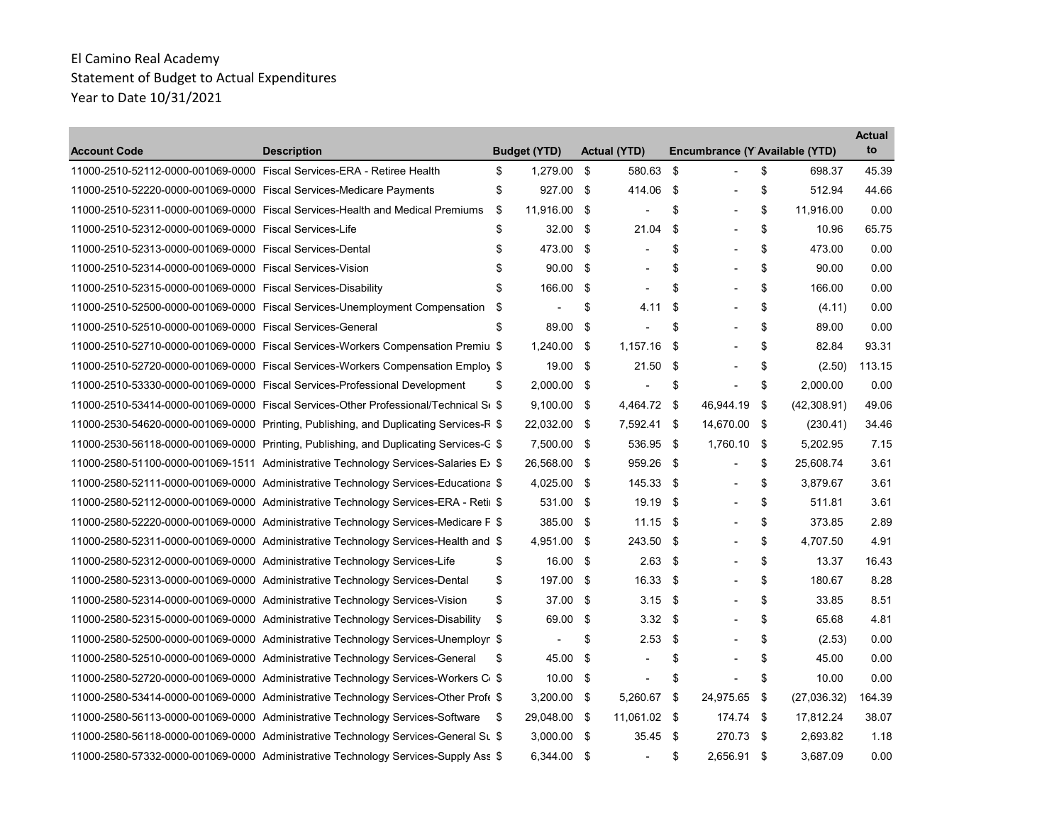| <b>Account Code</b>                                                    | <b>Description</b>                                                                             |    | <b>Budget (YTD)</b>      |      | <b>Actual (YTD)</b>      |      | Encumbrance (Y Available (YTD) |                   | <b>Actual</b><br>to |
|------------------------------------------------------------------------|------------------------------------------------------------------------------------------------|----|--------------------------|------|--------------------------|------|--------------------------------|-------------------|---------------------|
| 11000-2510-52112-0000-001069-0000 Fiscal Services-ERA - Retiree Health |                                                                                                | \$ | 1,279.00                 | \$   | 580.63                   | \$   | $\overline{a}$                 | \$<br>698.37      | 45.39               |
| 11000-2510-52220-0000-001069-0000 Fiscal Services-Medicare Payments    |                                                                                                | \$ | 927.00                   | \$   | 414.06                   | \$   | $\overline{\phantom{a}}$       | \$<br>512.94      | 44.66               |
|                                                                        | 11000-2510-52311-0000-001069-0000 Fiscal Services-Health and Medical Premiums                  | \$ | 11,916.00 \$             |      |                          | \$   | $\overline{\phantom{a}}$       | \$<br>11,916.00   | 0.00                |
| 11000-2510-52312-0000-001069-0000 Fiscal Services-Life                 |                                                                                                | \$ | 32.00                    | - \$ | 21.04                    | -\$  |                                | \$<br>10.96       | 65.75               |
| 11000-2510-52313-0000-001069-0000 Fiscal Services-Dental               |                                                                                                | \$ | 473.00                   | \$   | $\blacksquare$           | \$   | $\overline{\phantom{0}}$       | \$<br>473.00      | 0.00                |
| 11000-2510-52314-0000-001069-0000 Fiscal Services-Vision               |                                                                                                | \$ | 90.00                    | \$   |                          | \$   |                                | \$<br>90.00       | 0.00                |
| 11000-2510-52315-0000-001069-0000 Fiscal Services-Disability           |                                                                                                | \$ | 166.00                   | \$   | $\overline{\phantom{a}}$ | \$   | $\overline{\phantom{a}}$       | \$<br>166.00      | 0.00                |
|                                                                        | 11000-2510-52500-0000-001069-0000 Fiscal Services-Unemployment Compensation                    | \$ | $\blacksquare$           | \$   | 4.11                     | \$   |                                | \$<br>(4.11)      | 0.00                |
| 11000-2510-52510-0000-001069-0000 Fiscal Services-General              |                                                                                                | \$ | 89.00                    | \$   |                          | \$   |                                | \$<br>89.00       | 0.00                |
|                                                                        | 11000-2510-52710-0000-001069-0000 Fiscal Services-Workers Compensation Premiu \$               |    | 1,240.00 \$              |      | $1,157.16$ \$            |      | $\overline{\phantom{a}}$       | \$<br>82.84       | 93.31               |
|                                                                        | 11000-2510-52720-0000-001069-0000 Fiscal Services-Workers Compensation Employ \$               |    | 19.00 \$                 |      | 21.50                    | -\$  |                                | \$<br>(2.50)      | 113.15              |
|                                                                        | 11000-2510-53330-0000-001069-0000 Fiscal Services-Professional Development                     | \$ | 2,000.00 \$              |      |                          | \$   | $\blacksquare$                 | \$<br>2,000.00    | 0.00                |
|                                                                        | 11000-2510-53414-0000-001069-0000 Fiscal Services-Other Professional/Technical St \$           |    | $9,100.00$ \$            |      | 4,464.72                 | -\$  | 46,944.19                      | \$<br>(42,308.91) | 49.06               |
|                                                                        | 11000-2530-54620-0000-001069-0000 Printing, Publishing, and Duplicating Services-R \$          |    | 22,032.00 \$             |      | 7,592.41 \$              |      | 14,670.00 \$                   | (230.41)          | 34.46               |
|                                                                        | 11000-2530-56118-0000-001069-0000 Printing, Publishing, and Duplicating Services-C \$          |    | 7,500.00 \$              |      | 536.95 \$                |      | 1,760.10                       | \$<br>5,202.95    | 7.15                |
|                                                                        | 11000-2580-51100-0000-001069-1511 Administrative Technology Services-Salaries E> \$            |    | 26,568.00 \$             |      | 959.26                   | \$   |                                | \$<br>25,608.74   | 3.61                |
|                                                                        | 11000-2580-52111-0000-001069-0000 Administrative Technology Services-Educationa \$             |    | 4,025.00 \$              |      | 145.33                   | - \$ | $\blacksquare$                 | \$<br>3,879.67    | 3.61                |
|                                                                        | 11000-2580-52112-0000-001069-0000 Administrative Technology Services-ERA - Retii \$            |    | 531.00 \$                |      | 19.19                    | -\$  |                                | \$<br>511.81      | 3.61                |
|                                                                        | 11000-2580-52220-0000-001069-0000 Administrative Technology Services-Medicare F \$             |    | 385.00 \$                |      | 11.15                    | -\$  |                                | \$<br>373.85      | 2.89                |
|                                                                        | 11000-2580-52311-0000-001069-0000 Administrative Technology Services-Health and \$             |    | 4,951.00 \$              |      | 243.50 \$                |      | $\overline{\phantom{0}}$       | \$<br>4,707.50    | 4.91                |
|                                                                        | 11000-2580-52312-0000-001069-0000 Administrative Technology Services-Life                      | \$ | 16.00 \$                 |      | 2.63                     | \$   |                                | \$<br>13.37       | 16.43               |
|                                                                        | 11000-2580-52313-0000-001069-0000 Administrative Technology Services-Dental                    | \$ | 197.00                   | - \$ | 16.33                    | \$   |                                | \$<br>180.67      | 8.28                |
|                                                                        | 11000-2580-52314-0000-001069-0000 Administrative Technology Services-Vision                    | \$ | 37.00 \$                 |      | $3.15$ \$                |      |                                | \$<br>33.85       | 8.51                |
|                                                                        | 11000-2580-52315-0000-001069-0000 Administrative Technology Services-Disability                | \$ | 69.00                    | -\$  | 3.32                     | - \$ |                                | \$<br>65.68       | 4.81                |
|                                                                        | 11000-2580-52500-0000-001069-0000 Administrative Technology Services-Unemployn \$              |    | $\overline{\phantom{a}}$ | \$   | 2.53                     | -\$  |                                | \$<br>(2.53)      | 0.00                |
|                                                                        | 11000-2580-52510-0000-001069-0000 Administrative Technology Services-General                   | \$ | 45.00                    | -\$  |                          | \$   | $\overline{a}$                 | \$<br>45.00       | 0.00                |
|                                                                        | 11000-2580-52720-0000-001069-0000 Administrative Technology Services-Workers C <sub>i</sub> \$ |    | 10.00                    | -\$  |                          | \$   |                                | \$<br>10.00       | 0.00                |
|                                                                        | 11000-2580-53414-0000-001069-0000 Administrative Technology Services-Other Profe \$            |    | 3,200.00 \$              |      | 5.260.67                 | \$   | 24,975.65                      | \$<br>(27,036.32) | 164.39              |
|                                                                        | 11000-2580-56113-0000-001069-0000 Administrative Technology Services-Software                  | S  | 29,048.00 \$             |      | 11,061.02 \$             |      | 174.74 \$                      | 17,812.24         | 38.07               |
|                                                                        | 11000-2580-56118-0000-001069-0000 Administrative Technology Services-General St \$             |    | 3,000.00 \$              |      | $35.45$ \$               |      | 270.73 \$                      | 2,693.82          | 1.18                |
|                                                                        | 11000-2580-57332-0000-001069-0000 Administrative Technology Services-Supply Ass \$             |    | 6,344.00 \$              |      | $\overline{\phantom{a}}$ | \$   | 2,656.91 \$                    | 3,687.09          | 0.00                |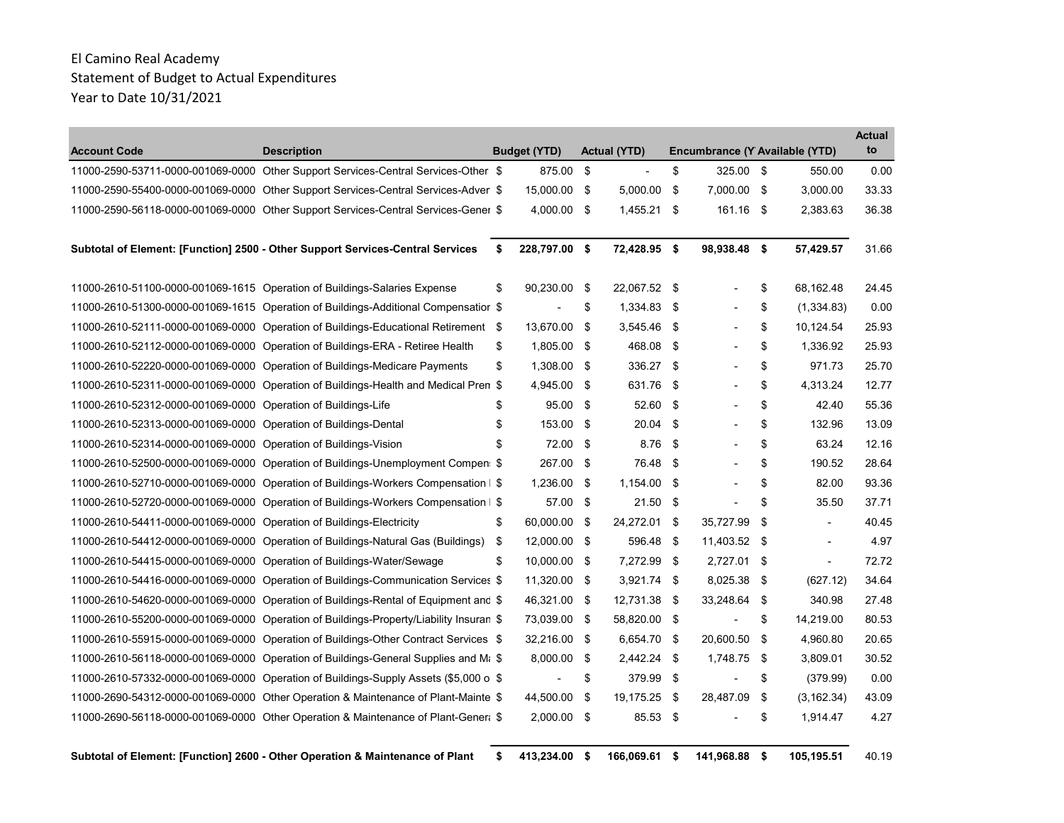|                                                                      |                                                                                                 |                     |                     |      |                                |                    |             | <b>Actual</b> |
|----------------------------------------------------------------------|-------------------------------------------------------------------------------------------------|---------------------|---------------------|------|--------------------------------|--------------------|-------------|---------------|
| <b>Account Code</b>                                                  | <b>Description</b>                                                                              | <b>Budget (YTD)</b> | <b>Actual (YTD)</b> |      | Encumbrance (Y Available (YTD) |                    |             | to            |
|                                                                      | 11000-2590-53711-0000-001069-0000 Other Support Services-Central Services-Other \$              | 875.00              | \$                  | \$   | 325.00                         | \$                 | 550.00      | 0.00          |
|                                                                      | 11000-2590-55400-0000-001069-0000 Other Support Services-Central Services-Adver \$              | 15,000.00 \$        | 5.000.00            | \$   | 7.000.00 \$                    |                    | 3.000.00    | 33.33         |
|                                                                      | 11000-2590-56118-0000-001069-0000 Other Support Services-Central Services-Gener \$              | 4,000.00            | \$<br>1,455.21      | \$   | 161.16                         | $\mathbf{\hat{S}}$ | 2,383.63    | 36.38         |
|                                                                      | Subtotal of Element: [Function] 2500 - Other Support Services-Central Services                  | \$<br>228,797.00 \$ | 72,428.95 \$        |      | 98,938.48 \$                   |                    | 57,429.57   | 31.66         |
|                                                                      | 11000-2610-51100-0000-001069-1615 Operation of Buildings-Salaries Expense                       | \$<br>90,230.00 \$  | 22,067.52 \$        |      |                                | \$                 | 68,162.48   | 24.45         |
|                                                                      | 11000-2610-51300-0000-001069-1615 Operation of Buildings-Additional Compensatior \$             |                     | \$<br>1,334.83      | \$   |                                | \$                 | (1,334.83)  | 0.00          |
|                                                                      | 11000-2610-52111-0000-001069-0000 Operation of Buildings-Educational Retirement                 | \$<br>13,670.00     | \$<br>3,545.46      | - \$ |                                | \$                 | 10,124.54   | 25.93         |
|                                                                      | 11000-2610-52112-0000-001069-0000 Operation of Buildings-ERA - Retiree Health                   | \$<br>1,805.00      | \$<br>468.08        | \$   |                                | \$                 | 1,336.92    | 25.93         |
|                                                                      | 11000-2610-52220-0000-001069-0000 Operation of Buildings-Medicare Payments                      | \$<br>1,308.00 \$   | 336.27              | \$   |                                | \$                 | 971.73      | 25.70         |
|                                                                      | 11000-2610-52311-0000-001069-0000 Operation of Buildings-Health and Medical Pren \$             | 4,945.00            | \$<br>631.76        | \$   |                                | \$                 | 4,313.24    | 12.77         |
| 11000-2610-52312-0000-001069-0000 Operation of Buildings-Life        |                                                                                                 | \$<br>95.00         | \$<br>52.60         | \$   |                                | \$                 | 42.40       | 55.36         |
| 11000-2610-52313-0000-001069-0000 Operation of Buildings-Dental      |                                                                                                 | \$<br>153.00        | \$<br>20.04         | \$   |                                | \$                 | 132.96      | 13.09         |
| 11000-2610-52314-0000-001069-0000 Operation of Buildings-Vision      |                                                                                                 | \$<br>72.00         | \$<br>8.76          | \$   |                                | \$                 | 63.24       | 12.16         |
|                                                                      | 11000-2610-52500-0000-001069-0000 Operation of Buildings-Unemployment Compen: \$                | 267.00              | \$<br>76.48         | \$   |                                | \$                 | 190.52      | 28.64         |
|                                                                      | 11000-2610-52710-0000-001069-0000 Operation of Buildings-Workers Compensation   \$              | 1,236.00            | \$<br>1,154.00      | \$   |                                | \$                 | 82.00       | 93.36         |
|                                                                      | 11000-2610-52720-0000-001069-0000 Operation of Buildings-Workers Compensation   \$              | 57.00               | \$<br>21.50         | \$   |                                | \$                 | 35.50       | 37.71         |
| 11000-2610-54411-0000-001069-0000 Operation of Buildings-Electricity |                                                                                                 | \$<br>60,000.00     | \$<br>24,272.01     | \$   | 35,727.99                      | \$                 |             | 40.45         |
|                                                                      | 11000-2610-54412-0000-001069-0000 Operation of Buildings-Natural Gas (Buildings)                | \$<br>12.000.00     | \$<br>596.48        | \$   | 11,403.52 \$                   |                    |             | 4.97          |
|                                                                      | 11000-2610-54415-0000-001069-0000 Operation of Buildings-Water/Sewage                           | \$<br>10,000.00 \$  | 7,272.99            | - \$ | 2,727.01 \$                    |                    |             | 72.72         |
|                                                                      | 11000-2610-54416-0000-001069-0000 Operation of Buildings-Communication Services \$              | 11,320.00 \$        | $3,921.74$ \$       |      | 8,025.38                       | - \$               | (627.12)    | 34.64         |
|                                                                      | 11000-2610-54620-0000-001069-0000 Operation of Buildings-Rental of Equipment and \$             | 46,321.00           | \$<br>12,731.38     | \$   | 33,248.64                      | \$                 | 340.98      | 27.48         |
|                                                                      | 11000-2610-55200-0000-001069-0000 Operation of Buildings-Property/Liability Insuran \$          | 73,039.00           | \$<br>58,820.00 \$  |      | $\overline{a}$                 | \$                 | 14,219.00   | 80.53         |
|                                                                      | 11000-2610-55915-0000-001069-0000 Operation of Buildings-Other Contract Services \$             | 32,216.00 \$        | 6,654.70            | \$   | 20,600.50                      | \$                 | 4,960.80    | 20.65         |
|                                                                      | 11000-2610-56118-0000-001069-0000 Operation of Buildings-General Supplies and M <sub>i</sub> \$ | 8.000.00            | \$<br>2,442.24      | - \$ | 1,748.75                       | \$                 | 3,809.01    | 30.52         |
|                                                                      | 11000-2610-57332-0000-001069-0000 Operation of Buildings-Supply Assets (\$5,000 o \$            |                     | \$<br>379.99        | \$   |                                | \$                 | (379.99)    | 0.00          |
|                                                                      | 11000-2690-54312-0000-001069-0000 Other Operation & Maintenance of Plant-Mainte \$              | 44,500.00           | \$<br>19,175.25     | \$   | 28,487.09                      | \$                 | (3, 162.34) | 43.09         |
|                                                                      | 11000-2690-56118-0000-001069-0000 Other Operation & Maintenance of Plant-Gener \$               | $2,000.00$ \$       | 85.53 \$            |      |                                | \$                 | 1,914.47    | 4.27          |

Subtotal of Element: [Function] 2600 - Other Operation & Maintenance of Plant \$ 413,234.00 \$ 166,069.61 \$ 141,968.88 \$ 105,195.51 40.19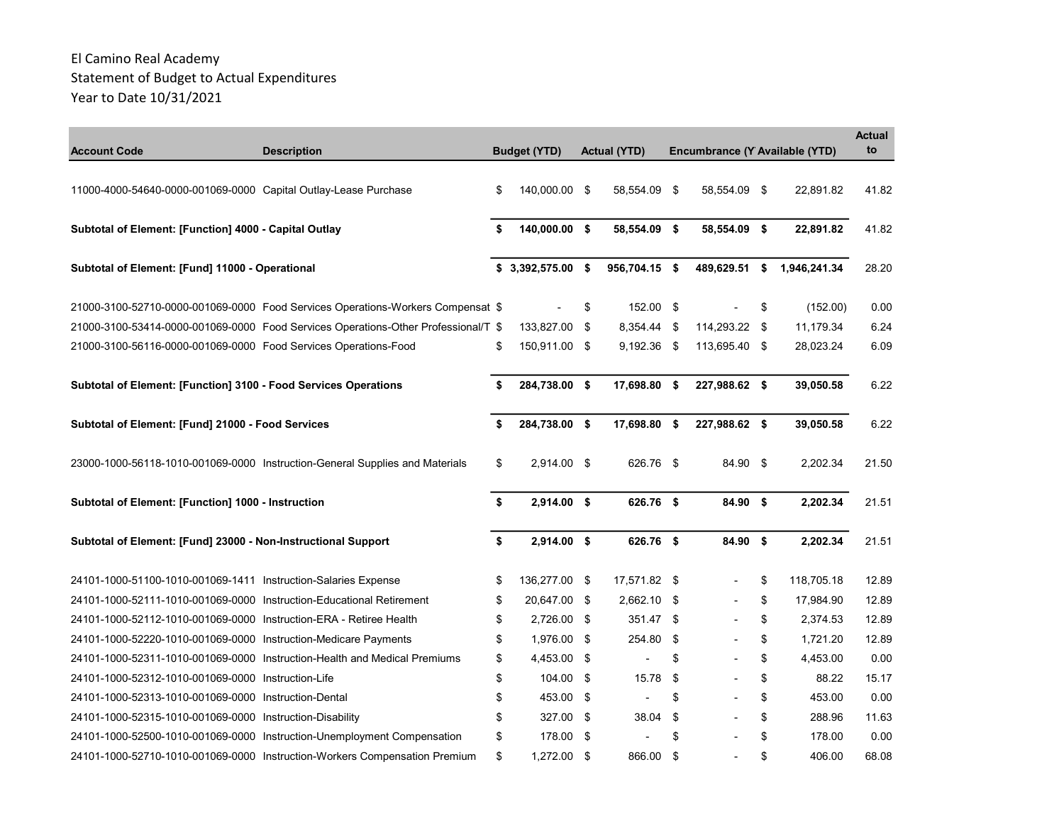| <b>Account Code</b>                                                  | <b>Description</b>                                                                 | <b>Budget (YTD)</b> | <b>Actual (YTD)</b> | Encumbrance (Y Available (YTD) |                    | <b>Actual</b><br>to |
|----------------------------------------------------------------------|------------------------------------------------------------------------------------|---------------------|---------------------|--------------------------------|--------------------|---------------------|
| 11000-4000-54640-0000-001069-0000 Capital Outlay-Lease Purchase      |                                                                                    | \$<br>140,000.00 \$ | 58,554.09 \$        | 58,554.09 \$                   | 22,891.82          | 41.82               |
| Subtotal of Element: [Function] 4000 - Capital Outlay                |                                                                                    | \$<br>140,000.00 \$ | 58,554.09 \$        | 58,554.09 \$                   | 22,891.82          | 41.82               |
| Subtotal of Element: [Fund] 11000 - Operational                      |                                                                                    | $$3,392,575.00$ \$  | 956,704.15 \$       | 489,629.51                     | \$<br>1,946,241.34 | 28.20               |
|                                                                      | 21000-3100-52710-0000-001069-0000 Food Services Operations-Workers Compensat \$    |                     | \$<br>152.00 \$     |                                | \$<br>(152.00)     | 0.00                |
|                                                                      | 21000-3100-53414-0000-001069-0000 Food Services Operations-Other Professional/T \$ | 133,827.00 \$       | 8,354.44 \$         | 114,293.22 \$                  | 11,179.34          | 6.24                |
| 21000-3100-56116-0000-001069-0000 Food Services Operations-Food      |                                                                                    | \$<br>150,911.00 \$ | $9,192.36$ \$       | 113,695.40 \$                  | 28,023.24          | 6.09                |
| Subtotal of Element: [Function] 3100 - Food Services Operations      |                                                                                    | \$<br>284,738.00 \$ | 17,698.80 \$        | 227,988.62 \$                  | 39,050.58          | 6.22                |
| Subtotal of Element: [Fund] 21000 - Food Services                    |                                                                                    | \$<br>284,738.00 \$ | 17,698.80 \$        | 227,988.62 \$                  | 39,050.58          | 6.22                |
|                                                                      | 23000-1000-56118-1010-001069-0000 Instruction-General Supplies and Materials       | \$<br>2,914.00 \$   | 626.76 \$           | 84.90 \$                       | 2,202.34           | 21.50               |
| Subtotal of Element: [Function] 1000 - Instruction                   |                                                                                    | \$<br>2,914.00 \$   | 626.76 \$           | 84.90 \$                       | 2,202.34           | 21.51               |
| Subtotal of Element: [Fund] 23000 - Non-Instructional Support        |                                                                                    | \$<br>$2,914.00$ \$ | 626.76 \$           | 84.90 \$                       | 2,202.34           | 21.51               |
| 24101-1000-51100-1010-001069-1411 Instruction-Salaries Expense       |                                                                                    | \$<br>136,277.00 \$ | 17,571.82 \$        |                                | \$<br>118,705.18   | 12.89               |
| 24101-1000-52111-1010-001069-0000 Instruction-Educational Retirement |                                                                                    | \$<br>20,647.00 \$  | 2,662.10 \$         |                                | \$<br>17,984.90    | 12.89               |
| 24101-1000-52112-1010-001069-0000 Instruction-ERA - Retiree Health   |                                                                                    | \$<br>2,726.00 \$   | 351.47 \$           |                                | \$<br>2,374.53     | 12.89               |
| 24101-1000-52220-1010-001069-0000 Instruction-Medicare Payments      |                                                                                    | \$<br>1,976.00 \$   | 254.80 \$           |                                | \$<br>1.721.20     | 12.89               |
|                                                                      | 24101-1000-52311-1010-001069-0000 Instruction-Health and Medical Premiums          | \$<br>4,453.00 \$   |                     | \$                             | \$<br>4,453.00     | 0.00                |
| 24101-1000-52312-1010-001069-0000 Instruction-Life                   |                                                                                    | \$<br>104.00 \$     | 15.78               | \$                             | \$<br>88.22        | 15.17               |
| 24101-1000-52313-1010-001069-0000 Instruction-Dental                 |                                                                                    | \$<br>453.00 \$     |                     | \$                             | \$<br>453.00       | 0.00                |
| 24101-1000-52315-1010-001069-0000 Instruction-Disability             |                                                                                    | \$<br>327.00 \$     | 38.04               | \$                             | \$<br>288.96       | 11.63               |
|                                                                      | 24101-1000-52500-1010-001069-0000 Instruction-Unemployment Compensation            | \$<br>178.00 \$     |                     | \$                             | \$<br>178.00       | 0.00                |
|                                                                      | 24101-1000-52710-1010-001069-0000 Instruction-Workers Compensation Premium         | \$<br>1,272.00 \$   | 866.00              | \$                             | \$<br>406.00       | 68.08               |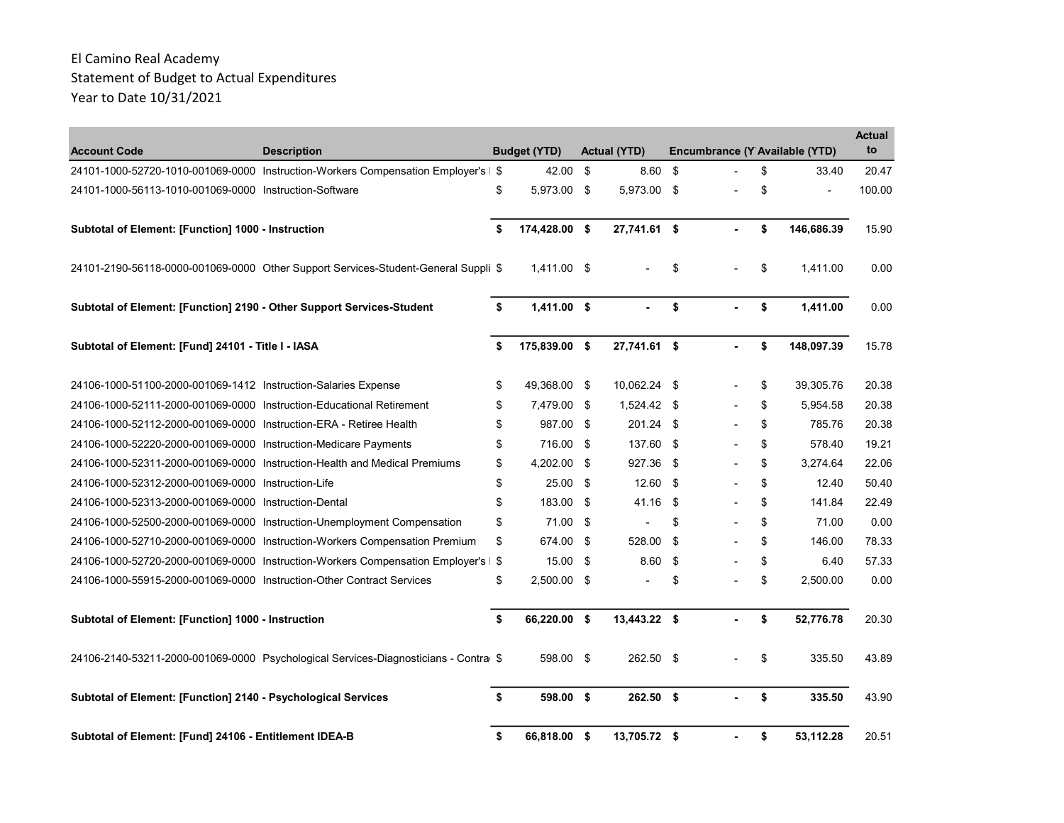| <b>Account Code</b>                                                   | <b>Description</b>                                                                  | <b>Budget (YTD)</b> | <b>Actual (YTD)</b> |    | Encumbrance (Y Available (YTD) | <b>Actual</b><br>to |
|-----------------------------------------------------------------------|-------------------------------------------------------------------------------------|---------------------|---------------------|----|--------------------------------|---------------------|
|                                                                       | 24101-1000-52720-1010-001069-0000 Instruction-Workers Compensation Employer's   \$  | 42.00               | \$<br>8.60          | \$ | \$<br>33.40                    | 20.47               |
| 24101-1000-56113-1010-001069-0000 Instruction-Software                |                                                                                     | \$<br>5,973.00 \$   | 5,973.00 \$         |    | \$                             | 100.00              |
| Subtotal of Element: [Function] 1000 - Instruction                    |                                                                                     | \$<br>174,428.00 \$ | 27,741.61 \$        | ä. | \$<br>146,686.39               | 15.90               |
|                                                                       | 24101-2190-56118-0000-001069-0000 Other Support Services-Student-General Suppli \$  | 1,411.00 \$         |                     | \$ | \$<br>1,411.00                 | 0.00                |
| Subtotal of Element: [Function] 2190 - Other Support Services-Student |                                                                                     | \$<br>1,411.00 \$   |                     | \$ | \$<br>1,411.00                 | 0.00                |
| Subtotal of Element: [Fund] 24101 - Title I - IASA                    |                                                                                     | \$<br>175,839.00 \$ | 27,741.61 \$        | ä. | \$<br>148,097.39               | 15.78               |
| 24106-1000-51100-2000-001069-1412 Instruction-Salaries Expense        |                                                                                     | \$<br>49,368.00 \$  | 10,062.24 \$        |    | \$<br>39,305.76                | 20.38               |
| 24106-1000-52111-2000-001069-0000 Instruction-Educational Retirement  |                                                                                     | \$<br>7,479.00 \$   | 1,524.42 \$         |    | \$<br>5,954.58                 | 20.38               |
| 24106-1000-52112-2000-001069-0000 Instruction-ERA - Retiree Health    |                                                                                     | \$<br>987.00        | \$<br>$201.24$ \$   |    | \$<br>785.76                   | 20.38               |
| 24106-1000-52220-2000-001069-0000 Instruction-Medicare Payments       |                                                                                     | \$<br>716.00 \$     | 137.60 \$           |    | \$<br>578.40                   | 19.21               |
|                                                                       | 24106-1000-52311-2000-001069-0000 Instruction-Health and Medical Premiums           | \$<br>4,202.00      | \$<br>927.36        | \$ | \$<br>3.274.64                 | 22.06               |
| 24106-1000-52312-2000-001069-0000 Instruction-Life                    |                                                                                     | \$<br>25.00         | \$<br>12.60         | \$ | \$<br>12.40                    | 50.40               |
| 24106-1000-52313-2000-001069-0000 Instruction-Dental                  |                                                                                     | \$<br>183.00 \$     | 41.16               | \$ | \$<br>141.84                   | 22.49               |
|                                                                       | 24106-1000-52500-2000-001069-0000 Instruction-Unemployment Compensation             | \$<br>71.00 \$      |                     | \$ | \$<br>71.00                    | 0.00                |
|                                                                       | 24106-1000-52710-2000-001069-0000 Instruction-Workers Compensation Premium          | \$<br>674.00        | \$<br>528.00        | \$ | \$<br>146.00                   | 78.33               |
|                                                                       | 24106-1000-52720-2000-001069-0000 Instruction-Workers Compensation Employer's       | \$<br>15.00         | \$<br>8.60          | \$ | \$<br>6.40                     | 57.33               |
| 24106-1000-55915-2000-001069-0000 Instruction-Other Contract Services |                                                                                     | \$<br>$2.500.00$ \$ |                     | \$ | \$<br>2.500.00                 | 0.00                |
| Subtotal of Element: [Function] 1000 - Instruction                    |                                                                                     | \$<br>66,220.00 \$  | 13,443.22 \$        |    | \$<br>52,776.78                | 20.30               |
|                                                                       | 24106-2140-53211-2000-001069-0000 Psychological Services-Diagnosticians - Contra \$ | 598.00 \$           | $262.50$ \$         |    | \$<br>335.50                   | 43.89               |
| Subtotal of Element: [Function] 2140 - Psychological Services         |                                                                                     | \$<br>598.00 \$     | $262.50$ \$         |    | \$<br>335.50                   | 43.90               |
| Subtotal of Element: [Fund] 24106 - Entitlement IDEA-B                |                                                                                     | \$<br>66,818.00 \$  | 13,705.72 \$        |    | \$<br>53,112.28                | 20.51               |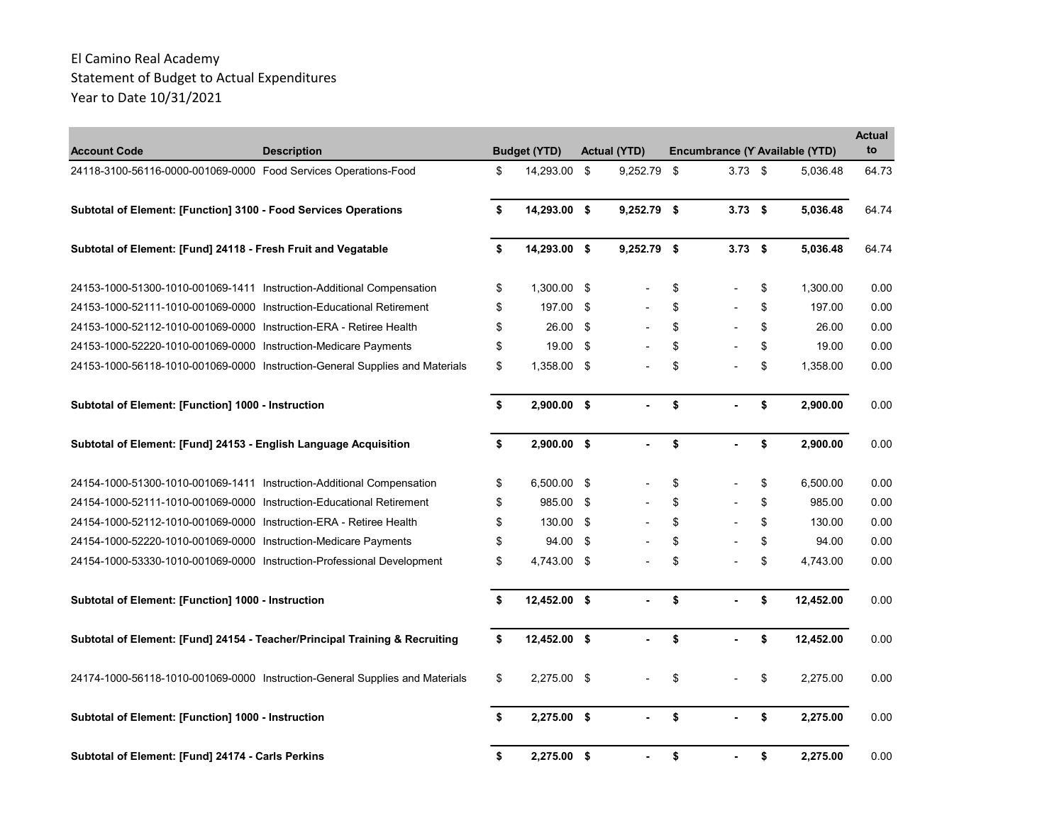| <b>Account Code</b>                                                   | <b>Description</b>                                                           | <b>Budget (YTD)</b> | <b>Actual (YTD)</b> |                 | Encumbrance (Y Available (YTD) | <b>Actual</b><br>to |
|-----------------------------------------------------------------------|------------------------------------------------------------------------------|---------------------|---------------------|-----------------|--------------------------------|---------------------|
| 24118-3100-56116-0000-001069-0000 Food Services Operations-Food       |                                                                              | \$<br>14,293.00 \$  | 9,252.79            | \$<br>$3.73$ \$ | 5,036.48                       | 64.73               |
| Subtotal of Element: [Function] 3100 - Food Services Operations       |                                                                              | \$<br>14,293.00 \$  | $9,252.79$ \$       | $3.73$ \$       | 5,036.48                       | 64.74               |
| Subtotal of Element: [Fund] 24118 - Fresh Fruit and Vegatable         |                                                                              | \$<br>14,293.00 \$  | $9,252.79$ \$       | $3.73$ \$       | 5,036.48                       | 64.74               |
| 24153-1000-51300-1010-001069-1411 Instruction-Additional Compensation |                                                                              | \$<br>1,300.00 \$   |                     | \$              | \$<br>1,300.00                 | 0.00                |
| 24153-1000-52111-1010-001069-0000 Instruction-Educational Retirement  |                                                                              | \$<br>197.00        | \$                  | \$              | \$<br>197.00                   | 0.00                |
| 24153-1000-52112-1010-001069-0000 Instruction-ERA - Retiree Health    |                                                                              | \$<br>26.00         | \$                  | \$              | \$<br>26.00                    | 0.00                |
| 24153-1000-52220-1010-001069-0000 Instruction-Medicare Payments       |                                                                              | \$<br>19.00         | \$                  | \$              | \$<br>19.00                    | 0.00                |
|                                                                       | 24153-1000-56118-1010-001069-0000 Instruction-General Supplies and Materials | \$<br>1,358.00 \$   |                     | \$              | \$<br>1,358.00                 | 0.00                |
| Subtotal of Element: [Function] 1000 - Instruction                    |                                                                              | \$<br>2,900.00 \$   |                     | \$              | \$<br>2.900.00                 | 0.00                |
| Subtotal of Element: [Fund] 24153 - English Language Acquisition      |                                                                              | \$<br>$2,900.00$ \$ |                     | \$              | \$<br>2,900.00                 | 0.00                |
| 24154-1000-51300-1010-001069-1411 Instruction-Additional Compensation |                                                                              | \$<br>6,500.00 \$   |                     | \$              | \$<br>6,500.00                 | 0.00                |
| 24154-1000-52111-1010-001069-0000 Instruction-Educational Retirement  |                                                                              | \$<br>985.00        | \$                  | \$              | \$<br>985.00                   | 0.00                |
| 24154-1000-52112-1010-001069-0000 Instruction-ERA - Retiree Health    |                                                                              | \$<br>130.00 \$     |                     | \$              | \$<br>130.00                   | 0.00                |
| 24154-1000-52220-1010-001069-0000 Instruction-Medicare Payments       |                                                                              | \$<br>94.00         | \$                  | \$              | \$<br>94.00                    | 0.00                |
|                                                                       | 24154-1000-53330-1010-001069-0000 Instruction-Professional Development       | \$<br>4,743.00 \$   |                     | \$              | \$<br>4,743.00                 | 0.00                |
| Subtotal of Element: [Function] 1000 - Instruction                    |                                                                              | \$<br>12,452.00 \$  |                     | \$              | \$<br>12,452.00                | 0.00                |
|                                                                       | Subtotal of Element: [Fund] 24154 - Teacher/Principal Training & Recruiting  | \$<br>12,452.00 \$  |                     | \$              | \$<br>12,452.00                | 0.00                |
|                                                                       | 24174-1000-56118-1010-001069-0000 Instruction-General Supplies and Materials | \$<br>2,275.00 \$   |                     | \$              | \$<br>2.275.00                 | 0.00                |
| Subtotal of Element: [Function] 1000 - Instruction                    |                                                                              | \$<br>2,275.00 \$   |                     | \$              | \$<br>2,275.00                 | 0.00                |
| Subtotal of Element: [Fund] 24174 - Carls Perkins                     |                                                                              | \$<br>2,275.00 \$   | ä,                  | \$<br>ä,        | \$<br>2,275.00                 | 0.00                |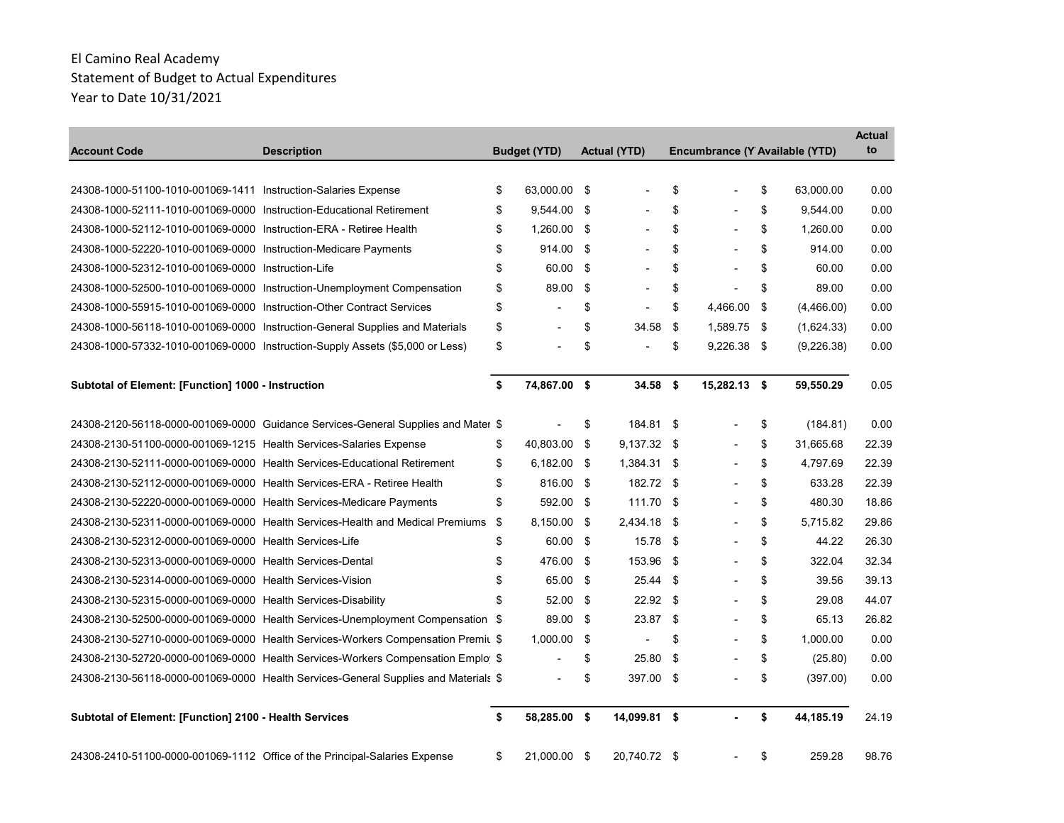| <b>Account Code</b>                                                    | <b>Description</b>                                                                  | <b>Budget (YTD)</b>      |     | <b>Actual (YTD)</b> |          | Encumbrance (Y Available (YTD) |                  | <b>Actual</b><br>to |
|------------------------------------------------------------------------|-------------------------------------------------------------------------------------|--------------------------|-----|---------------------|----------|--------------------------------|------------------|---------------------|
|                                                                        |                                                                                     |                          |     |                     |          |                                |                  |                     |
| 24308-1000-51100-1010-001069-1411    Instruction-Salaries    Expense   |                                                                                     | \$<br>63,000.00 \$       |     |                     | \$       |                                | \$<br>63,000.00  | 0.00                |
| 24308-1000-52111-1010-001069-0000 Instruction-Educational Retirement   |                                                                                     | \$<br>$9,544.00$ \$      |     |                     | \$       |                                | \$<br>9,544.00   | 0.00                |
| 24308-1000-52112-1010-001069-0000 Instruction-ERA - Retiree Health     |                                                                                     | \$<br>1,260.00 \$        |     |                     | \$       |                                | \$<br>1,260.00   | 0.00                |
| 24308-1000-52220-1010-001069-0000 Instruction-Medicare Payments        |                                                                                     | \$<br>914.00             | -\$ |                     | \$       |                                | \$<br>914.00     | 0.00                |
| 24308-1000-52312-1010-001069-0000 Instruction-Life                     |                                                                                     | \$<br>60.00              | \$  |                     | \$       |                                | \$<br>60.00      | 0.00                |
|                                                                        | 24308-1000-52500-1010-001069-0000 Instruction-Unemployment Compensation             | \$<br>89.00              | \$  |                     | \$       | Ĭ.                             | \$<br>89.00      | 0.00                |
| 24308-1000-55915-1010-001069-0000 Instruction-Other Contract Services  |                                                                                     | \$                       | \$  |                     | \$       | 4,466.00                       | \$<br>(4,466.00) | 0.00                |
|                                                                        | 24308-1000-56118-1010-001069-0000 Instruction-General Supplies and Materials        | \$                       | \$  | 34.58               | \$       | 1,589.75 \$                    | (1,624.33)       | 0.00                |
|                                                                        | 24308-1000-57332-1010-001069-0000 Instruction-Supply Assets (\$5,000 or Less)       | \$                       | \$  |                     | \$       | $9,226.38$ \$                  | (9,226.38)       | 0.00                |
| Subtotal of Element: [Function] 1000 - Instruction                     |                                                                                     | \$<br>74,867.00 \$       |     | $34.58$ \$          |          | 15,282.13 \$                   | 59,550.29        | 0.05                |
|                                                                        | 24308-2120-56118-0000-001069-0000 Guidance Services-General Supplies and Mater \$   |                          | \$  | 184.81 \$           |          |                                | \$<br>(184.81)   | 0.00                |
| 24308-2130-51100-0000-001069-1215 Health Services-Salaries Expense     |                                                                                     | \$<br>40.803.00          | \$  | $9,137.32$ \$       |          |                                | \$<br>31,665.68  | 22.39               |
|                                                                        | 24308-2130-52111-0000-001069-0000 Health Services-Educational Retirement            | \$<br>6,182.00 \$        |     | 1,384.31 \$         |          |                                | \$<br>4,797.69   | 22.39               |
| 24308-2130-52112-0000-001069-0000 Health Services-ERA - Retiree Health |                                                                                     | \$<br>816.00 \$          |     | 182.72 \$           |          |                                | \$<br>633.28     | 22.39               |
| 24308-2130-52220-0000-001069-0000 Health Services-Medicare Payments    |                                                                                     | \$<br>592.00 \$          |     | 111.70 \$           |          |                                | \$<br>480.30     | 18.86               |
|                                                                        | 24308-2130-52311-0000-001069-0000 Health Services-Health and Medical Premiums       | \$<br>8,150.00           | -\$ | 2,434.18            | -\$      |                                | \$<br>5.715.82   | 29.86               |
| 24308-2130-52312-0000-001069-0000 Health Services-Life                 |                                                                                     | \$<br>60.00 \$           |     | 15.78               | -\$      |                                | \$<br>44.22      | 26.30               |
| 24308-2130-52313-0000-001069-0000 Health Services-Dental               |                                                                                     | \$<br>476.00             | -\$ | 153.96              | -\$      |                                | \$<br>322.04     | 32.34               |
| 24308-2130-52314-0000-001069-0000 Health Services-Vision               |                                                                                     | \$<br>65.00              | -\$ | 25.44               | -\$      |                                | \$<br>39.56      | 39.13               |
| 24308-2130-52315-0000-001069-0000 Health Services-Disability           |                                                                                     | \$<br>52.00              | -\$ | 22.92               | -\$      |                                | \$<br>29.08      | 44.07               |
|                                                                        | 24308-2130-52500-0000-001069-0000 Health Services-Unemployment Compensation \$      | 89.00                    | -\$ | 23.87               | -\$      | $\overline{\phantom{a}}$       | \$<br>65.13      | 26.82               |
|                                                                        | 24308-2130-52710-0000-001069-0000 Health Services-Workers Compensation Premiu \$    | 1,000.00                 | -\$ |                     | \$       |                                | \$<br>1,000.00   | 0.00                |
|                                                                        | 24308-2130-52720-0000-001069-0000 Health Services-Workers Compensation Emplo \$     |                          | \$  | 25.80               | \$       |                                | \$<br>(25.80)    | 0.00                |
|                                                                        | 24308-2130-56118-0000-001069-0000 Health Services-General Supplies and Materials \$ | $\overline{\phantom{a}}$ | \$  | 397.00              | <b>S</b> |                                | \$<br>(397.00)   | 0.00                |
| Subtotal of Element: [Function] 2100 - Health Services                 |                                                                                     | \$<br>58.285.00 \$       |     | 14,099.81 \$        |          |                                | \$<br>44.185.19  | 24.19               |
|                                                                        | 24308-2410-51100-0000-001069-1112 Office of the Principal-Salaries Expense          | \$<br>21,000.00 \$       |     | 20,740.72 \$        |          |                                | \$<br>259.28     | 98.76               |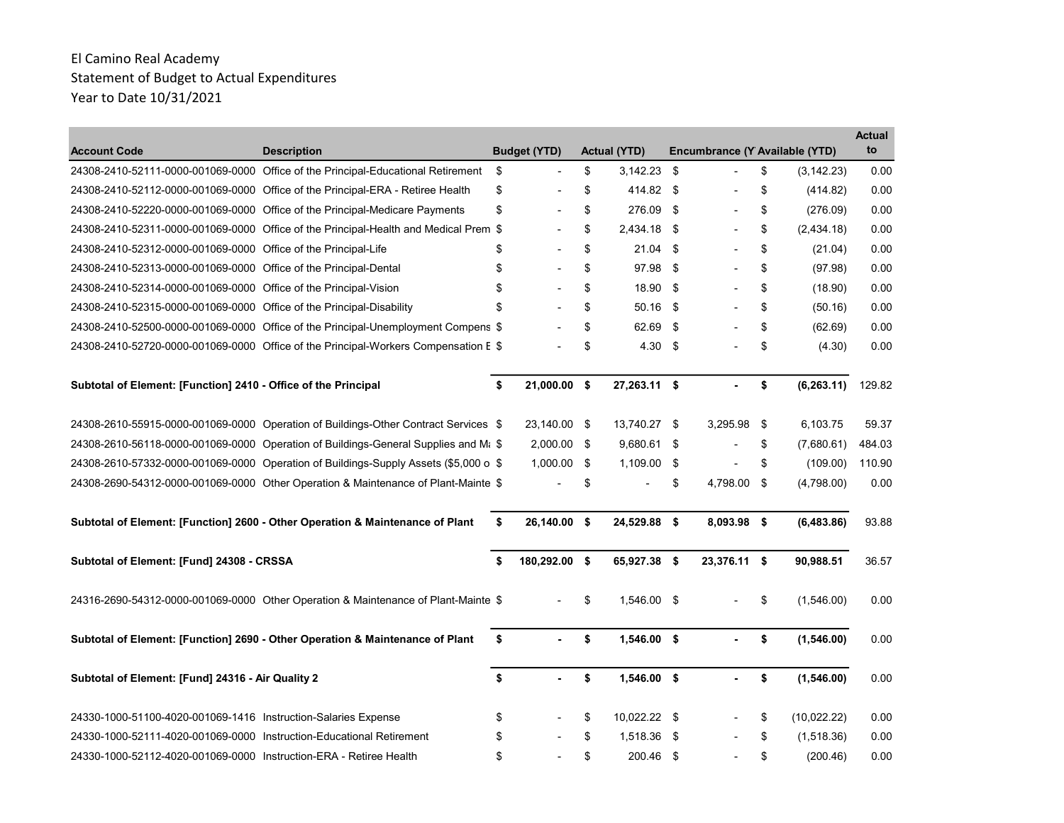| <b>Account Code</b>                                                  | <b>Description</b>                                                                              | <b>Budget (YTD)</b>  | Actual (YTD)        |      | Encumbrance (Y Available (YTD) |                   | <b>Actual</b><br>to |
|----------------------------------------------------------------------|-------------------------------------------------------------------------------------------------|----------------------|---------------------|------|--------------------------------|-------------------|---------------------|
|                                                                      | 24308-2410-52111-0000-001069-0000 Office of the Principal-Educational Retirement                | \$<br>$\overline{a}$ | \$<br>$3,142.23$ \$ |      |                                | \$<br>(3, 142.23) | 0.00                |
|                                                                      | 24308-2410-52112-0000-001069-0000 Office of the Principal-ERA - Retiree Health                  | \$                   | \$<br>414.82 \$     |      |                                | \$<br>(414.82)    | 0.00                |
|                                                                      | 24308-2410-52220-0000-001069-0000 Office of the Principal-Medicare Payments                     | \$                   | \$<br>276.09 \$     |      | $\overline{\phantom{a}}$       | \$<br>(276.09)    | 0.00                |
|                                                                      | 24308-2410-52311-0000-001069-0000 Office of the Principal-Health and Medical Prem \$            |                      | \$<br>2,434.18      | -\$  |                                | \$<br>(2,434.18)  | 0.00                |
| 24308-2410-52312-0000-001069-0000 Office of the Principal-Life       |                                                                                                 | \$                   | \$<br>21.04         | -\$  |                                | \$<br>(21.04)     | 0.00                |
| 24308-2410-52313-0000-001069-0000 Office of the Principal-Dental     |                                                                                                 | \$                   | \$<br>97.98         | -\$  |                                | \$<br>(97.98)     | 0.00                |
| 24308-2410-52314-0000-001069-0000 Office of the Principal-Vision     |                                                                                                 | \$                   | \$<br>18.90         | -\$  |                                | \$<br>(18.90)     | 0.00                |
| 24308-2410-52315-0000-001069-0000 Office of the Principal-Disability |                                                                                                 | \$                   | \$<br>50.16 \$      |      |                                | \$<br>(50.16)     | 0.00                |
|                                                                      | 24308-2410-52500-0000-001069-0000 Office of the Principal-Unemployment Compens \$               |                      | \$<br>62.69         | -\$  |                                | \$<br>(62.69)     | 0.00                |
|                                                                      | 24308-2410-52720-0000-001069-0000 Office of the Principal-Workers Compensation E \$             |                      | \$<br>4.30          | -\$  |                                | \$<br>(4.30)      | 0.00                |
| Subtotal of Element: [Function] 2410 - Office of the Principal       |                                                                                                 | \$<br>21,000.00 \$   | 27,263.11 \$        |      |                                | \$<br>(6, 263.11) | 129.82              |
|                                                                      | 24308-2610-55915-0000-001069-0000 Operation of Buildings-Other Contract Services \$             | 23,140.00 \$         | 13,740.27 \$        |      | 3,295.98                       | \$<br>6,103.75    | 59.37               |
|                                                                      | 24308-2610-56118-0000-001069-0000 Operation of Buildings-General Supplies and M <sub>i</sub> \$ | 2,000.00 \$          | 9,680.61 \$         |      |                                | \$<br>(7,680.61)  | 484.03              |
|                                                                      | 24308-2610-57332-0000-001069-0000 Operation of Buildings-Supply Assets (\$5,000 o \$            | 1,000.00 \$          | 1,109.00            | \$   |                                | \$<br>(109.00)    | 110.90              |
|                                                                      | 24308-2690-54312-0000-001069-0000 Other Operation & Maintenance of Plant-Mainte \$              |                      | \$                  | \$   | 4,798.00 \$                    | (4,798.00)        | 0.00                |
|                                                                      | Subtotal of Element: [Function] 2600 - Other Operation & Maintenance of Plant                   | \$<br>26,140.00 \$   | 24,529.88 \$        |      | 8,093.98 \$                    | (6, 483.86)       | 93.88               |
| Subtotal of Element: [Fund] 24308 - CRSSA                            |                                                                                                 | \$<br>180,292.00 \$  | 65,927.38 \$        |      | 23,376.11 \$                   | 90,988.51         | 36.57               |
|                                                                      | 24316-2690-54312-0000-001069-0000 Other Operation & Maintenance of Plant-Mainte \$              |                      | \$<br>1.546.00 \$   |      |                                | \$<br>(1,546.00)  | 0.00                |
|                                                                      | Subtotal of Element: [Function] 2690 - Other Operation & Maintenance of Plant                   | \$                   | \$<br>$1,546.00$ \$ |      |                                | \$<br>(1,546.00)  | 0.00                |
| Subtotal of Element: [Fund] 24316 - Air Quality 2                    |                                                                                                 | \$<br>$\sim$         | \$<br>1,546.00 \$   |      |                                | \$<br>(1,546.00)  | 0.00                |
| 24330-1000-51100-4020-001069-1416 Instruction-Salaries Expense       |                                                                                                 | \$                   | \$<br>10,022.22 \$  |      |                                | \$<br>(10,022.22) | 0.00                |
| 24330-1000-52111-4020-001069-0000 Instruction-Educational Retirement |                                                                                                 | \$                   | \$<br>1,518.36      | - \$ |                                | \$<br>(1,518.36)  | 0.00                |
| 24330-1000-52112-4020-001069-0000 Instruction-ERA - Retiree Health   |                                                                                                 | \$                   | \$<br>200.46        | - \$ |                                | \$<br>(200.46)    | 0.00                |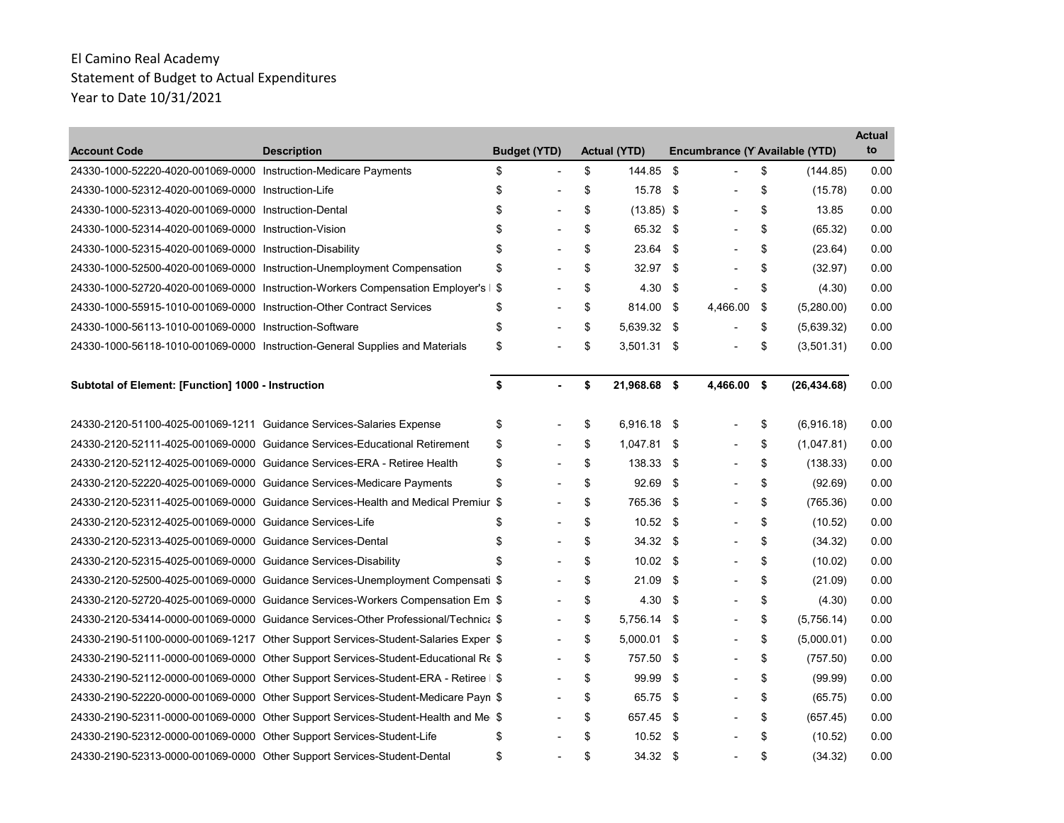| <b>Account Code</b>                                                   | <b>Description</b>                                                                  | <b>Budget (YTD)</b>  | <b>Actual (YTD)</b>  |      | Encumbrance (Y Available (YTD) |                  | Actual<br>to |
|-----------------------------------------------------------------------|-------------------------------------------------------------------------------------|----------------------|----------------------|------|--------------------------------|------------------|--------------|
| 24330-1000-52220-4020-001069-0000 Instruction-Medicare Payments       |                                                                                     | \$<br>$\blacksquare$ | \$<br>144.85         | \$   | $\overline{\phantom{a}}$       | \$<br>(144.85)   | 0.00         |
| 24330-1000-52312-4020-001069-0000 Instruction-Life                    |                                                                                     | \$                   | \$<br>15.78          | \$   |                                | \$<br>(15.78)    | 0.00         |
| 24330-1000-52313-4020-001069-0000 Instruction-Dental                  |                                                                                     | \$                   | \$<br>$(13.85)$ \$   |      |                                | \$<br>13.85      | 0.00         |
| 24330-1000-52314-4020-001069-0000 Instruction-Vision                  |                                                                                     | \$                   | \$<br>65.32 \$       |      |                                | \$<br>(65.32)    | 0.00         |
| 24330-1000-52315-4020-001069-0000 Instruction-Disability              |                                                                                     | \$                   | \$<br>23.64 \$       |      |                                | \$<br>(23.64)    | 0.00         |
|                                                                       | 24330-1000-52500-4020-001069-0000 Instruction-Unemployment Compensation             | \$                   | \$<br>$32.97$ \$     |      |                                | \$<br>(32.97)    | 0.00         |
|                                                                       | 24330-1000-52720-4020-001069-0000 Instruction-Workers Compensation Employer's       | \$                   | \$<br>4.30           | \$   | $\blacksquare$                 | \$<br>(4.30)     | 0.00         |
| 24330-1000-55915-1010-001069-0000 Instruction-Other Contract Services |                                                                                     | \$                   | \$<br>814.00         | \$   | 4.466.00                       | \$<br>(5,280.00) | 0.00         |
| 24330-1000-56113-1010-001069-0000 Instruction-Software                |                                                                                     | \$                   | \$<br>5.639.32 \$    |      |                                | \$<br>(5,639.32) | 0.00         |
|                                                                       | 24330-1000-56118-1010-001069-0000 Instruction-General Supplies and Materials        | \$                   | \$<br>$3,501.31$ \$  |      | $\overline{\phantom{a}}$       | \$<br>(3,501.31) | 0.00         |
| Subtotal of Element: [Function] 1000 - Instruction                    |                                                                                     | \$<br>$\overline{a}$ | \$<br>21,968.68 \$   |      | 4,466.00 \$                    | (26, 434.68)     | 0.00         |
| 24330-2120-51100-4025-001069-1211 Guidance Services-Salaries Expense  |                                                                                     | \$                   | \$<br>6,916.18 \$    |      |                                | \$<br>(6,916.18) | 0.00         |
|                                                                       | 24330-2120-52111-4025-001069-0000 Guidance Services-Educational Retirement          | \$                   | \$<br>1,047.81 \$    |      |                                | \$<br>(1,047.81) | 0.00         |
|                                                                       | 24330-2120-52112-4025-001069-0000 Guidance Services-ERA - Retiree Health            | \$                   | \$<br>138.33 \$      |      |                                | \$<br>(138.33)   | 0.00         |
|                                                                       | 24330-2120-52220-4025-001069-0000 Guidance Services-Medicare Payments               | \$                   | \$<br>92.69          | \$   |                                | \$<br>(92.69)    | 0.00         |
|                                                                       | 24330-2120-52311-4025-001069-0000 Guidance Services-Health and Medical Premiur \$   |                      | \$<br>765.36         | - \$ |                                | \$<br>(765.36)   | 0.00         |
| 24330-2120-52312-4025-001069-0000 Guidance Services-Life              |                                                                                     | \$                   | \$<br>$10.52$ \$     |      |                                | \$<br>(10.52)    | 0.00         |
| 24330-2120-52313-4025-001069-0000 Guidance Services-Dental            |                                                                                     | \$                   | \$<br>$34.32$ \$     |      |                                | \$<br>(34.32)    | 0.00         |
| 24330-2120-52315-4025-001069-0000 Guidance Services-Disability        |                                                                                     | \$                   | \$<br>$10.02$ \$     |      |                                | \$<br>(10.02)    | 0.00         |
|                                                                       | 24330-2120-52500-4025-001069-0000 Guidance Services-Unemployment Compensati \$      |                      | \$<br>21.09          | \$   |                                | \$<br>(21.09)    | 0.00         |
|                                                                       | 24330-2120-52720-4025-001069-0000 Guidance Services-Workers Compensation Em \$      |                      | \$<br>$4.30\quad$ \$ |      |                                | \$<br>(4.30)     | 0.00         |
|                                                                       | 24330-2120-53414-0000-001069-0000 Guidance Services-Other Professional/Technica \$  |                      | \$<br>5,756.14 \$    |      | $\overline{\phantom{0}}$       | \$<br>(5,756.14) | 0.00         |
|                                                                       | 24330-2190-51100-0000-001069-1217 Other Support Services-Student-Salaries Expen \$  |                      | \$<br>$5,000.01$ \$  |      |                                | \$<br>(5,000.01) | 0.00         |
|                                                                       | 24330-2190-52111-0000-001069-0000 Other Support Services-Student-Educational Re \$  |                      | \$<br>757.50         | -\$  |                                | \$<br>(757.50)   | 0.00         |
|                                                                       | 24330-2190-52112-0000-001069-0000 Other Support Services-Student-ERA - Retiree   \$ |                      | \$<br>99.99          | \$   | ۰                              | \$<br>(99.99)    | 0.00         |
|                                                                       | 24330-2190-52220-0000-001069-0000 Other Support Services-Student-Medicare Payn \$   |                      | \$<br>65.75          | -\$  |                                | \$<br>(65.75)    | 0.00         |
|                                                                       | 24330-2190-52311-0000-001069-0000 Other Support Services-Student-Health and Me \$   |                      | \$<br>657.45 \$      |      |                                | \$<br>(657.45)   | 0.00         |
| 24330-2190-52312-0000-001069-0000 Other Support Services-Student-Life |                                                                                     | \$                   | \$<br>$10.52$ \$     |      |                                | \$<br>(10.52)    | 0.00         |
|                                                                       | 24330-2190-52313-0000-001069-0000 Other Support Services-Student-Dental             | \$                   | \$<br>$34.32$ \$     |      |                                | \$<br>(34.32)    | 0.00         |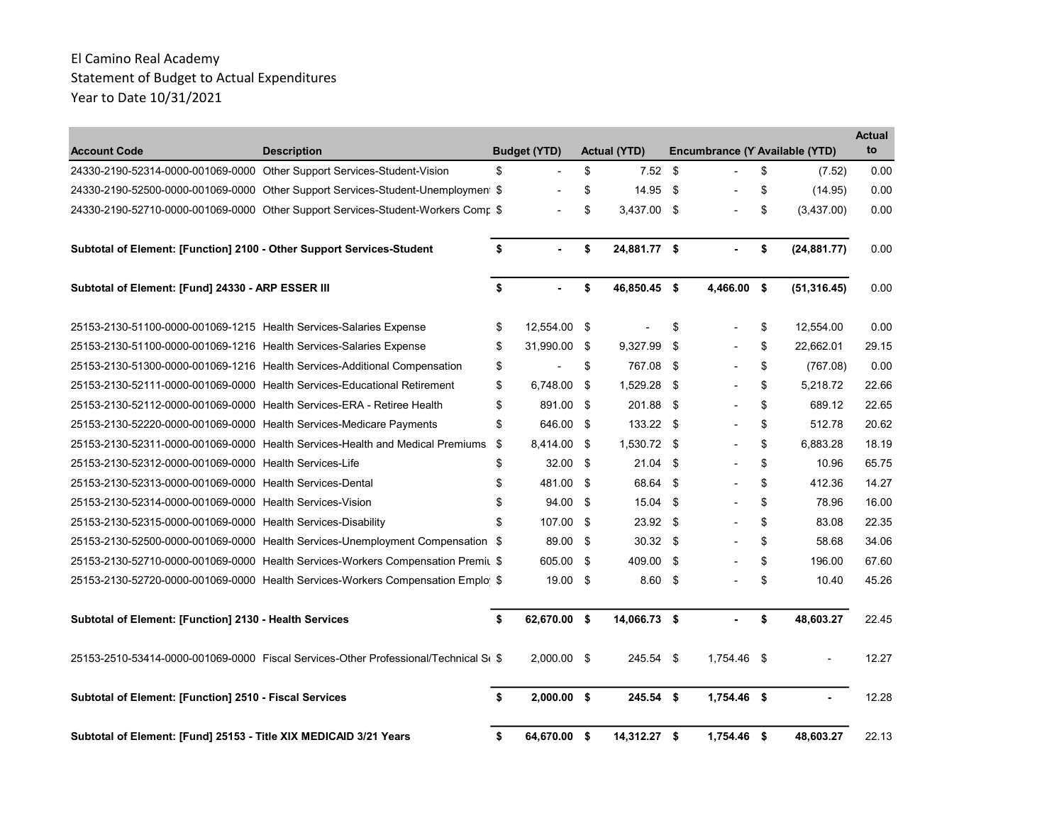| <b>Account Code</b>                                                    | <b>Description</b>                                                                   | <b>Budget (YTD)</b>  | <b>Actual (YTD)</b> |     | Encumbrance (Y Available (YTD) |                    | <b>Actual</b><br>to |
|------------------------------------------------------------------------|--------------------------------------------------------------------------------------|----------------------|---------------------|-----|--------------------------------|--------------------|---------------------|
|                                                                        | 24330-2190-52314-0000-001069-0000 Other Support Services-Student-Vision              | \$                   | \$<br>$7.52$ \$     |     |                                | \$<br>(7.52)       | 0.00                |
|                                                                        | 24330-2190-52500-0000-001069-0000 Other Support Services-Student-Unemployment \$     |                      | \$<br>14.95 \$      |     |                                | \$<br>(14.95)      | 0.00                |
|                                                                        | 24330-2190-52710-0000-001069-0000 Other Support Services-Student-Workers Comr \$     |                      | \$<br>3,437.00 \$   |     |                                | \$<br>(3,437.00)   | 0.00                |
| Subtotal of Element: [Function] 2100 - Other Support Services-Student  |                                                                                      | \$<br>$\blacksquare$ | \$<br>24,881.77 \$  |     | $\blacksquare$                 | \$<br>(24, 881.77) | 0.00                |
| Subtotal of Element: [Fund] 24330 - ARP ESSER III                      |                                                                                      | \$<br>ä,             | \$<br>46,850.45 \$  |     | 4,466.00 \$                    | (51, 316.45)       | 0.00                |
| 25153-2130-51100-0000-001069-1215 Health Services-Salaries Expense     |                                                                                      | \$<br>12,554.00 \$   |                     | \$  |                                | \$<br>12,554.00    | 0.00                |
| 25153-2130-51100-0000-001069-1216 Health Services-Salaries Expense     |                                                                                      | \$<br>31,990.00 \$   | 9,327.99            | \$  |                                | \$<br>22,662.01    | 29.15               |
|                                                                        | 25153-2130-51300-0000-001069-1216 Health Services-Additional Compensation            | \$                   | \$<br>767.08 \$     |     |                                | \$<br>(767.08)     | 0.00                |
|                                                                        | 25153-2130-52111-0000-001069-0000 Health Services-Educational Retirement             | \$<br>6,748.00 \$    | 1,529.28 \$         |     |                                | \$<br>5,218.72     | 22.66               |
| 25153-2130-52112-0000-001069-0000 Health Services-ERA - Retiree Health |                                                                                      | \$<br>891.00 \$      | 201.88 \$           |     |                                | \$<br>689.12       | 22.65               |
| 25153-2130-52220-0000-001069-0000 Health Services-Medicare Payments    |                                                                                      | \$<br>646.00 \$      | 133.22 \$           |     |                                | \$<br>512.78       | 20.62               |
|                                                                        | 25153-2130-52311-0000-001069-0000 Health Services-Health and Medical Premiums        | \$<br>8,414.00 \$    | 1,530.72 \$         |     |                                | \$<br>6,883.28     | 18.19               |
| 25153-2130-52312-0000-001069-0000 Health Services-Life                 |                                                                                      | \$<br>$32.00$ \$     | 21.04               | -\$ |                                | \$<br>10.96        | 65.75               |
| 25153-2130-52313-0000-001069-0000 Health Services-Dental               |                                                                                      | \$<br>481.00 \$      | 68.64               | -\$ |                                | \$<br>412.36       | 14.27               |
| 25153-2130-52314-0000-001069-0000 Health Services-Vision               |                                                                                      | \$<br>94.00 \$       | 15.04 \$            |     |                                | \$<br>78.96        | 16.00               |
| 25153-2130-52315-0000-001069-0000 Health Services-Disability           |                                                                                      | \$<br>107.00 \$      | $23.92$ \$          |     |                                | \$<br>83.08        | 22.35               |
|                                                                        | 25153-2130-52500-0000-001069-0000 Health Services-Unemployment Compensation \$       | 89.00 \$             | $30.32$ \$          |     |                                | \$<br>58.68        | 34.06               |
|                                                                        | 25153-2130-52710-0000-001069-0000 Health Services-Workers Compensation Premit \$     | 605.00 \$            | 409.00 \$           |     |                                | \$<br>196.00       | 67.60               |
|                                                                        | 25153-2130-52720-0000-001069-0000 Health Services-Workers Compensation Emplo \$      | $19.00$ \$           | $8.60$ \$           |     |                                | \$<br>10.40        | 45.26               |
| Subtotal of Element: [Function] 2130 - Health Services                 |                                                                                      | \$<br>62,670.00 \$   | 14,066.73 \$        |     |                                | \$<br>48,603.27    | 22.45               |
|                                                                        | 25153-2510-53414-0000-001069-0000 Fiscal Services-Other Professional/Technical S(\$) | $2.000.00$ \$        | 245.54 \$           |     | 1.754.46 \$                    |                    | 12.27               |
| Subtotal of Element: [Function] 2510 - Fiscal Services                 |                                                                                      | \$<br>$2,000.00$ \$  | $245.54$ \$         |     | 1,754.46 \$                    |                    | 12.28               |
| Subtotal of Element: [Fund] 25153 - Title XIX MEDICAID 3/21 Years      |                                                                                      | \$<br>64,670.00 \$   | 14,312.27 \$        |     | 1,754.46 \$                    | 48,603.27          | 22.13               |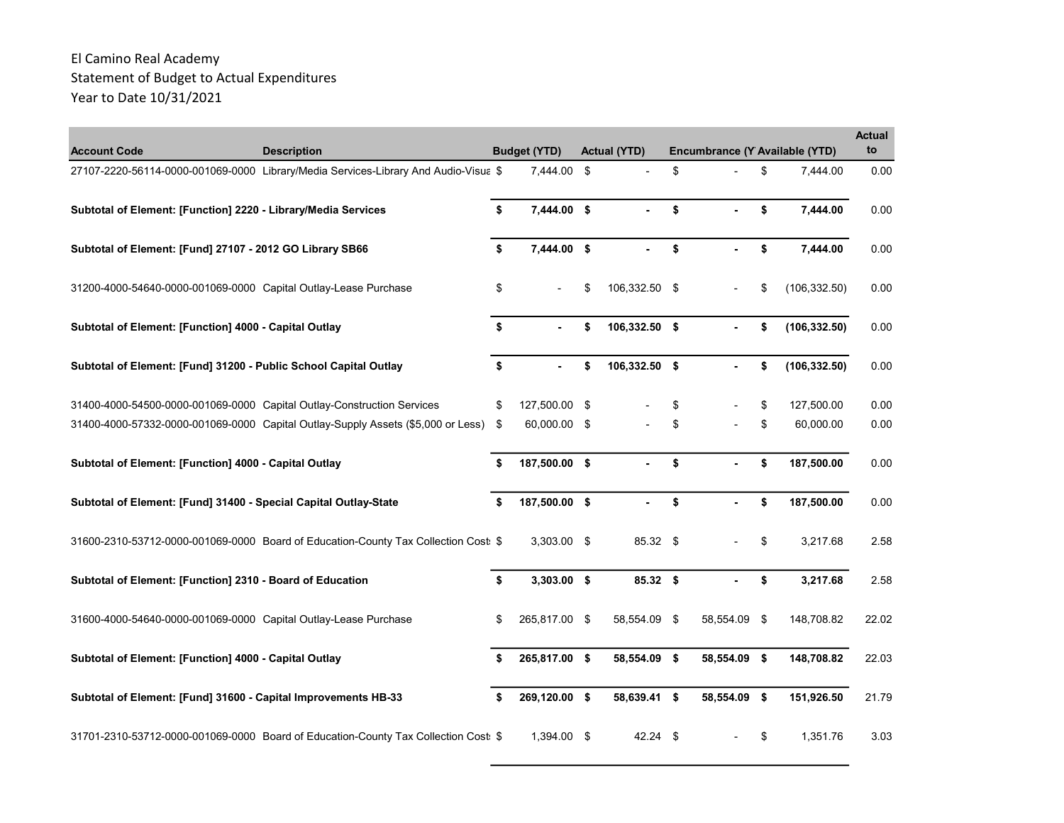| <b>Account Code</b>                                                    | <b>Description</b>                                                                  |    | <b>Budget (YTD)</b> | <b>Actual (YTD)</b> | Encumbrance (Y Available (YTD) |                     | <b>Actual</b><br>to |
|------------------------------------------------------------------------|-------------------------------------------------------------------------------------|----|---------------------|---------------------|--------------------------------|---------------------|---------------------|
|                                                                        | 27107-2220-56114-0000-001069-0000 Library/Media Services-Library And Audio-Visua \$ |    | 7,444.00            | \$                  | \$                             | \$<br>7.444.00      | 0.00                |
| Subtotal of Element: [Function] 2220 - Library/Media Services          |                                                                                     | \$ | 7,444.00 \$         | ä,                  | \$                             | \$<br>7,444.00      | 0.00                |
| Subtotal of Element: [Fund] 27107 - 2012 GO Library SB66               |                                                                                     | \$ | 7,444.00 \$         | $\blacksquare$      | \$<br>ä,                       | \$<br>7,444.00      | 0.00                |
| 31200-4000-54640-0000-001069-0000 Capital Outlay-Lease Purchase        |                                                                                     | \$ | $\overline{a}$      | \$<br>106,332.50 \$ |                                | \$<br>(106, 332.50) | 0.00                |
| Subtotal of Element: [Function] 4000 - Capital Outlay                  |                                                                                     | \$ |                     | \$<br>106,332.50 \$ |                                | \$<br>(106, 332.50) | 0.00                |
| Subtotal of Element: [Fund] 31200 - Public School Capital Outlay       |                                                                                     | \$ |                     | \$<br>106,332.50 \$ |                                | \$<br>(106, 332.50) | 0.00                |
| 31400-4000-54500-0000-001069-0000 Capital Outlay-Construction Services |                                                                                     | \$ | 127,500.00 \$       |                     | \$                             | \$<br>127,500.00    | 0.00                |
|                                                                        | 31400-4000-57332-0000-001069-0000 Capital Outlay-Supply Assets (\$5,000 or Less)    | \$ | 60,000.00 \$        |                     | \$                             | \$<br>60,000.00     | 0.00                |
| Subtotal of Element: [Function] 4000 - Capital Outlay                  |                                                                                     | \$ | 187,500.00 \$       | ÷.                  | \$                             | \$<br>187,500.00    | 0.00                |
| Subtotal of Element: [Fund] 31400 - Special Capital Outlay-State       |                                                                                     | \$ | 187,500.00 \$       |                     | \$                             | \$<br>187,500.00    | 0.00                |
|                                                                        | 31600-2310-53712-0000-001069-0000 Board of Education-County Tax Collection Cost: \$ |    | 3,303.00 \$         | 85.32 \$            |                                | \$<br>3,217.68      | 2.58                |
| Subtotal of Element: [Function] 2310 - Board of Education              |                                                                                     | \$ | $3,303.00$ \$       | 85.32 \$            |                                | \$<br>3,217.68      | 2.58                |
| 31600-4000-54640-0000-001069-0000 Capital Outlay-Lease Purchase        |                                                                                     | \$ | 265,817.00 \$       | 58,554.09 \$        | 58,554.09                      | \$<br>148,708.82    | 22.02               |
| Subtotal of Element: [Function] 4000 - Capital Outlay                  |                                                                                     | S  | 265,817.00 \$       | 58,554.09 \$        | 58,554.09 \$                   | 148,708.82          | 22.03               |
| Subtotal of Element: [Fund] 31600 - Capital Improvements HB-33         |                                                                                     | \$ | 269,120.00 \$       | 58,639.41 \$        | 58,554.09 \$                   | 151,926.50          | 21.79               |
|                                                                        | 31701-2310-53712-0000-001069-0000 Board of Education-County Tax Collection Cost: \$ |    | 1,394.00 \$         | $42.24$ \$          |                                | \$<br>1,351.76      | 3.03                |